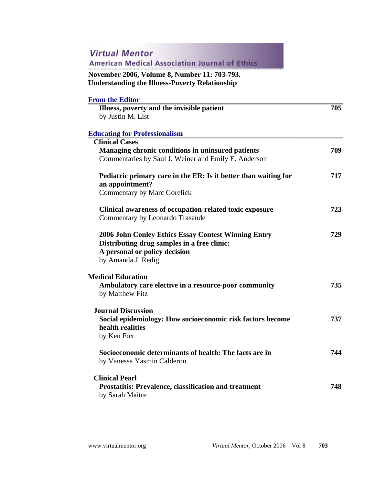| <b>Virtual Mentor</b>                                                                                                                                     |     |
|-----------------------------------------------------------------------------------------------------------------------------------------------------------|-----|
| <b>American Medical Association Journal of Ethics</b>                                                                                                     |     |
| November 2006, Volume 8, Number 11: 703-793.                                                                                                              |     |
| <b>Understanding the Illness-Poverty Relationship</b>                                                                                                     |     |
| <b>From the Editor</b>                                                                                                                                    |     |
| Illness, poverty and the invisible patient<br>by Justin M. List                                                                                           | 705 |
| <b>Educating for Professionalism</b>                                                                                                                      |     |
| <b>Clinical Cases</b>                                                                                                                                     |     |
| Managing chronic conditions in uninsured patients                                                                                                         | 709 |
| Commentaries by Saul J. Weiner and Emily E. Anderson                                                                                                      |     |
| Pediatric primary care in the ER: Is it better than waiting for<br>an appointment?                                                                        | 717 |
| <b>Commentary by Marc Gorelick</b>                                                                                                                        |     |
| Clinical awareness of occupation-related toxic exposure                                                                                                   | 723 |
| Commentary by Leonardo Trasande                                                                                                                           |     |
| 2006 John Conley Ethics Essay Contest Winning Entry<br>Distributing drug samples in a free clinic:<br>A personal or policy decision<br>by Amanda J. Redig | 729 |
|                                                                                                                                                           |     |
| <b>Medical Education</b>                                                                                                                                  |     |
| Ambulatory care elective in a resource-poor community<br>by Matthew Fitz                                                                                  | 735 |
| <b>Journal Discussion</b>                                                                                                                                 |     |
| Social epidemiology: How socioeconomic risk factors become                                                                                                | 737 |
| health realities                                                                                                                                          |     |
| by Ken Fox                                                                                                                                                |     |
| Socioeconomic determinants of health: The facts are in                                                                                                    | 744 |
| by Vanessa Yasmin Calderon                                                                                                                                |     |
| <b>Clinical Pearl</b>                                                                                                                                     |     |
| <b>Prostatitis: Prevalence, classification and treatment</b>                                                                                              | 748 |
| by Sarah Maitre                                                                                                                                           |     |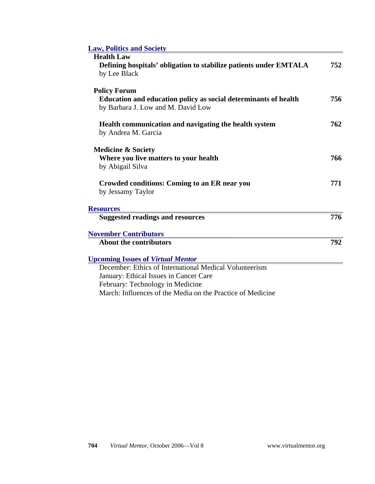| <b>Law, Politics and Society</b>                                  |     |
|-------------------------------------------------------------------|-----|
| <b>Health Law</b>                                                 |     |
| Defining hospitals' obligation to stabilize patients under EMTALA | 752 |
| by Lee Black                                                      |     |
| <b>Policy Forum</b>                                               |     |
| Education and education policy as social determinants of health   | 756 |
| by Barbara J. Low and M. David Low                                |     |
| Health communication and navigating the health system             | 762 |
| by Andrea M. Garcia                                               |     |
| <b>Medicine &amp; Society</b>                                     |     |
| Where you live matters to your health                             | 766 |
| by Abigail Silva                                                  |     |
| Crowded conditions: Coming to an ER near you                      | 771 |
| by Jessamy Taylor                                                 |     |
| <b>Resources</b>                                                  |     |
| <b>Suggested readings and resources</b>                           | 776 |
| <b>November Contributors</b>                                      |     |
| <b>About the contributors</b>                                     | 792 |
| <b>Upcoming Issues of Virtual Mentor</b>                          |     |
| December: Ethics of International Medical Volunteerism            |     |

January: Ethical Issues in Cancer Care February: Technology in Medicine March: Influences of the Media on the Practice of Medicine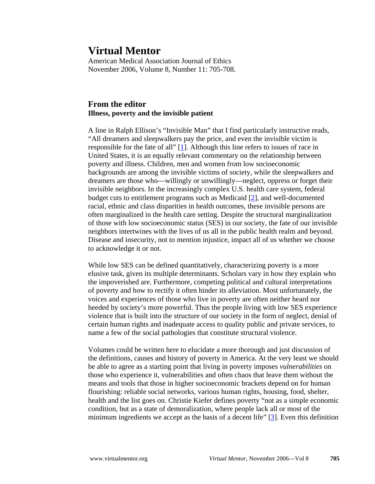**Virtual Mentor**<br>American Medical Association Journal of Ethics November 2006, Volume 8, Number 11: 705-708.

# **From the editor Illness, poverty and the invisible patient**

A line in Ralph Ellison's "Invisible Man" that I find particularly instructive reads, "All dreamers and sleepwalkers pay the price, and even the invisible victim is responsible for the fate of all" [1]. Although this line refers to issues of race in United States, it is an equally relevant commentary on the relationship between poverty and illness. Children, men and women from low socioeconomic backgrounds are among the invisible victims of society, while the sleepwalkers and dreamers are those who—willingly or unwillingly—neglect, oppress or forget their invisible neighbors. In the increasingly complex U.S. health care system, federal budget cuts to entitlement programs such as Medicaid [2], and well-documented racial, ethnic and class disparities in health outcomes, these invisible persons are often marginalized in the health care setting. Despite the structural marginalization of those with low socioeconomic status (SES) in our society, the fate of our invisible neighbors intertwines with the lives of us all in the public health realm and beyond. Disease and insecurity, not to mention injustice, impact all of us whether we choose to acknowledge it or not.

While low SES can be defined quantitatively, characterizing poverty is a more elusive task, given its multiple determinants. Scholars vary in how they explain who the impoverished are. Furthermore, competing political and cultural interpretations of poverty and how to rectify it often hinder its alleviation. Most unfortunately, the voices and experiences of those who live in poverty are often neither heard nor heeded by society's more powerful. Thus the people living with low SES experience violence that is built into the structure of our society in the form of neglect, denial of certain human rights and inadequate access to quality public and private services, to name a few of the social pathologies that constitute structural violence.

Volumes could be written here to elucidate a more thorough and just discussion of the definitions, causes and history of poverty in America. At the very least we should be able to agree as a starting point that living in poverty imposes *vulnerabilities* on those who experience it, vulnerabilities and often chaos that leave them without the means and tools that those in higher socioeconomic brackets depend on for human flourishing: reliable social networks, various human rights, housing, food, shelter, health and the list goes on. Christie Kiefer defines poverty "not as a simple economic condition, but as a state of demoralization, where people lack all or most of the minimum ingredients we accept as the basis of a decent life" [3]. Even this definition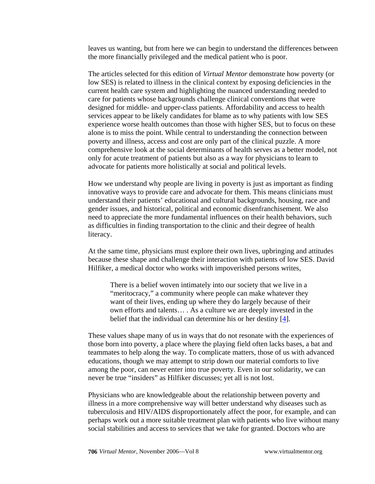leaves us wanting, but from here we can begin to understand the differences between the more financially privileged and the medical patient who is poor.

The articles selected for this edition of *Virtual Mentor* demonstrate how poverty (or low SES) is related to illness in the clinical context by exposing deficiencies in the current health care system and highlighting the nuanced understanding needed to care for patients whose backgrounds challenge clinical conventions that were designed for middle- and upper-class patients. Affordability and access to health services appear to be likely candidates for blame as to why patients with low SES experience worse health outcomes than those with higher SES, but to focus on these alone is to miss the point. While central to understanding the connection between poverty and illness, access and cost are only part of the clinical puzzle. A more comprehensive look at the social determinants of health serves as a better model, not only for acute treatment of patients but also as a way for physicians to learn to advocate for patients more holistically at social and political levels.

How we understand why people are living in poverty is just as important as finding innovative ways to provide care and advocate for them. This means clinicians must understand their patients' educational and cultural backgrounds, housing, race and gender issues, and historical, political and economic disenfranchisement. We also need to appreciate the more fundamental influences on their health behaviors, such as difficulties in finding transportation to the clinic and their degree of health literacy.

At the same time, physicians must explore their own lives, upbringing and attitudes because these shape and challenge their interaction with patients of low SES. David Hilfiker, a medical doctor who works with impoverished persons writes,

There is a belief woven intimately into our society that we live in a "meritocracy," a community where people can make whatever they want of their lives, ending up where they do largely because of their own efforts and talents… . As a culture we are deeply invested in the belief that the individual can determine his or her destiny [4].

These values shape many of us in ways that do not resonate with the experiences of those born into poverty, a place where the playing field often lacks bases, a bat and teammates to help along the way. To complicate matters, those of us with advanced educations, though we may attempt to strip down our material comforts to live among the poor, can never enter into true poverty. Even in our solidarity, we can never be true "insiders" as Hilfiker discusses; yet all is not lost.

Physicians who are knowledgeable about the relationship between poverty and illness in a more comprehensive way will better understand why diseases such as tuberculosis and HIV/AIDS disproportionately affect the poor, for example, and can perhaps work out a more suitable treatment plan with patients who live without many social stabilities and access to services that we take for granted. Doctors who are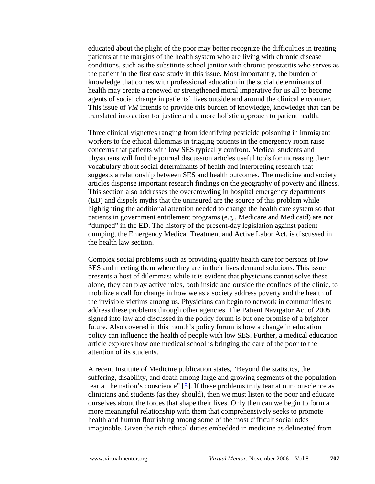educated about the plight of the poor may better recognize the difficulties in treating patients at the margins of the health system who are living with chronic disease conditions, such as the substitute school janitor with chronic prostatitis who serves as the patient in the first case study in this issue. Most importantly, the burden of knowledge that comes with professional education in the social determinants of health may create a renewed or strengthened moral imperative for us all to become agents of social change in patients' lives outside and around the clinical encounter. This issue of *VM* intends to provide this burden of knowledge, knowledge that can be translated into action for justice and a more holistic approach to patient health.

Three clinical vignettes ranging from identifying pesticide poisoning in immigrant workers to the ethical dilemmas in triaging patients in the emergency room raise concerns that patients with low SES typically confront. Medical students and physicians will find the journal discussion articles useful tools for increasing their vocabulary about social determinants of health and interpreting research that suggests a relationship between SES and health outcomes. The medicine and society articles dispense important research findings on the geography of poverty and illness. This section also addresses the overcrowding in hospital emergency departments (ED) and dispels myths that the uninsured are the source of this problem while highlighting the additional attention needed to change the health care system so that patients in government entitlement programs (e.g., Medicare and Medicaid) are not "dumped" in the ED. The history of the present-day legislation against patient dumping, the Emergency Medical Treatment and Active Labor Act, is discussed in the health law section.

Complex social problems such as providing quality health care for persons of low SES and meeting them where they are in their lives demand solutions. This issue presents a host of dilemmas; while it is evident that physicians cannot solve these alone, they can play active roles, both inside and outside the confines of the clinic, to mobilize a call for change in how we as a society address poverty and the health of the invisible victims among us. Physicians can begin to network in communities to address these problems through other agencies. The Patient Navigator Act of 2005 signed into law and discussed in the policy forum is but one promise of a brighter future. Also covered in this month's policy forum is how a change in education policy can influence the health of people with low SES. Further, a medical education article explores how one medical school is bringing the care of the poor to the attention of its students.

A recent Institute of Medicine publication states, "Beyond the statistics, the suffering, disability, and death among large and growing segments of the population tear at the nation's conscience" [5]. If these problems truly tear at our conscience as clinicians and students (as they should), then we must listen to the poor and educate ourselves about the forces that shape their lives. Only then can we begin to form a more meaningful relationship with them that comprehensively seeks to promote health and human flourishing among some of the most difficult social odds imaginable. Given the rich ethical duties embedded in medicine as delineated from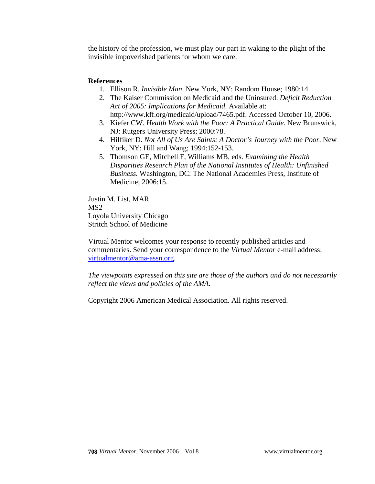the history of the profession, we must play our part in waking to the plight of the invisible impoverished patients for whom we care.

# **References**

- 1. Ellison R. *Invisible Man.* New York, NY: Random House; 1980:14.
- 2. The Kaiser Commission on Medicaid and the Uninsured. *Deficit Reduction Act of 2005: Implications for Medicaid*. Available at: http://www.kff.org/medicaid/upload/7465.pdf. Accessed October 10, 2006.
- 3. Kiefer CW. *Health Work with the Poor: A Practical Guide*. New Brunswick, NJ: Rutgers University Press; 2000:78.
- 4. Hilfiker D. *Not All of Us Are Saints: A Doctor's Journey with the Poor*. New York, NY: Hill and Wang; 1994:152-153.
- 5. Thomson GE, Mitchell F, Williams MB, eds. *Examining the Health Disparities Research Plan of the National Institutes of Health: Unfinished Business.* Washington, DC: The National Academies Press, Institute of Medicine; 2006:15.

Justin M. List, MAR MS2 Loyola University Chicago Stritch School of Medicine

Virtual Mentor welcomes your response to recently published articles and commentaries. Send your correspondence to the *Virtual Mentor* e-mail address: virtualmentor@ama-assn.org.

*The viewpoints expressed on this site are those of the authors and do not necessarily reflect the views and policies of the AMA.*

Copyright 2006 American Medical Association. All rights reserved.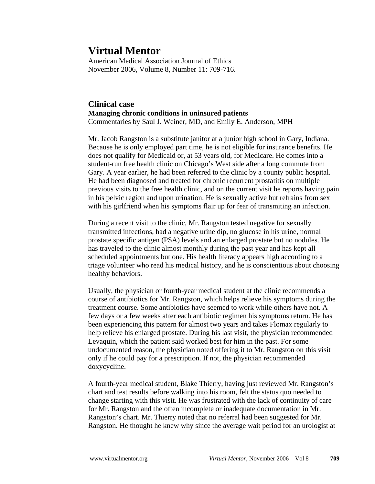**Virtual Mentor**<br>American Medical Association Journal of Ethics November 2006, Volume 8, Number 11: 709-716.

# **Clinical case Managing chronic conditions in uninsured patients** Commentaries by Saul J. Weiner, MD, and Emily E. Anderson, MPH

Mr. Jacob Rangston is a substitute janitor at a junior high school in Gary, Indiana. Because he is only employed part time, he is not eligible for insurance benefits. He does not qualify for Medicaid or, at 53 years old, for Medicare. He comes into a student-run free health clinic on Chicago's West side after a long commute from Gary. A year earlier, he had been referred to the clinic by a county public hospital. He had been diagnosed and treated for chronic recurrent prostatitis on multiple previous visits to the free health clinic, and on the current visit he reports having pain in his pelvic region and upon urination. He is sexually active but refrains from sex with his girlfriend when his symptoms flair up for fear of transmiting an infection.

During a recent visit to the clinic, Mr. Rangston tested negative for sexually transmitted infections, had a negative urine dip, no glucose in his urine, normal prostate specific antigen (PSA) levels and an enlarged prostate but no nodules. He has traveled to the clinic almost monthly during the past year and has kept all scheduled appointments but one. His health literacy appears high according to a triage volunteer who read his medical history, and he is conscientious about choosing healthy behaviors.

Usually, the physician or fourth-year medical student at the clinic recommends a course of antibiotics for Mr. Rangston, which helps relieve his symptoms during the treatment course. Some antibiotics have seemed to work while others have not. A few days or a few weeks after each antibiotic regimen his symptoms return. He has been experiencing this pattern for almost two years and takes Flomax regularly to help relieve his enlarged prostate. During his last visit, the physician recommended Levaquin, which the patient said worked best for him in the past. For some undocumented reason, the physician noted offering it to Mr. Rangston on this visit only if he could pay for a prescription. If not, the physician recommended doxycycline.

A fourth-year medical student, Blake Thierry, having just reviewed Mr. Rangston's chart and test results before walking into his room, felt the status quo needed to change starting with this visit. He was frustrated with the lack of continuity of care for Mr. Rangston and the often incomplete or inadequate documentation in Mr. Rangston's chart. Mr. Thierry noted that no referral had been suggested for Mr. Rangston. He thought he knew why since the average wait period for an urologist at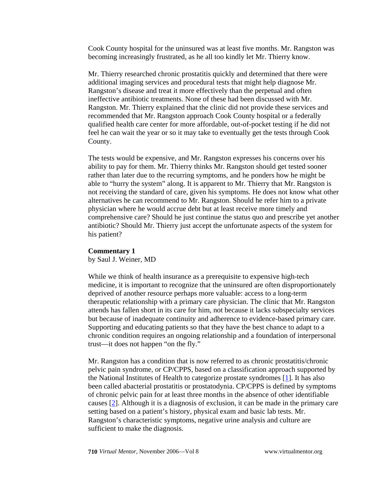Cook County hospital for the uninsured was at least five months. Mr. Rangston was becoming increasingly frustrated, as he all too kindly let Mr. Thierry know.

Mr. Thierry researched chronic prostatitis quickly and determined that there were additional imaging services and procedural tests that might help diagnose Mr. Rangston's disease and treat it more effectively than the perpetual and often ineffective antibiotic treatments. None of these had been discussed with Mr. Rangston. Mr. Thierry explained that the clinic did not provide these services and recommended that Mr. Rangston approach Cook County hospital or a federally qualified health care center for more affordable, out-of-pocket testing if he did not feel he can wait the year or so it may take to eventually get the tests through Cook County.

The tests would be expensive, and Mr. Rangston expresses his concerns over his ability to pay for them. Mr. Thierry thinks Mr. Rangston should get tested sooner rather than later due to the recurring symptoms, and he ponders how he might be able to "hurry the system" along. It is apparent to Mr. Thierry that Mr. Rangston is not receiving the standard of care, given his symptoms. He does not know what other alternatives he can recommend to Mr. Rangston. Should he refer him to a private physician where he would accrue debt but at least receive more timely and comprehensive care? Should he just continue the status quo and prescribe yet another antibiotic? Should Mr. Thierry just accept the unfortunate aspects of the system for his patient?

### **Commentary 1**

by Saul J. Weiner, MD

While we think of health insurance as a prerequisite to expensive high-tech medicine, it is important to recognize that the uninsured are often disproportionately deprived of another resource perhaps more valuable: access to a long-term therapeutic relationship with a primary care physician. The clinic that Mr. Rangston attends has fallen short in its care for him, not because it lacks subspecialty services but because of inadequate continuity and adherence to evidence-based primary care. Supporting and educating patients so that they have the best chance to adapt to a chronic condition requires an ongoing relationship and a foundation of interpersonal trust—it does not happen "on the fly."

Mr. Rangston has a condition that is now referred to as chronic prostatitis/chronic pelvic pain syndrome, or CP/CPPS, based on a classification approach supported by the National Institutes of Health to categorize prostate syndromes [1]. It has also been called abacterial prostatitis or prostatodynia. CP/CPPS is defined by symptoms of chronic pelvic pain for at least three months in the absence of other identifiable causes [2]. Although it is a diagnosis of exclusion, it can be made in the primary care setting based on a patient's history, physical exam and basic lab tests. Mr. Rangston's characteristic symptoms, negative urine analysis and culture are sufficient to make the diagnosis.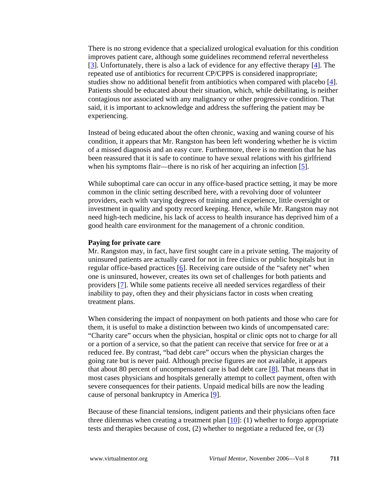There is no strong evidence that a specialized urological evaluation for this condition improves patient care, although some guidelines recommend referral nevertheless [3]. Unfortunately, there is also a lack of evidence for any effective therapy [4]. The repeated use of antibiotics for recurrent CP/CPPS is considered inappropriate; studies show no additional benefit from antibiotics when compared with placebo [4]. Patients should be educated about their situation, which, while debilitating, is neither contagious nor associated with any malignancy or other progressive condition. That said, it is important to acknowledge and address the suffering the patient may be experiencing.

Instead of being educated about the often chronic, waxing and waning course of his condition, it appears that Mr. Rangston has been left wondering whether he is victim of a missed diagnosis and an easy cure. Furthermore, there is no mention that he has been reassured that it is safe to continue to have sexual relations with his girlfriend when his symptoms flair—there is no risk of her acquiring an infection [5].

While suboptimal care can occur in any office-based practice setting, it may be more common in the clinic setting described here, with a revolving door of volunteer providers, each with varying degrees of training and experience, little oversight or investment in quality and spotty record keeping. Hence, while Mr. Rangston may not need high-tech medicine, his lack of access to health insurance has deprived him of a good health care environment for the management of a chronic condition.

### **Paying for private care**

Mr. Rangston may, in fact, have first sought care in a private setting. The majority of uninsured patients are actually cared for not in free clinics or public hospitals but in regular office-based practices  $[6]$ . Receiving care outside of the "safety net" when one is uninsured, however, creates its own set of challenges for both patients and providers [7]. While some patients receive all needed services regardless of their inability to pay, often they and their physicians factor in costs when creating treatment plans.

When considering the impact of nonpayment on both patients and those who care for them, it is useful to make a distinction between two kinds of uncompensated care: "Charity care" occurs when the physician, hospital or clinic opts not to charge for all or a portion of a service, so that the patient can receive that service for free or at a reduced fee. By contrast, "bad debt care" occurs when the physician charges the going rate but is never paid. Although precise figures are not available, it appears that about 80 percent of uncompensated care is bad debt care  $[8]$ . That means that in most cases physicians and hospitals generally attempt to collect payment, often with severe consequences for their patients. Unpaid medical bills are now the leading cause of personal bankruptcy in America [9].

Because of these financial tensions, indigent patients and their physicians often face three dilemmas when creating a treatment plan [10]: (1) whether to forgo appropriate tests and therapies because of cost, (2) whether to negotiate a reduced fee, or (3)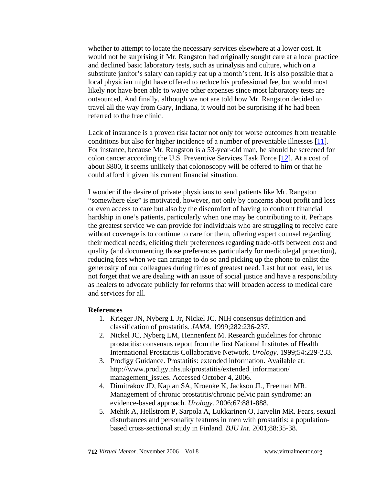whether to attempt to locate the necessary services elsewhere at a lower cost. It would not be surprising if Mr. Rangston had originally sought care at a local practice and declined basic laboratory tests, such as urinalysis and culture, which on a substitute janitor's salary can rapidly eat up a month's rent. It is also possible that a local physician might have offered to reduce his professional fee, but would most likely not have been able to waive other expenses since most laboratory tests are outsourced. And finally, although we not are told how Mr. Rangston decided to travel all the way from Gary, Indiana, it would not be surprising if he had been referred to the free clinic.

Lack of insurance is a proven risk factor not only for worse outcomes from treatable conditions but also for higher incidence of a number of preventable illnesses [11]. For instance, because Mr. Rangston is a 53-year-old man, he should be screened for colon cancer according the U.S. Preventive Services Task Force [12]. At a cost of about \$800, it seems unlikely that colonoscopy will be offered to him or that he could afford it given his current financial situation.

I wonder if the desire of private physicians to send patients like Mr. Rangston "somewhere else" is motivated, however, not only by concerns about profit and loss or even access to care but also by the discomfort of having to confront financial hardship in one's patients, particularly when one may be contributing to it. Perhaps the greatest service we can provide for individuals who are struggling to receive care without coverage is to continue to care for them, offering expert counsel regarding their medical needs, eliciting their preferences regarding trade-offs between cost and quality (and documenting those preferences particularly for medicolegal protection), reducing fees when we can arrange to do so and picking up the phone to enlist the generosity of our colleagues during times of greatest need. Last but not least, let us not forget that we are dealing with an issue of social justice and have a responsibility as healers to advocate publicly for reforms that will broaden access to medical care and services for all.

### **References**

- 1. Krieger JN, Nyberg L Jr, Nickel JC. NIH consensus definition and classification of prostatitis. *JAMA*. 1999;282:236-237.
- 2. Nickel JC, Nyberg LM, Hennenfent M. Research guidelines for chronic prostatitis: consensus report from the first National Institutes of Health International Prostatitis Collaborative Network. *Urology*. 1999;54:229-233.
- 3. Prodigy Guidance. Prostatitis: extended information. Available at: http://www.prodigy.nhs.uk/prostatitis/extended\_information/ management issues. Accessed October 4, 2006.
- 4. Dimitrakov JD, Kaplan SA, Kroenke K, Jackson JL, Freeman MR. Management of chronic prostatitis/chronic pelvic pain syndrome: an evidence-based approach. *Urology*. 2006;67:881-888.
- 5. Mehik A, Hellstrom P, Sarpola A, Lukkarinen O, Jarvelin MR. Fears, sexual disturbances and personality features in men with prostatitis: a populationbased cross-sectional study in Finland. *BJU Int*. 2001;88:35-38.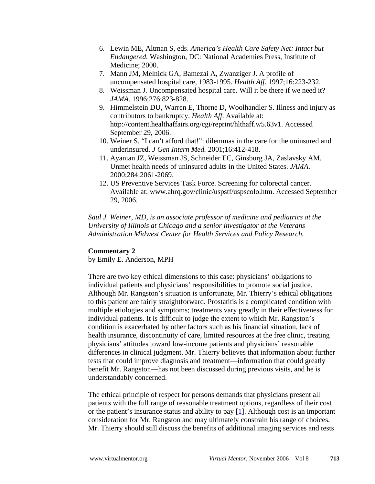- 6. Lewin ME, Altman S, eds. *America's Health Care Safety Net: Intact but Endangered.* Washington, DC: National Academies Press, Institute of Medicine; 2000.
- 7. Mann JM, Melnick GA, Bamezai A, Zwanziger J. A profile of uncompensated hospital care, 1983-1995. *Health Aff.* 1997;16:223-232.
- 8. Weissman J. Uncompensated hospital care. Will it be there if we need it? *JAMA*. 1996;276:823-828.
- 9. Himmelstein DU, Warren E, Thorne D, Woolhandler S. Illness and injury as contributors to bankruptcy. *Health Aff*. Available at: http://content.healthaffairs.org/cgi/reprint/hlthaff.w5.63v1. Accessed September 29, 2006.
- 10. Weiner S. "I can't afford that!": dilemmas in the care for the uninsured and underinsured. *J Gen Intern Med.* 2001;16:412-418.
- 11. Ayanian JZ, Weissman JS, Schneider EC, Ginsburg JA, Zaslavsky AM. Unmet health needs of uninsured adults in the United States. *JAMA*. 2000;284:2061-2069.
- 12. US Preventive Services Task Force. Screening for colorectal cancer. Available at: www.ahrq.gov/clinic/uspstf/uspscolo.htm. Accessed September 29, 2006.

*Saul J. Weiner, MD, is an associate professor of medicine and pediatrics at the University of Illinois at Chicago and a senior investigator at the Veterans Administration Midwest Center for Health Services and Policy Research.*

### **Commentary 2**

by Emily E. Anderson, MPH

There are two key ethical dimensions to this case: physicians' obligations to individual patients and physicians' responsibilities to promote social justice. Although Mr. Rangston's situation is unfortunate, Mr. Thierry's ethical obligations to this patient are fairly straightforward. Prostatitis is a complicated condition with multiple etiologies and symptoms; treatments vary greatly in their effectiveness for individual patients. It is difficult to judge the extent to which Mr. Rangston's condition is exacerbated by other factors such as his financial situation, lack of health insurance, discontinuity of care, limited resources at the free clinic, treating physicians' attitudes toward low-income patients and physicians' reasonable differences in clinical judgment. Mr. Thierry believes that information about further tests that could improve diagnosis and treatment—information that could greatly benefit Mr. Rangston—has not been discussed during previous visits, and he is understandably concerned.

The ethical principle of respect for persons demands that physicians present all patients with the full range of reasonable treatment options, regardless of their cost or the patient's insurance status and ability to pay  $[1]$ . Although cost is an important consideration for Mr. Rangston and may ultimately constrain his range of choices, Mr. Thierry should still discuss the benefits of additional imaging services and tests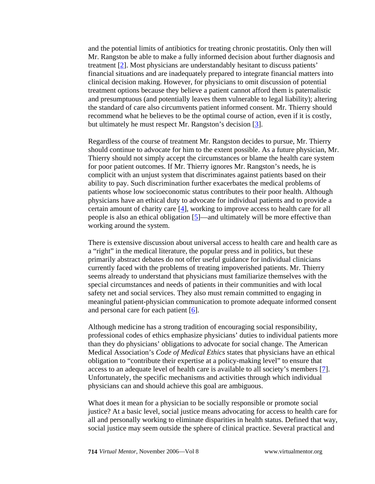and the potential limits of antibiotics for treating chronic prostatitis. Only then will Mr. Rangston be able to make a fully informed decision about further diagnosis and treatment [2]. Most physicians are understandably hesitant to discuss patients' financial situations and are inadequately prepared to integrate financial matters into clinical decision making. However, for physicians to omit discussion of potential treatment options because they believe a patient cannot afford them is paternalistic and presumptuous (and potentially leaves them vulnerable to legal liability); altering the standard of care also circumvents patient informed consent. Mr. Thierry should recommend what he believes to be the optimal course of action, even if it is costly, but ultimately he must respect Mr. Rangston's decision [3].

Regardless of the course of treatment Mr. Rangston decides to pursue, Mr. Thierry should continue to advocate for him to the extent possible. As a future physician, Mr. Thierry should not simply accept the circumstances or blame the health care system for poor patient outcomes. If Mr. Thierry ignores Mr. Rangston's needs, he is complicit with an unjust system that discriminates against patients based on their ability to pay. Such discrimination further exacerbates the medical problems of patients whose low socioeconomic status contributes to their poor health. Although physicians have an ethical duty to advocate for individual patients and to provide a certain amount of charity care [4], working to improve access to health care for all people is also an ethical obligation  $[5]$ —and ultimately will be more effective than working around the system.

There is extensive discussion about universal access to health care and health care as a "right" in the medical literature, the popular press and in politics, but these primarily abstract debates do not offer useful guidance for individual clinicians currently faced with the problems of treating impoverished patients. Mr. Thierry seems already to understand that physicians must familiarize themselves with the special circumstances and needs of patients in their communities and with local safety net and social services. They also must remain committed to engaging in meaningful patient-physician communication to promote adequate informed consent and personal care for each patient [6].

Although medicine has a strong tradition of encouraging social responsibility, professional codes of ethics emphasize physicians' duties to individual patients more than they do physicians' obligations to advocate for social change. The American Medical Association's *Code of Medical Ethics* states that physicians have an ethical obligation to "contribute their expertise at a policy-making level" to ensure that access to an adequate level of health care is available to all society's members [7]. Unfortunately, the specific mechanisms and activities through which individual physicians can and should achieve this goal are ambiguous.

What does it mean for a physician to be socially responsible or promote social justice? At a basic level, social justice means advocating for access to health care for all and personally working to eliminate disparities in health status. Defined that way, social justice may seem outside the sphere of clinical practice. Several practical and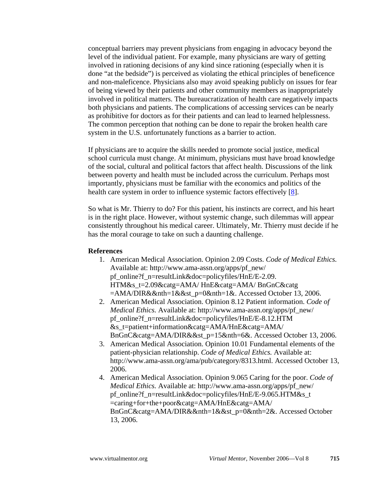conceptual barriers may prevent physicians from engaging in advocacy beyond the level of the individual patient. For example, many physicians are wary of getting involved in rationing decisions of any kind since rationing (especially when it is done "at the bedside") is perceived as violating the ethical principles of beneficence and non-maleficence. Physicians also may avoid speaking publicly on issues for fear of being viewed by their patients and other community members as inappropriately involved in political matters. The bureaucratization of health care negatively impacts both physicians and patients. The complications of accessing services can be nearly as prohibitive for doctors as for their patients and can lead to learned helplessness. The common perception that nothing can be done to repair the broken health care system in the U.S. unfortunately functions as a barrier to action.

If physicians are to acquire the skills needed to promote social justice, medical school curricula must change. At minimum, physicians must have broad knowledge of the social, cultural and political factors that affect health. Discussions of the link between poverty and health must be included across the curriculum. Perhaps most importantly, physicians must be familiar with the economics and politics of the health care system in order to influence systemic factors effectively [8].

So what is Mr. Thierry to do? For this patient, his instincts are correct, and his heart is in the right place. However, without systemic change, such dilemmas will appear consistently throughout his medical career. Ultimately, Mr. Thierry must decide if he has the moral courage to take on such a daunting challenge.

### **References**

- 1. American Medical Association. Opinion 2.09 Costs. *Code of Medical Ethics.* Available at: http://www.ama-assn.org/apps/pf\_new/ pf\_online?f\_n=resultLink&doc=policyfiles/HnE/E-2.09. HTM&s\_t=2.09&catg=AMA/ HnE&catg=AMA/ BnGnC&catg =AMA/DIR&&nth=1&&st\_p=0&nth=1&. Accessed October 13, 2006.
- 2. American Medical Association. Opinion 8.12 Patient information. *Code of Medical Ethics.* Available at: http://www.ama-assn.org/apps/pf\_new/ pf\_online?f\_n=resultLink&doc=policyfiles/HnE/E-8.12.HTM &s\_t=patient+information&catg=AMA/HnE&catg=AMA/ BnGnC&catg=AMA/DIR&&st\_p=15&nth=6&. Accessed October 13, 2006.
- 3. American Medical Association. Opinion 10.01 Fundamental elements of the patient-physician relationship. *Code of Medical Ethics.* Available at: http://www.ama-assn.org/ama/pub/category/8313.html. Accessed October 13, 2006.
- 4. American Medical Association. Opinion 9.065 Caring for the poor. *Code of Medical Ethics.* Available at: http://www.ama-assn.org/apps/pf\_new/ pf\_online?f\_n=resultLink&doc=policyfiles/HnE/E-9.065.HTM&s\_t\_ =caring+for+the+poor&catg=AMA/HnE&catg=AMA/ BnGnC&catg=AMA/DIR&&nth=1&&st\_p=0&nth=2&. Accessed October 13, 2006.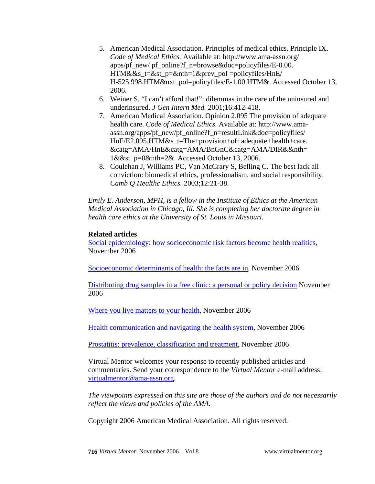- 5. American Medical Association. Principles of medical ethics. Principle IX. *Code of Medical Ethics.* Available at: http://www.ama-assn.org/ apps/pf\_new/ pf\_online?f\_n=browse&doc=policyfiles/E-0.00.  $HTM\&\&s$  t= $\&s$ t p= $\&t$ nth=1 $\&s$ prev pol =policyfiles/HnE/ H-525.998.HTM&nxt\_pol=policyfiles/E-1.00.HTM&. Accessed October 13, 2006.
- 6. Weiner S. "I can't afford that!": dilemmas in the care of the uninsured and underinsured. *J Gen Intern Med.* 2001;16:412-418.
- 7. American Medical Association. Opinion 2.095 The provision of adequate health care. *Code of Medical Ethics.* Available at: http://www.amaassn.org/apps/pf\_new/pf\_online?f\_n=resultLink&doc=policyfiles/ HnE/E2.095.HTM&s\_t=The+provision+of+adequate+health+care. &catg=AMA/HnE&catg=AMA/BnGnC&catg=AMA/DIR&&nth= 1&&st\_p=0&nth=2&. Accessed October 13, 2006.
- 8. Coulehan J, Williams PC, Van McCrary S, Belling C. The best lack all conviction: biomedical ethics, professionalism, and social responsibility. *Camb Q Healthc Ethics.* 2003;12:21-38.

*Emily E. Anderson, MPH, is a fellow in the Institute of Ethics at the American Medical Association in Chicago, Ill. She is completing her doctorate degree in health care ethics at the University of St. Louis in Missouri.*

### **Related articles**

[Social epidemiology: how socioeconomic risk factors become health realities,](http://www.ama-assn.org/ama/pub/category/16935.html)  November 2006

[Socioeconomic determinants of health: the facts are in](http://www.ama-assn.org/ama/pub/category/16937.html), November 2006

[Distributing drug samples in a free clinic: a personal or policy decision N](http://www.ama-assn.org/ama/pub/category/16933.html)ovember 2006

[Where you live matters to your health,](http://www.ama-assn.org/ama/pub/category/16941.html) November 2006

[Health communication and navigating the health system,](http://www.ama-assn.org/ama/pub/category/16945.html) November 2006

[Prostatitis: prevalence, classification and treatment,](http://www.ama-assn.org/ama/pub/category/16938.html) November 2006

Virtual Mentor welcomes your response to recently published articles and commentaries. Send your correspondence to the *Virtual Mentor* e-mail address: virtualmentor@ama-assn.org.

*The viewpoints expressed on this site are those of the authors and do not necessarily reflect the views and policies of the AMA.*

Copyright 2006 American Medical Association. All rights reserved.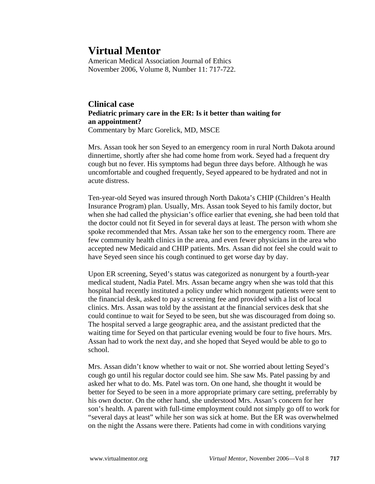**Virtual Mentor**<br>American Medical Association Journal of Ethics November 2006, Volume 8, Number 11: 717-722.

# **Clinical case Pediatric primary care in the ER: Is it better than waiting for an appointment?** Commentary by Marc Gorelick, MD, MSCE

Mrs. Assan took her son Seyed to an emergency room in rural North Dakota around dinnertime, shortly after she had come home from work. Seyed had a frequent dry cough but no fever. His symptoms had begun three days before. Although he was uncomfortable and coughed frequently, Seyed appeared to be hydrated and not in acute distress.

Ten-year-old Seyed was insured through North Dakota's CHIP (Children's Health Insurance Program) plan. Usually, Mrs. Assan took Seyed to his family doctor, but when she had called the physician's office earlier that evening, she had been told that the doctor could not fit Seyed in for several days at least. The person with whom she spoke recommended that Mrs. Assan take her son to the emergency room. There are few community health clinics in the area, and even fewer physicians in the area who accepted new Medicaid and CHIP patients. Mrs. Assan did not feel she could wait to have Seyed seen since his cough continued to get worse day by day.

Upon ER screening, Seyed's status was categorized as nonurgent by a fourth-year medical student, Nadia Patel. Mrs. Assan became angry when she was told that this hospital had recently instituted a policy under which nonurgent patients were sent to the financial desk, asked to pay a screening fee and provided with a list of local clinics. Mrs. Assan was told by the assistant at the financial services desk that she could continue to wait for Seyed to be seen, but she was discouraged from doing so. The hospital served a large geographic area, and the assistant predicted that the waiting time for Seyed on that particular evening would be four to five hours. Mrs. Assan had to work the next day, and she hoped that Seyed would be able to go to school.

Mrs. Assan didn't know whether to wait or not. She worried about letting Seyed's cough go until his regular doctor could see him. She saw Ms. Patel passing by and asked her what to do. Ms. Patel was torn. On one hand, she thought it would be better for Seyed to be seen in a more appropriate primary care setting, preferrably by his own doctor. On the other hand, she understood Mrs. Assan's concern for her son's health. A parent with full-time employment could not simply go off to work for "several days at least" while her son was sick at home. But the ER was overwhelmed on the night the Assans were there. Patients had come in with conditions varying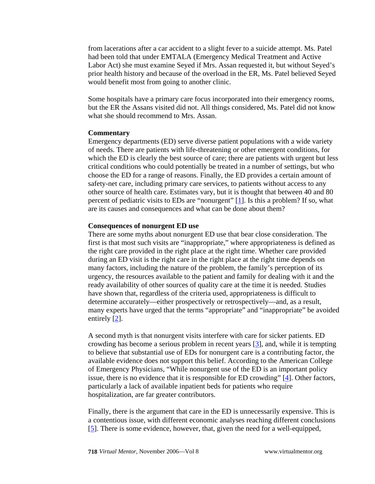from lacerations after a car accident to a slight fever to a suicide attempt. Ms. Patel had been told that under EMTALA (Emergency Medical Treatment and Active Labor Act) she must examine Seyed if Mrs. Assan requested it, but without Seyed's prior health history and because of the overload in the ER, Ms. Patel believed Seyed would benefit most from going to another clinic.

Some hospitals have a primary care focus incorporated into their emergency rooms, but the ER the Assans visited did not. All things considered, Ms. Patel did not know what she should recommend to Mrs. Assan.

### **Commentary**

Emergency departments (ED) serve diverse patient populations with a wide variety of needs. There are patients with life-threatening or other emergent conditions, for which the ED is clearly the best source of care; there are patients with urgent but less critical conditions who could potentially be treated in a number of settings, but who choose the ED for a range of reasons. Finally, the ED provides a certain amount of safety-net care, including primary care services, to patients without access to any other source of health care. Estimates vary, but it is thought that between 40 and 80 percent of pediatric visits to EDs are "nonurgent" [1]. Is this a problem? If so, what are its causes and consequences and what can be done about them?

### **Consequences of nonurgent ED use**

There are some myths about nonurgent ED use that bear close consideration. The first is that most such visits are "inappropriate," where appropriateness is defined as the right care provided in the right place at the right time. Whether care provided during an ED visit is the right care in the right place at the right time depends on many factors, including the nature of the problem, the family's perception of its urgency, the resources available to the patient and family for dealing with it and the ready availability of other sources of quality care at the time it is needed. Studies have shown that, regardless of the criteria used, appropriateness is difficult to determine accurately—either prospectively or retrospectively—and, as a result, many experts have urged that the terms "appropriate" and "inappropriate" be avoided entirely [2].

A second myth is that nonurgent visits interfere with care for sicker patients. ED crowding has become a serious problem in recent years [3], and, while it is tempting to believe that substantial use of EDs for nonurgent care is a contributing factor, the available evidence does not support this belief. According to the American College of Emergency Physicians, "While nonurgent use of the ED is an important policy issue, there is no evidence that it is responsible for ED crowding" [4]. Other factors, particularly a lack of available inpatient beds for patients who require hospitalization, are far greater contributors.

Finally, there is the argument that care in the ED is unnecessarily expensive. This is a contentious issue, with different economic analyses reaching different conclusions [5]. There is some evidence, however, that, given the need for a well-equipped,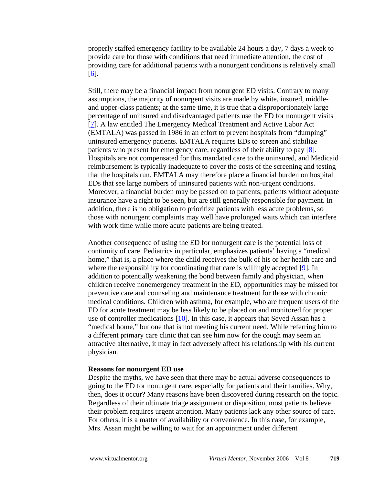properly staffed emergency facility to be available 24 hours a day, 7 days a week to provide care for those with conditions that need immediate attention, the cost of providing care for additional patients with a nonurgent conditions is relatively small [6].

Still, there may be a financial impact from nonurgent ED visits. Contrary to many assumptions, the majority of nonurgent visits are made by white, insured, middleand upper-class patients; at the same time, it is true that a disproportionately large percentage of uninsured and disadvantaged patients use the ED for nonurgent visits [7]. A law entitled The Emergency Medical Treatment and Active Labor Act (EMTALA) was passed in 1986 in an effort to prevent hospitals from "dumping" uninsured emergency patients. EMTALA requires EDs to screen and stabilize patients who present for emergency care, regardless of their ability to pay [8]. Hospitals are not compensated for this mandated care to the uninsured, and Medicaid reimbursement is typically inadequate to cover the costs of the screening and testing that the hospitals run. EMTALA may therefore place a financial burden on hospital EDs that see large numbers of uninsured patients with non-urgent conditions. Moreover, a financial burden may be passed on to patients; patients without adequate insurance have a right to be seen, but are still generally responsible for payment. In addition, there is no obligation to prioritize patients with less acute problems, so those with nonurgent complaints may well have prolonged waits which can interfere with work time while more acute patients are being treated.

Another consequence of using the ED for nonurgent care is the potential loss of continuity of care. Pediatrics in particular, emphasizes patients' having a "medical home," that is, a place where the child receives the bulk of his or her health care and where the responsibility for coordinating that care is willingly accepted [9]. In addition to potentially weakening the bond between family and physician, when children receive nonemergency treatment in the ED, opportunities may be missed for preventive care and counseling and maintenance treatment for those with chronic medical conditions. Children with asthma, for example, who are frequent users of the ED for acute treatment may be less likely to be placed on and monitored for proper use of controller medications  $[10]$ . In this case, it appears that Seyed Assan has a "medical home," but one that is not meeting his current need. While referring him to a different primary care clinic that can see him now for the cough may seem an attractive alternative, it may in fact adversely affect his relationship with his current physician.

### **Reasons for nonurgent ED use**

Despite the myths, we have seen that there may be actual adverse consequences to going to the ED for nonurgent care, especially for patients and their families. Why, then, does it occur? Many reasons have been discovered during research on the topic. Regardless of their ultimate triage assignment or disposition, most patients believe their problem requires urgent attention. Many patients lack any other source of care. For others, it is a matter of availability or convenience. In this case, for example, Mrs. Assan might be willing to wait for an appointment under different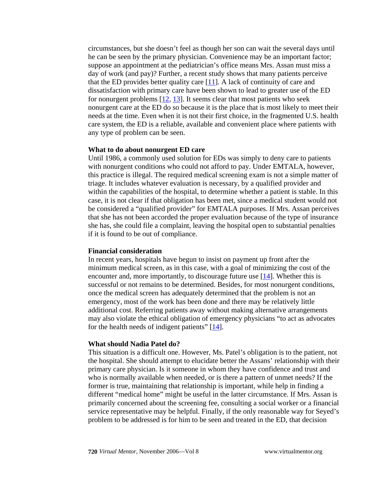circumstances, but she doesn't feel as though her son can wait the several days until he can be seen by the primary physician. Convenience may be an important factor; suppose an appointment at the pediatrician's office means Mrs. Assan must miss a day of work (and pay)? Further, a recent study shows that many patients perceive that the ED provides better quality care  $[11]$ . A lack of continuity of care and dissatisfaction with primary care have been shown to lead to greater use of the ED for nonurgent problems [12, 13]. It seems clear that most patients who seek nonurgent care at the ED do so because it is the place that is most likely to meet their needs at the time. Even when it is not their first choice, in the fragmented U.S. health care system, the ED is a reliable, available and convenient place where patients with any type of problem can be seen.

### **What to do about nonurgent ED care**

Until 1986, a commonly used solution for EDs was simply to deny care to patients with nonurgent conditions who could not afford to pay. Under EMTALA, however, this practice is illegal. The required medical screening exam is not a simple matter of triage. It includes whatever evaluation is necessary, by a qualified provider and within the capabilities of the hospital, to determine whether a patient is stable. In this case, it is not clear if that obligation has been met, since a medical student would not be considered a "qualified provider" for EMTALA purposes. If Mrs. Assan perceives that she has not been accorded the proper evaluation because of the type of insurance she has, she could file a complaint, leaving the hospital open to substantial penalties if it is found to be out of compliance.

### **Financial consideration**

In recent years, hospitals have begun to insist on payment up front after the minimum medical screen, as in this case, with a goal of minimizing the cost of the encounter and, more importantly, to discourage future use [14]. Whether this is successful or not remains to be determined. Besides, for most nonurgent conditions, once the medical screen has adequately determined that the problem is not an emergency, most of the work has been done and there may be relatively little additional cost. Referring patients away without making alternative arrangements may also violate the ethical obligation of emergency physicians "to act as advocates for the health needs of indigent patients" [14].

### **What should Nadia Patel do?**

This situation is a difficult one. However, Ms. Patel's obligation is to the patient, not the hospital. She should attempt to elucidate better the Assans' relationship with their primary care physician. Is it someone in whom they have confidence and trust and who is normally available when needed, or is there a pattern of unmet needs? If the former is true, maintaining that relationship is important, while help in finding a different "medical home" might be useful in the latter circumstance. If Mrs. Assan is primarily concerned about the screening fee, consulting a social worker or a financial service representative may be helpful. Finally, if the only reasonable way for Seyed's problem to be addressed is for him to be seen and treated in the ED, that decision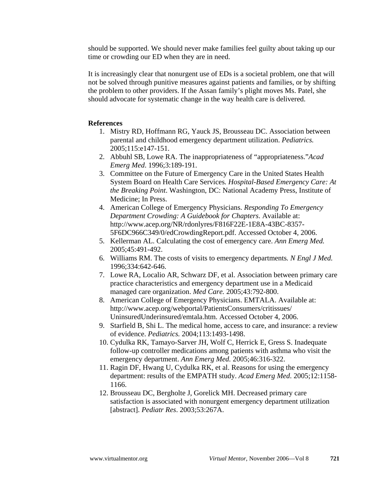should be supported. We should never make families feel guilty about taking up our time or crowding our ED when they are in need.

It is increasingly clear that nonurgent use of EDs is a societal problem, one that will not be solved through punitive measures against patients and families, or by shifting the problem to other providers. If the Assan family's plight moves Ms. Patel, she should advocate for systematic change in the way health care is delivered.

## **References**

- 1. Mistry RD, Hoffmann RG, Yauck JS, Brousseau DC. Association between parental and childhood emergency department utilization. *Pediatrics.* 2005;115:e147-151.
- 2. Abbuhl SB, Lowe RA. The inappropriateness of "appropriateness."*Acad Emerg Med*. 1996;3:189-191.
- 3. Committee on the Future of Emergency Care in the United States Health System Board on Health Care Services*. Hospital-Based Emergency Care: At the Breaking Point*. Washington, DC: National Academy Press, Institute of Medicine; In Press.
- 4. American College of Emergency Physicians. *Responding To Emergency Department Crowding: A Guidebook for Chapters*. Available at: http://www.acep.org/NR/rdonlyres/F816F22E-1E8A-43BC-8357- 5F6DC966C349/0/edCrowdingReport.pdf. Accessed October 4, 2006.
- 5. Kellerman AL. Calculating the cost of emergency care. *Ann Emerg Med.* 2005;45:491-492.
- 6. Williams RM. The costs of visits to emergency departments*. N Engl J Med.* 1996;334:642-646.
- 7. Lowe RA, Localio AR, Schwarz DF, et al. Association between primary care practice characteristics and emergency department use in a Medicaid managed care organization. *Med Care.* 2005;43:792-800.
- 8. American College of Emergency Physicians. EMTALA. Available at: http://www.acep.org/webportal/PatientsConsumers/critissues/ UninsuredUnderinsured/emtala.htm. Accessed October 4, 2006.
- 9. Starfield B, Shi L. The medical home, access to care, and insurance: a review of evidence. *Pediatrics.* 2004;113:1493-1498.
- 10. Cydulka RK, Tamayo-Sarver JH, Wolf C, Herrick E, Gress S. Inadequate follow-up controller medications among patients with asthma who visit the emergency department. *Ann Emerg Med.* 2005;46:316-322.
- 11. Ragin DF, Hwang U, Cydulka RK, et al. Reasons for using the emergency department: results of the EMPATH study. *Acad Emerg Med*. 2005;12:1158- 1166.
- 12. Brousseau DC, Bergholte J, Gorelick MH. Decreased primary care satisfaction is associated with nonurgent emergency department utilization [abstract]. *Pediatr Res*. 2003;53:267A.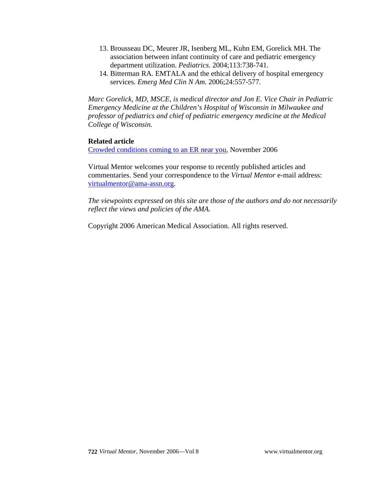- 13. Brousseau DC, Meurer JR, Isenberg ML, Kuhn EM, Gorelick MH. The association between infant continuity of care and pediatric emergency department utilization. *Pediatrics.* 2004;113:738-741.
- 14. Bitterman RA. EMTALA and the ethical delivery of hospital emergency services. *Emerg Med Clin N Am.* 2006;24:557-577.

*Marc Gorelick, MD, MSCE, is medical director and Jon E. Vice Chair in Pediatric Emergency Medicine at the Children's Hospital of Wisconsin in Milwaukee and professor of pediatrics and chief of pediatric emergency medicine at the Medical College of Wisconsin.*

## **Related article**

[Crowded conditions coming to an ER near you,](http://www.ama-assn.org/ama/pub/category/16942.html) November 2006

Virtual Mentor welcomes your response to recently published articles and commentaries. Send your correspondence to the *Virtual Mentor* e-mail address: virtualmentor@ama-assn.org.

*The viewpoints expressed on this site are those of the authors and do not necessarily reflect the views and policies of the AMA.*

Copyright 2006 American Medical Association. All rights reserved.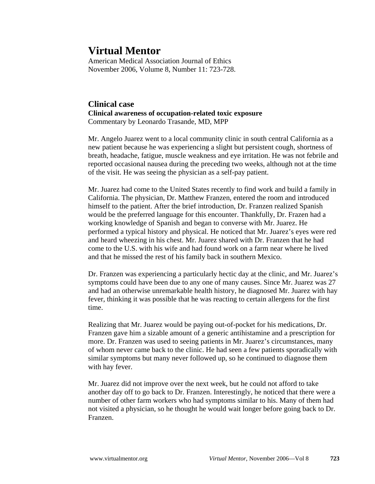**Virtual Mentor**<br>American Medical Association Journal of Ethics November 2006, Volume 8, Number 11: 723-728.

# **Clinical case Clinical awareness of occupation-related toxic exposure** Commentary by Leonardo Trasande, MD, MPP

Mr. Angelo Juarez went to a local community clinic in south central California as a new patient because he was experiencing a slight but persistent cough, shortness of breath, headache, fatigue, muscle weakness and eye irritation. He was not febrile and reported occasional nausea during the preceding two weeks, although not at the time of the visit. He was seeing the physician as a self-pay patient.

Mr. Juarez had come to the United States recently to find work and build a family in California. The physician, Dr. Matthew Franzen, entered the room and introduced himself to the patient. After the brief introduction, Dr. Franzen realized Spanish would be the preferred language for this encounter. Thankfully, Dr. Frazen had a working knowledge of Spanish and began to converse with Mr. Juarez. He performed a typical history and physical. He noticed that Mr. Juarez's eyes were red and heard wheezing in his chest. Mr. Juarez shared with Dr. Franzen that he had come to the U.S. with his wife and had found work on a farm near where he lived and that he missed the rest of his family back in southern Mexico.

Dr. Franzen was experiencing a particularly hectic day at the clinic, and Mr. Juarez's symptoms could have been due to any one of many causes. Since Mr. Juarez was 27 and had an otherwise unremarkable health history, he diagnosed Mr. Juarez with hay fever, thinking it was possible that he was reacting to certain allergens for the first time.

Realizing that Mr. Juarez would be paying out-of-pocket for his medications, Dr. Franzen gave him a sizable amount of a generic antihistamine and a prescription for more. Dr. Franzen was used to seeing patients in Mr. Juarez's circumstances, many of whom never came back to the clinic. He had seen a few patients sporadically with similar symptoms but many never followed up, so he continued to diagnose them with hay fever.

Mr. Juarez did not improve over the next week, but he could not afford to take another day off to go back to Dr. Franzen. Interestingly, he noticed that there were a number of other farm workers who had symptoms similar to his. Many of them had not visited a physician, so he thought he would wait longer before going back to Dr. Franzen.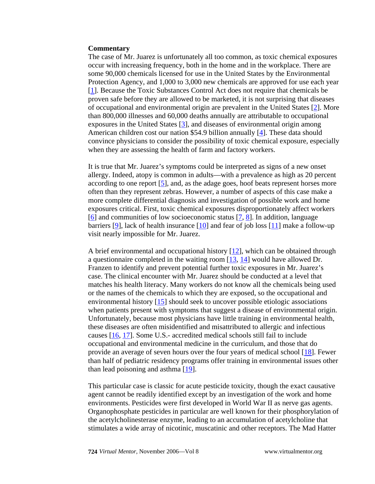### **Commentary**

The case of Mr. Juarez is unfortunately all too common, as toxic chemical exposures occur with increasing frequency, both in the home and in the workplace. There are some 90,000 chemicals licensed for use in the United States by the Environmental Protection Agency, and 1,000 to 3,000 new chemicals are approved for use each year [1]. Because the Toxic Substances Control Act does not require that chemicals be proven safe before they are allowed to be marketed, it is not surprising that diseases of occupational and environmental origin are prevalent in the United States [2]. More than 800,000 illnesses and 60,000 deaths annually are attributable to occupational exposures in the United States [3], and diseases of environmental origin among American children cost our nation \$54.9 billion annually [4]. These data should convince physicians to consider the possibility of toxic chemical exposure, especially when they are assessing the health of farm and factory workers.

It is true that Mr. Juarez's symptoms could be interpreted as signs of a new onset allergy. Indeed, atopy is common in adults—with a prevalence as high as 20 percent according to one report [5], and, as the adage goes, hoof beats represent horses more often than they represent zebras. However, a number of aspects of this case make a more complete differential diagnosis and investigation of possible work and home exposures critical. First, toxic chemical exposures disproportionately affect workers [6] and communities of low socioeconomic status [7, 8]. In addition, language barriers [9], lack of health insurance [10] and fear of job loss [11] make a follow-up visit nearly impossible for Mr. Juarez.

A brief environmental and occupational history  $[12]$ , which can be obtained through a questionnaire completed in the waiting room [13, 14] would have allowed Dr. Franzen to identify and prevent potential further toxic exposures in Mr. Juarez's case. The clinical encounter with Mr. Juarez should be conducted at a level that matches his health literacy. Many workers do not know all the chemicals being used or the names of the chemicals to which they are exposed, so the occupational and environmental history [15] should seek to uncover possible etiologic associations when patients present with symptoms that suggest a disease of environmental origin. Unfortunately, because most physicians have little training in environmental health, these diseases are often misidentified and misattributed to allergic and infectious causes [16, 17]. Some U.S.- accredited medical schools still fail to include occupational and environmental medicine in the curriculum, and those that do provide an average of seven hours over the four years of medical school [18]. Fewer than half of pediatric residency programs offer training in environmental issues other than lead poisoning and asthma [19].

This particular case is classic for acute pesticide toxicity, though the exact causative agent cannot be readily identified except by an investigation of the work and home environments. Pesticides were first developed in World War II as nerve gas agents. Organophosphate pesticides in particular are well known for their phosphorylation of the acetylcholinesterase enzyme, leading to an accumulation of acetylcholine that stimulates a wide array of nicotinic, muscatinic and other receptors. The Mad Hatter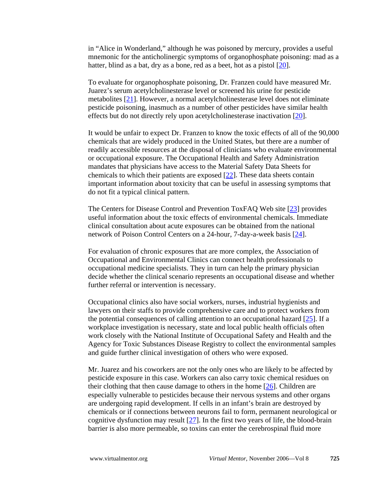in "Alice in Wonderland," although he was poisoned by mercury, provides a useful mnemonic for the anticholinergic symptoms of organophosphate poisoning: mad as a hatter, blind as a bat, dry as a bone, red as a beet, hot as a pistol [20].

To evaluate for organophosphate poisoning, Dr. Franzen could have measured Mr. Juarez's serum acetylcholinesterase level or screened his urine for pesticide metabolites [21]. However, a normal acetylcholinesterase level does not eliminate pesticide poisoning, inasmuch as a number of other pesticides have similar health effects but do not directly rely upon acetylcholinesterase inactivation [20].

It would be unfair to expect Dr. Franzen to know the toxic effects of all of the 90,000 chemicals that are widely produced in the United States, but there are a number of readily accessible resources at the disposal of clinicians who evaluate environmental or occupational exposure. The Occupational Health and Safety Administration mandates that physicians have access to the Material Safety Data Sheets for chemicals to which their patients are exposed [22]. These data sheets contain important information about toxicity that can be useful in assessing symptoms that do not fit a typical clinical pattern.

The Centers for Disease Control and Prevention ToxFAQ Web site [23] provides useful information about the toxic effects of environmental chemicals. Immediate clinical consultation about acute exposures can be obtained from the national network of Poison Control Centers on a 24-hour, 7-day-a-week basis [24].

For evaluation of chronic exposures that are more complex, the Association of Occupational and Environmental Clinics can connect health professionals to occupational medicine specialists. They in turn can help the primary physician decide whether the clinical scenario represents an occupational disease and whether further referral or intervention is necessary.

Occupational clinics also have social workers, nurses, industrial hygienists and lawyers on their staffs to provide comprehensive care and to protect workers from the potential consequences of calling attention to an occupational hazard [25]. If a workplace investigation is necessary, state and local public health officials often work closely with the National Institute of Occupational Safety and Health and the Agency for Toxic Substances Disease Registry to collect the environmental samples and guide further clinical investigation of others who were exposed.

Mr. Juarez and his coworkers are not the only ones who are likely to be affected by pesticide exposure in this case. Workers can also carry toxic chemical residues on their clothing that then cause damage to others in the home  $[26]$ . Children are especially vulnerable to pesticides because their nervous systems and other organs are undergoing rapid development. If cells in an infant's brain are destroyed by chemicals or if connections between neurons fail to form, permanent neurological or cognitive dysfunction may result  $[27]$ . In the first two years of life, the blood-brain barrier is also more permeable, so toxins can enter the cerebrospinal fluid more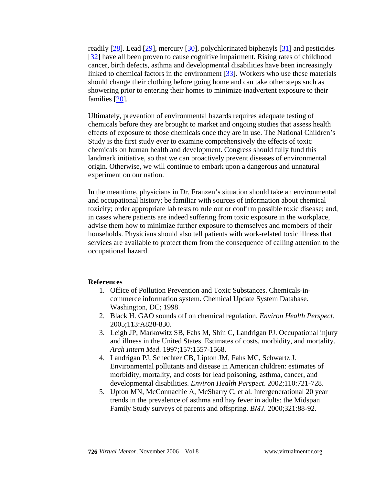readily [28]. Lead [29], mercury [30], polychlorinated biphenyls [31] and pesticides [32] have all been proven to cause cognitive impairment. Rising rates of childhood cancer, birth defects, asthma and developmental disabilities have been increasingly linked to chemical factors in the environment [33]. Workers who use these materials should change their clothing before going home and can take other steps such as showering prior to entering their homes to minimize inadvertent exposure to their families [20].

Ultimately, prevention of environmental hazards requires adequate testing of chemicals before they are brought to market and ongoing studies that assess health effects of exposure to those chemicals once they are in use. The National Children's Study is the first study ever to examine comprehensively the effects of toxic chemicals on human health and development. Congress should fully fund this landmark initiative, so that we can proactively prevent diseases of environmental origin. Otherwise, we will continue to embark upon a dangerous and unnatural experiment on our nation.

In the meantime, physicians in Dr. Franzen's situation should take an environmental and occupational history; be familiar with sources of information about chemical toxicity; order appropriate lab tests to rule out or confirm possible toxic disease; and, in cases where patients are indeed suffering from toxic exposure in the workplace, advise them how to minimize further exposure to themselves and members of their households. Physicians should also tell patients with work-related toxic illness that services are available to protect them from the consequence of calling attention to the occupational hazard.

## **References**

- 1. Office of Pollution Prevention and Toxic Substances. Chemicals-incommerce information system. Chemical Update System Database. Washington, DC; 1998.
- 2. Black H. GAO sounds off on chemical regulation. *Environ Health Perspect.* 2005;113:A828-830.
- 3. Leigh JP, Markowitz SB, Fahs M, Shin C, Landrigan PJ. Occupational injury and illness in the United States. Estimates of costs, morbidity, and mortality. *Arch Intern Med*. 1997;157:1557-1568.
- 4. Landrigan PJ, Schechter CB, Lipton JM, Fahs MC, Schwartz J. Environmental pollutants and disease in American children: estimates of morbidity, mortality, and costs for lead poisoning, asthma, cancer, and developmental disabilities. *Environ Health Perspect*. 2002;110:721-728.
- 5. Upton MN, McConnachie A, McSharry C, et al. Intergenerational 20 year trends in the prevalence of asthma and hay fever in adults: the Midspan Family Study surveys of parents and offspring. *BMJ.* 2000;321:88-92.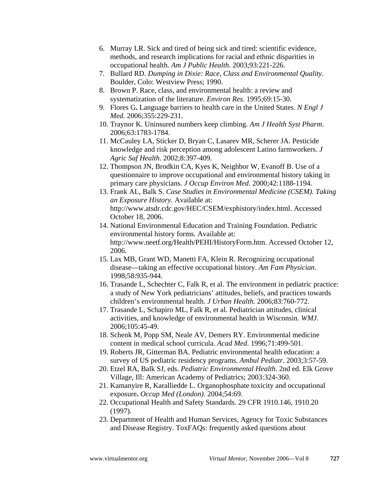- 6. Murray LR. Sick and tired of being sick and tired: scientific evidence, methods, and research implications for racial and ethnic disparities in occupational health. *Am J Public Health*. 2003;93:221-226.
- 7. Bullard RD. *Dumping in Dixie: Race, Class and Environmental Quality.* Boulder, Colo: Westview Press; 1990.
- 8. Brown P. Race, class, and environmental health: a review and systematization of the literature. *Environ Res*. 1995;69:15-30.
- 9. Flores G**.** Language barriers to health care in the United States. *N Engl J Med.* 2006;355:229-231.
- 10. Traynor K. Uninsured numbers keep climbing. *Am J Health Syst Pharm*. 2006;63:1783-1784.
- 11. McCauley LA, Sticker D, Bryan C, Lasarev MR, Scherer JA. Pesticide knowledge and risk perception among adolescent Latino farmworkers. *J Agric Saf Health*. 2002;8:397-409.
- 12. Thompson JN, Brodkin CA, Kyes K, Neighbor W, Evanoff B. Use of a questionnaire to improve occupational and environmental history taking in primary care physicians. *J Occup Environ Med.* 2000;42:1188-1194.
- 13. Frank AL, Balk S. *Case Studies in Environmental Medicine (CSEM). Taking an Exposure History.* Available at: http://www.atsdr.cdc.gov/HEC/CSEM/exphistory/index.html. Accessed October 18, 2006.
- 14. National Environmental Education and Training Foundation. Pediatric environmental history forms. Available at: http://www.neetf.org/Health/PEHI/HistoryForm.htm. Accessed October 12, 2006.
- 15. Lax MB, Grant WD, Manetti FA, Klein R. Recognizing occupational disease—taking an effective occupational history. *Am Fam Physician*. 1998;58:935-944.
- 16. Trasande L, Schechter C, Falk R, et al. The environment in pediatric practice: a study of New York pediatricians' attitudes, beliefs, and practices towards children's environmental health. *J Urban Health.* 2006;83:760-772.
- 17. Trasande L, Schapiro ML, Falk R, et al. Pediatrician attitudes, clinical activities, and knowledge of environmental health in Wisconsin. *WMJ*. 2006;105:45-49.
- 18. Schenk M, Popp SM, Neale AV, Demers RY. Environmental medicine content in medical school curricula. *Acad Med*. 1996;71:499-501.
- 19. Roberts JR, Gitterman BA. Pediatric environmental health education: a survey of US pediatric residency programs. *Ambul Pediatr*. 2003;3:57-59.
- 20. Etzel RA, Balk SJ, eds. *Pediatric Environmental Health*. 2nd ed. Elk Grove Village, Ill: American Academy of Pediatrics; 2003:324-360.
- 21. Kamanyire R, Karalliedde L. Organophosphate toxicity and occupational exposure**.** *Occup Med (London).* 2004;54:69.
- 22. Occupational Health and Safety Standards. 29 CFR 1910.146, 1910.20 (1997).
- 23. Department of Health and Human Services, Agency for Toxic Substances and Disease Registry. ToxFAQs: frequently asked questions about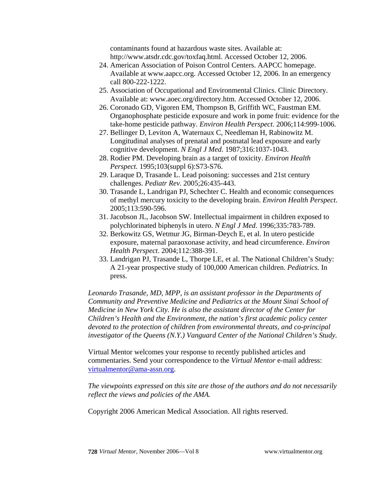contaminants found at hazardous waste sites. Available at: http://www.atsdr.cdc.gov/toxfaq.html. Accessed October 12, 2006.

- 24. American Association of Poison Control Centers. AAPCC homepage. Available at www.aapcc.org. Accessed October 12, 2006. In an emergency call 800-222-1222.
- 25. Association of Occupational and Environmental Clinics. Clinic Directory. Available at: www.aoec.org/directory.htm. Accessed October 12, 2006.
- 26. Coronado GD, Vigoren EM, Thompson B, Griffith WC, Faustman EM. Organophosphate pesticide exposure and work in pome fruit: evidence for the take-home pesticide pathway. *Environ Health Perspect*. 2006;114:999-1006.
- 27. Bellinger D, Leviton A, Waternaux C, Needleman H, Rabinowitz M. Longitudinal analyses of prenatal and postnatal lead exposure and early cognitive development. *N Engl J Med*. 1987;316:1037-1043.
- 28. Rodier PM. Developing brain as a target of toxicity. *Environ Health Perspect.* 1995;103(suppl 6):S73-S76.
- 29. Laraque D, Trasande L. Lead poisoning: successes and 21st century challenges. *Pediatr Rev.* 2005;26:435-443.
- 30. Trasande L, Landrigan PJ, Schechter C. Health and economic consequences of methyl mercury toxicity to the developing brain. *Environ Health Perspect*. 2005;113:590-596.
- 31. Jacobson JL, Jacobson SW. Intellectual impairment in children exposed to polychlorinated biphenyls in utero. *N Engl J Med*. 1996;335:783-789.
- 32. Berkowitz GS, Wetmur JG, Birman-Deych E, et al. In utero pesticide exposure, maternal paraoxonase activity, and head circumference. *Environ Health Perspect*. 2004;112:388-391.
- 33. Landrigan PJ, Trasande L, Thorpe LE, et al. The National Children's Study: A 21-year prospective study of 100,000 American children. *Pediatrics.* In press.

*Leonardo Trasande, MD, MPP, is an assistant professor in the Departments of Community and Preventive Medicine and Pediatrics at the Mount Sinai School of Medicine in New York City. He is also the assistant director of the Center for Children's Health and the Environment, the nation's first academic policy center devoted to the protection of children from environmental threats, and co-principal investigator of the Queens (N.Y.) Vanguard Center of the National Children's Study.*

Virtual Mentor welcomes your response to recently published articles and commentaries. Send your correspondence to the *Virtual Mentor* e-mail address: virtualmentor@ama-assn.org.

*The viewpoints expressed on this site are those of the authors and do not necessarily reflect the views and policies of the AMA.*

Copyright 2006 American Medical Association. All rights reserved.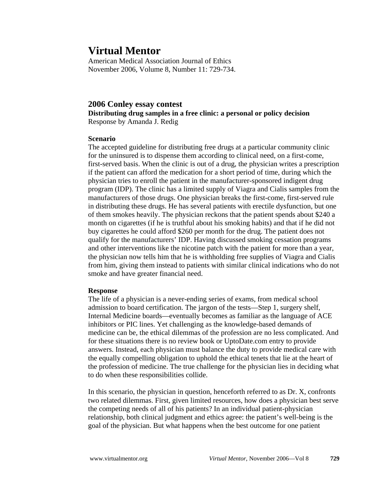**Virtual Mentor**<br>American Medical Association Journal of Ethics November 2006, Volume 8, Number 11: 729-734.

## **2006 Conley essay contest**

**Distributing drug samples in a free clinic: a personal or policy decision** Response by Amanda J. Redig

### **Scenario**

The accepted guideline for distributing free drugs at a particular community clinic for the uninsured is to dispense them according to clinical need, on a first-come, first-served basis. When the clinic is out of a drug, the physician writes a prescription if the patient can afford the medication for a short period of time, during which the physician tries to enroll the patient in the manufacturer-sponsored indigent drug program (IDP). The clinic has a limited supply of Viagra and Cialis samples from the manufacturers of those drugs. One physician breaks the first-come, first-served rule in distributing these drugs. He has several patients with erectile dysfunction, but one of them smokes heavily. The physician reckons that the patient spends about \$240 a month on cigarettes (if he is truthful about his smoking habits) and that if he did not buy cigarettes he could afford \$260 per month for the drug. The patient does not qualify for the manufacturers' IDP. Having discussed smoking cessation programs and other interventions like the nicotine patch with the patient for more than a year, the physician now tells him that he is withholding free supplies of Viagra and Cialis from him, giving them instead to patients with similar clinical indications who do not smoke and have greater financial need.

## **Response**

The life of a physician is a never-ending series of exams, from medical school admission to board certification. The jargon of the tests—Step 1, surgery shelf, Internal Medicine boards—eventually becomes as familiar as the language of ACE inhibitors or PIC lines. Yet challenging as the knowledge-based demands of medicine can be, the ethical dilemmas of the profession are no less complicated. And for these situations there is no review book or UptoDate.com entry to provide answers. Instead, each physician must balance the duty to provide medical care with the equally compelling obligation to uphold the ethical tenets that lie at the heart of the profession of medicine. The true challenge for the physician lies in deciding what to do when these responsibilities collide.

In this scenario, the physician in question, henceforth referred to as Dr. X, confronts two related dilemmas. First, given limited resources, how does a physician best serve the competing needs of all of his patients? In an individual patient-physician relationship, both clinical judgment and ethics agree: the patient's well-being is the goal of the physician. But what happens when the best outcome for one patient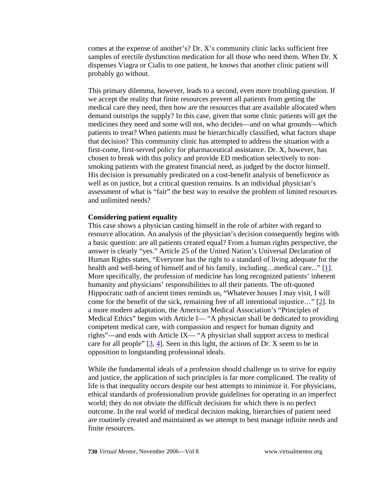comes at the expense of another's? Dr. X's community clinic lacks sufficient free samples of erectile dysfunction medication for all those who need them. When Dr. X dispenses Viagra or Cialis to one patient, he knows that another clinic patient will probably go without.

This primary dilemma, however, leads to a second, even more troubling question. If we accept the reality that finite resources prevent all patients from getting the medical care they need, then how are the resources that are available allocated when demand outstrips the supply? In this case, given that some clinic patients will get the medicines they need and some will not, who decides—and on what grounds—which patients to treat? When patients must be hierarchically classified, what factors shape that decision? This community clinic has attempted to address the situation with a first-come, first-served policy for pharmaceutical assistance. Dr. X, however, has chosen to break with this policy and provide ED medication selectively to nonsmoking patients with the greatest financial need, as judged by the doctor himself. His decision is presumably predicated on a cost-benefit analysis of beneficence as well as on justice, but a critical question remains. Is an individual physician's assessment of what is "fair" the best way to resolve the problem of limited resources and unlimited needs?

### **Considering patient equality**

This case shows a physician casting himself in the role of arbiter with regard to resource allocation. An analysis of the physician's decision consequently begins with a basic question: are all patients created equal? From a human rights perspective, the answer is clearly "yes." Article 25 of the United Nation's Universal Declaration of Human Rights states, "Everyone has the right to a standard of living adequate for the health and well-being of himself and of his family, including…medical care..." [1]. More specifically, the profession of medicine has long recognized patients' inherent humanity and physicians' responsibilities to all their patients. The oft-quoted Hippocratic oath of ancient times reminds us, "Whatever houses I may visit, I will come for the benefit of the sick, remaining free of all intentional injustice…" [2]. In a more modern adaptation, the American Medical Association's "Principles of Medical Ethics" begins with Article I— "A physician shall be dedicated to providing competent medical care, with compassion and respect for human dignity and rights"—and ends with Article IX— "A physician shall support access to medical care for all people"  $[3, 4]$ . Seen in this light, the actions of Dr. X seem to be in opposition to longstanding professional ideals.

While the fundamental ideals of a profession should challenge us to strive for equity and justice, the application of such principles is far more complicated. The reality of life is that inequality occurs despite our best attempts to minimize it. For physicians, ethical standards of professionalism provide guidelines for operating in an imperfect world; they do not obviate the difficult decisions for which there is no perfect outcome. In the real world of medical decision making, hierarchies of patient need are routinely created and maintained as we attempt to best manage infinite needs and finite resources.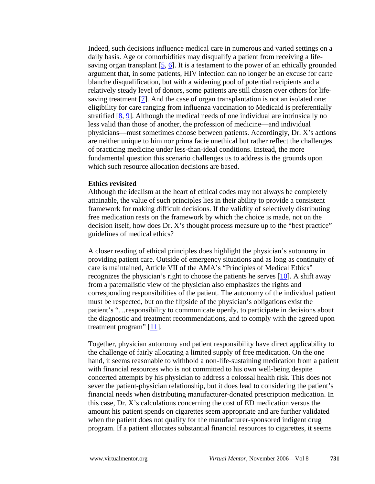Indeed, such decisions influence medical care in numerous and varied settings on a daily basis. Age or comorbidities may disqualify a patient from receiving a lifesaving organ transplant  $[5, 6]$ . It is a testament to the power of an ethically grounded argument that, in some patients, HIV infection can no longer be an excuse for carte blanche disqualification, but with a widening pool of potential recipients and a relatively steady level of donors, some patients are still chosen over others for lifesaving treatment [7]. And the case of organ transplantation is not an isolated one: eligibility for care ranging from influenza vaccination to Medicaid is preferentially stratified [8, 9]. Although the medical needs of one individual are intrinsically no less valid than those of another, the profession of medicine—and individual physicians—must sometimes choose between patients. Accordingly, Dr. X's actions are neither unique to him nor prima facie unethical but rather reflect the challenges of practicing medicine under less-than-ideal conditions. Instead, the more fundamental question this scenario challenges us to address is the grounds upon which such resource allocation decisions are based.

### **Ethics revisited**

Although the idealism at the heart of ethical codes may not always be completely attainable, the value of such principles lies in their ability to provide a consistent framework for making difficult decisions. If the validity of selectively distributing free medication rests on the framework by which the choice is made, not on the decision itself, how does Dr. X's thought process measure up to the "best practice" guidelines of medical ethics?

A closer reading of ethical principles does highlight the physician's autonomy in providing patient care. Outside of emergency situations and as long as continuity of care is maintained, Article VII of the AMA's "Principles of Medical Ethics" recognizes the physician's right to choose the patients he serves [10]. A shift away from a paternalistic view of the physician also emphasizes the rights and corresponding responsibilities of the patient. The autonomy of the individual patient must be respected, but on the flipside of the physician's obligations exist the patient's "…responsibility to communicate openly, to participate in decisions about the diagnostic and treatment recommendations, and to comply with the agreed upon treatment program"  $[11]$ .

Together, physician autonomy and patient responsibility have direct applicability to the challenge of fairly allocating a limited supply of free medication. On the one hand, it seems reasonable to withhold a non-life-sustaining medication from a patient with financial resources who is not committed to his own well-being despite concerted attempts by his physician to address a colossal health risk. This does not sever the patient-physician relationship, but it does lead to considering the patient's financial needs when distributing manufacturer-donated prescription medication. In this case, Dr. X's calculations concerning the cost of ED medication versus the amount his patient spends on cigarettes seem appropriate and are further validated when the patient does not qualify for the manufacturer-sponsored indigent drug program. If a patient allocates substantial financial resources to cigarettes, it seems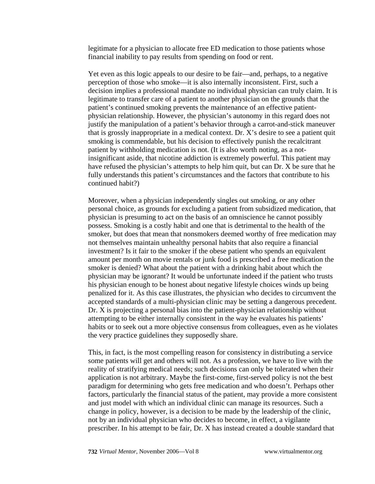legitimate for a physician to allocate free ED medication to those patients whose financial inability to pay results from spending on food or rent.

Yet even as this logic appeals to our desire to be fair—and, perhaps, to a negative perception of those who smoke—it is also internally inconsistent. First, such a decision implies a professional mandate no individual physician can truly claim. It is legitimate to transfer care of a patient to another physician on the grounds that the patient's continued smoking prevents the maintenance of an effective patientphysician relationship. However, the physician's autonomy in this regard does not justify the manipulation of a patient's behavior through a carrot-and-stick maneuver that is grossly inappropriate in a medical context. Dr. X's desire to see a patient quit smoking is commendable, but his decision to effectively punish the recalcitrant patient by withholding medication is not. (It is also worth noting, as a notinsignificant aside, that nicotine addiction is extremely powerful. This patient may have refused the physician's attempts to help him quit, but can Dr. X be sure that he fully understands this patient's circumstances and the factors that contribute to his continued habit?)

Moreover, when a physician independently singles out smoking, or any other personal choice, as grounds for excluding a patient from subsidized medication, that physician is presuming to act on the basis of an omniscience he cannot possibly possess. Smoking is a costly habit and one that is detrimental to the health of the smoker, but does that mean that nonsmokers deemed worthy of free medication may not themselves maintain unhealthy personal habits that also require a financial investment? Is it fair to the smoker if the obese patient who spends an equivalent amount per month on movie rentals or junk food is prescribed a free medication the smoker is denied? What about the patient with a drinking habit about which the physician may be ignorant? It would be unfortunate indeed if the patient who trusts his physician enough to be honest about negative lifestyle choices winds up being penalized for it. As this case illustrates, the physician who decides to circumvent the accepted standards of a multi-physician clinic may be setting a dangerous precedent. Dr. X is projecting a personal bias into the patient-physician relationship without attempting to be either internally consistent in the way he evaluates his patients' habits or to seek out a more objective consensus from colleagues, even as he violates the very practice guidelines they supposedly share.

This, in fact, is the most compelling reason for consistency in distributing a service some patients will get and others will not. As a profession, we have to live with the reality of stratifying medical needs; such decisions can only be tolerated when their application is not arbitrary. Maybe the first-come, first-served policy is not the best paradigm for determining who gets free medication and who doesn't. Perhaps other factors, particularly the financial status of the patient, may provide a more consistent and just model with which an individual clinic can manage its resources. Such a change in policy, however, is a decision to be made by the leadership of the clinic, not by an individual physician who decides to become, in effect, a vigilante prescriber. In his attempt to be fair, Dr. X has instead created a double standard that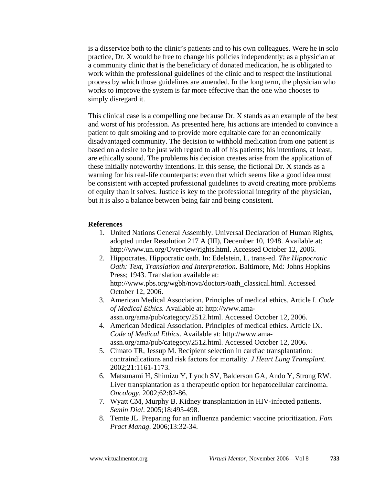is a disservice both to the clinic's patients and to his own colleagues. Were he in solo practice, Dr. X would be free to change his policies independently; as a physician at a community clinic that is the beneficiary of donated medication, he is obligated to work within the professional guidelines of the clinic and to respect the institutional process by which those guidelines are amended. In the long term, the physician who works to improve the system is far more effective than the one who chooses to simply disregard it.

This clinical case is a compelling one because Dr. X stands as an example of the best and worst of his profession. As presented here, his actions are intended to convince a patient to quit smoking and to provide more equitable care for an economically disadvantaged community. The decision to withhold medication from one patient is based on a desire to be just with regard to all of his patients; his intentions, at least, are ethically sound. The problems his decision creates arise from the application of these initially noteworthy intentions. In this sense, the fictional Dr. X stands as a warning for his real-life counterparts: even that which seems like a good idea must be consistent with accepted professional guidelines to avoid creating more problems of equity than it solves. Justice is key to the professional integrity of the physician, but it is also a balance between being fair and being consistent.

### **References**

- 1. United Nations General Assembly. Universal Declaration of Human Rights, adopted under Resolution 217 A (III), December 10, 1948. Available at: http://www.un.org/Overview/rights.html. Accessed October 12, 2006.
- 2. Hippocrates. Hippocratic oath. In: Edelstein, L, trans-ed. *The Hippocratic Oath: Text, Translation and Interpretation.* Baltimore, Md: Johns Hopkins Press; 1943. Translation available at: http://www.pbs.org/wgbh/nova/doctors/oath\_classical.html. Accessed October 12, 2006.
- 3. American Medical Association. Principles of medical ethics. Article I. *Code of Medical Ethics.* Available at: http://www.amaassn.org/ama/pub/category/2512.html. Accessed October 12, 2006.
- 4. American Medical Association. Principles of medical ethics. Article IX. *Code of Medical Ethics*. Available at: http://www.amaassn.org/ama/pub/category/2512.html. Accessed October 12, 2006.
- 5. Cimato TR, Jessup M. Recipient selection in cardiac transplantation: contraindications and risk factors for mortality. *J Heart Lung Transplant*. 2002;21:1161-1173.
- 6. Matsunami H, Shimizu Y, Lynch SV, Balderson GA, Ando Y, Strong RW. Liver transplantation as a therapeutic option for hepatocellular carcinoma. *Oncology*. 2002;62:82-86.
- 7. Wyatt CM, Murphy B. Kidney transplantation in HIV-infected patients. *Semin Dial*. 2005;18:495-498.
- 8. Temte JL. Preparing for an influenza pandemic: vaccine prioritization. *Fam Pract Manag*. 2006;13:32-34.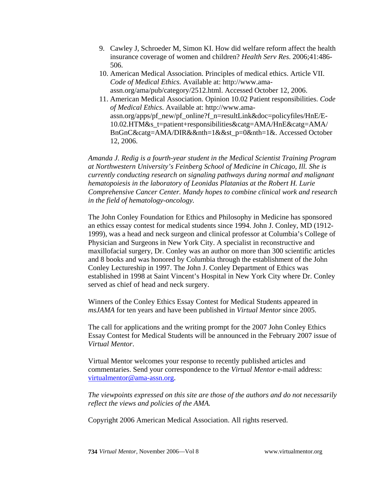- 9. Cawley J, Schroeder M, Simon KI. How did welfare reform affect the health insurance coverage of women and children? *Health Serv Res*. 2006;41:486- 506.
- 10. American Medical Association. Principles of medical ethics. Article VII. *Code of Medical Ethics.* Available at: http://www.amaassn.org/ama/pub/category/2512.html. Accessed October 12, 2006.
- 11. American Medical Association. Opinion 10.02 Patient responsibilities. *Code of Medical Ethics*. Available at: http://www.amaassn.org/apps/pf\_new/pf\_online?f\_n=resultLink&doc=policyfiles/HnE/E-10.02.HTM&s\_t=patient+responsibilities&catg=AMA/HnE&catg=AMA/ BnGnC&catg=AMA/DIR&&nth=1&&st\_p=0&nth=1&. Accessed October 12, 2006.

*Amanda J. Redig is a fourth-year student in the Medical Scientist Training Program at Northwestern University's Feinberg School of Medicine in Chicago, Ill. She is currently conducting research on signaling pathways during normal and malignant hematopoiesis in the laboratory of Leonidas Platanias at the Robert H. Lurie Comprehensive Cancer Center. Mandy hopes to combine clinical work and research in the field of hematology-oncology.*

The John Conley Foundation for Ethics and Philosophy in Medicine has sponsored an ethics essay contest for medical students since 1994. John J. Conley, MD (1912- 1999), was a head and neck surgeon and clinical professor at Columbia's College of Physician and Surgeons in New York City. A specialist in reconstructive and maxillofacial surgery, Dr. Conley was an author on more than 300 scientific articles and 8 books and was honored by Columbia through the establishment of the John Conley Lectureship in 1997. The John J. Conley Department of Ethics was established in 1998 at Saint Vincent's Hospital in New York City where Dr. Conley served as chief of head and neck surgery.

Winners of the Conley Ethics Essay Contest for Medical Students appeared in *msJAMA* for ten years and have been published in *Virtual Mentor* since 2005.

The call for applications and the writing prompt for the 2007 John Conley Ethics Essay Contest for Medical Students will be announced in the February 2007 issue of *Virtual Mentor*.

Virtual Mentor welcomes your response to recently published articles and commentaries. Send your correspondence to the *Virtual Mentor* e-mail address: virtualmentor@ama-assn.org.

*The viewpoints expressed on this site are those of the authors and do not necessarily reflect the views and policies of the AMA.*

Copyright 2006 American Medical Association. All rights reserved.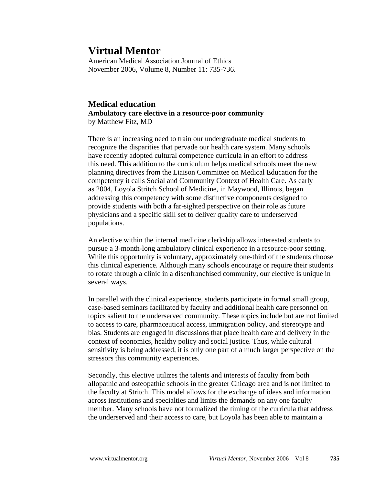**Virtual Mentor**<br>American Medical Association Journal of Ethics November 2006, Volume 8, Number 11: 735-736.

# **Medical education Ambulatory care elective in a resource-poor community** by Matthew Fitz, MD

There is an increasing need to train our undergraduate medical students to recognize the disparities that pervade our health care system. Many schools have recently adopted cultural competence curricula in an effort to address this need. This addition to the curriculum helps medical schools meet the new planning directives from the Liaison Committee on Medical Education for the competency it calls Social and Community Context of Health Care. As early as 2004, Loyola Stritch School of Medicine, in Maywood, Illinois, began addressing this competency with some distinctive components designed to provide students with both a far-sighted perspective on their role as future physicians and a specific skill set to deliver quality care to underserved populations.

An elective within the internal medicine clerkship allows interested students to pursue a 3-month-long ambulatory clinical experience in a resource-poor setting. While this opportunity is voluntary, approximately one-third of the students choose this clinical experience. Although many schools encourage or require their students to rotate through a clinic in a disenfranchised community, our elective is unique in several ways.

In parallel with the clinical experience, students participate in formal small group, case-based seminars facilitated by faculty and additional health care personnel on topics salient to the underserved community. These topics include but are not limited to access to care, pharmaceutical access, immigration policy, and stereotype and bias. Students are engaged in discussions that place health care and delivery in the context of economics, healthy policy and social justice. Thus, while cultural sensitivity is being addressed, it is only one part of a much larger perspective on the stressors this community experiences.

Secondly, this elective utilizes the talents and interests of faculty from both allopathic and osteopathic schools in the greater Chicago area and is not limited to the faculty at Stritch. This model allows for the exchange of ideas and information across institutions and specialties and limits the demands on any one faculty member. Many schools have not formalized the timing of the curricula that address the underserved and their access to care, but Loyola has been able to maintain a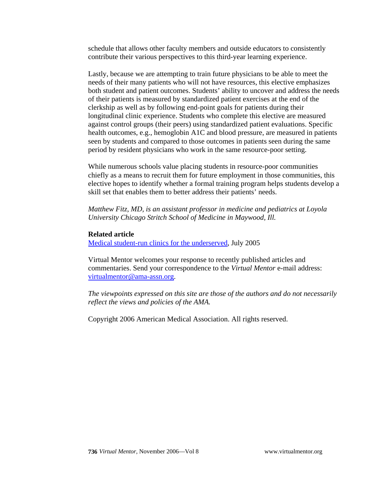schedule that allows other faculty members and outside educators to consistently contribute their various perspectives to this third-year learning experience.

Lastly, because we are attempting to train future physicians to be able to meet the needs of their many patients who will not have resources, this elective emphasizes both student and patient outcomes. Students' ability to uncover and address the needs of their patients is measured by standardized patient exercises at the end of the clerkship as well as by following end-point goals for patients during their longitudinal clinic experience. Students who complete this elective are measured against control groups (their peers) using standardized patient evaluations. Specific health outcomes, e.g., hemoglobin A1C and blood pressure, are measured in patients seen by students and compared to those outcomes in patients seen during the same period by resident physicians who work in the same resource-poor setting.

While numerous schools value placing students in resource-poor communities chiefly as a means to recruit them for future employment in those communities, this elective hopes to identify whether a formal training program helps students develop a skill set that enables them to better address their patients' needs.

*Matthew Fitz, MD, is an assistant professor in medicine and pediatrics at Loyola University Chicago Stritch School of Medicine in Maywood, Ill.*

### **Related article**

[Medical student-run clinics for the underserved,](http://www.ama-assn.org/ama/pub/category/15225.html) July 2005

Virtual Mentor welcomes your response to recently published articles and commentaries. Send your correspondence to the *Virtual Mentor* e-mail address: virtualmentor@ama-assn.org.

*The viewpoints expressed on this site are those of the authors and do not necessarily reflect the views and policies of the AMA.*

Copyright 2006 American Medical Association. All rights reserved.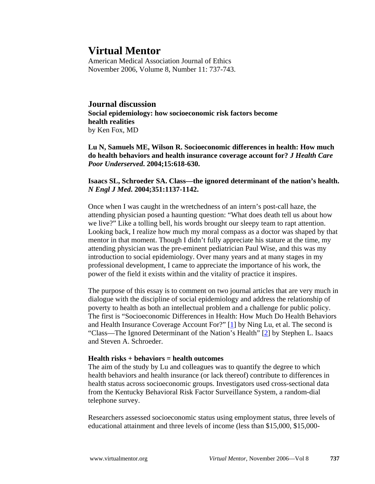**Virtual Mentor**<br>American Medical Association Journal of Ethics November 2006, Volume 8, Number 11: 737-743.

## **Journal discussion**

**Social epidemiology: how socioeconomic risk factors become health realities** by Ken Fox, MD

**Lu N, Samuels ME, Wilson R. Socioeconomic differences in health: How much do health behaviors and health insurance coverage account for?** *J Health Care Poor Underserved***. 2004;15:618-630.**

# **Isaacs SL, Schroeder SA. Class—the ignored determinant of the nation's health.**  *N Engl J Med***. 2004;351:1137-1142.**

Once when I was caught in the wretchedness of an intern's post-call haze, the attending physician posed a haunting question: "What does death tell us about how we live?" Like a tolling bell, his words brought our sleepy team to rapt attention. Looking back, I realize how much my moral compass as a doctor was shaped by that mentor in that moment. Though I didn't fully appreciate his stature at the time, my attending physician was the pre-eminent pediatrician Paul Wise, and this was my introduction to social epidemiology. Over many years and at many stages in my professional development, I came to appreciate the importance of his work, the power of the field it exists within and the vitality of practice it inspires.

The purpose of this essay is to comment on two journal articles that are very much in dialogue with the discipline of social epidemiology and address the relationship of poverty to health as both an intellectual problem and a challenge for public policy. The first is "Socioeconomic Differences in Health: How Much Do Health Behaviors and Health Insurance Coverage Account For?" [1] by Ning Lu, et al. The second is "Class—The Ignored Determinant of the Nation's Health" [2] by Stephen L. Isaacs and Steven A. Schroeder.

### **Health risks + behaviors = health outcomes**

The aim of the study by Lu and colleagues was to quantify the degree to which health behaviors and health insurance (or lack thereof) contribute to differences in health status across socioeconomic groups. Investigators used cross-sectional data from the Kentucky Behavioral Risk Factor Surveillance System, a random-dial telephone survey.

Researchers assessed socioeconomic status using employment status, three levels of educational attainment and three levels of income (less than \$15,000, \$15,000-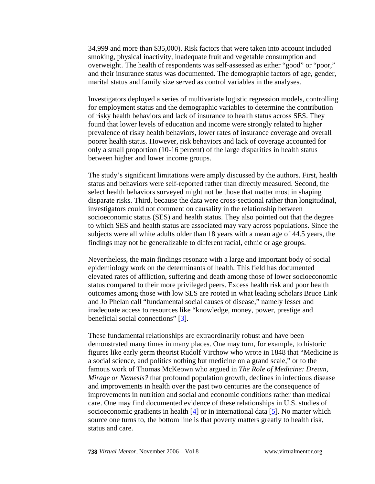34,999 and more than \$35,000). Risk factors that were taken into account included smoking, physical inactivity, inadequate fruit and vegetable consumption and overweight. The health of respondents was self-assessed as either "good" or "poor," and their insurance status was documented. The demographic factors of age, gender, marital status and family size served as control variables in the analyses.

Investigators deployed a series of multivariate logistic regression models, controlling for employment status and the demographic variables to determine the contribution of risky health behaviors and lack of insurance to health status across SES. They found that lower levels of education and income were strongly related to higher prevalence of risky health behaviors, lower rates of insurance coverage and overall poorer health status. However, risk behaviors and lack of coverage accounted for only a small proportion (10-16 percent) of the large disparities in health status between higher and lower income groups.

The study's significant limitations were amply discussed by the authors. First, health status and behaviors were self-reported rather than directly measured. Second, the select health behaviors surveyed might not be those that matter most in shaping disparate risks. Third, because the data were cross-sectional rather than longitudinal, investigators could not comment on causality in the relationship between socioeconomic status (SES) and health status. They also pointed out that the degree to which SES and health status are associated may vary across populations. Since the subjects were all white adults older than 18 years with a mean age of 44.5 years, the findings may not be generalizable to different racial, ethnic or age groups.

Nevertheless, the main findings resonate with a large and important body of social epidemiology work on the determinants of health. This field has documented elevated rates of affliction, suffering and death among those of lower socioeconomic status compared to their more privileged peers. Excess health risk and poor health outcomes among those with low SES are rooted in what leading scholars Bruce Link and Jo Phelan call "fundamental social causes of disease," namely lesser and inadequate access to resources like "knowledge, money, power, prestige and beneficial social connections" [3].

These fundamental relationships are extraordinarily robust and have been demonstrated many times in many places. One may turn, for example, to historic figures like early germ theorist Rudolf Virchow who wrote in 1848 that "Medicine is a social science, and politics nothing but medicine on a grand scale," or to the famous work of Thomas McKeown who argued in *The Role of Medicine: Dream, Mirage or Nemesis?* that profound population growth, declines in infectious disease and improvements in health over the past two centuries are the consequence of improvements in nutrition and social and economic conditions rather than medical care. One may find documented evidence of these relationships in U.S. studies of socioeconomic gradients in health [4] or in international data [5]. No matter which source one turns to, the bottom line is that poverty matters greatly to health risk, status and care.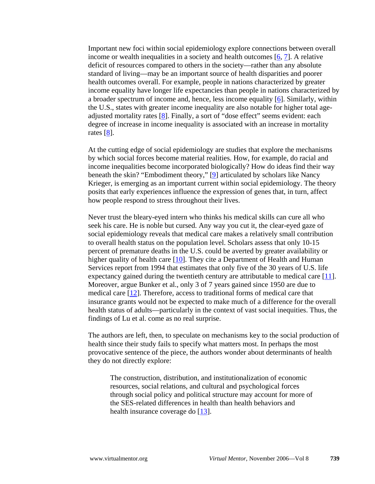Important new foci within social epidemiology explore connections between overall income or wealth inequalities in a society and health outcomes [6, 7]. A relative deficit of resources compared to others in the society—rather than any absolute standard of living—may be an important source of health disparities and poorer health outcomes overall. For example, people in nations characterized by greater income equality have longer life expectancies than people in nations characterized by a broader spectrum of income and, hence, less income equality [6]. Similarly, within the U.S., states with greater income inequality are also notable for higher total ageadjusted mortality rates  $[8]$ . Finally, a sort of "dose effect" seems evident: each degree of increase in income inequality is associated with an increase in mortality rates [8].

At the cutting edge of social epidemiology are studies that explore the mechanisms by which social forces become material realities. How, for example, do racial and income inequalities become incorporated biologically? How do ideas find their way beneath the skin? "Embodiment theory," [9] articulated by scholars like Nancy Krieger, is emerging as an important current within social epidemiology. The theory posits that early experiences influence the expression of genes that, in turn, affect how people respond to stress throughout their lives.

Never trust the bleary-eyed intern who thinks his medical skills can cure all who seek his care. He is noble but cursed. Any way you cut it, the clear-eyed gaze of social epidemiology reveals that medical care makes a relatively small contribution to overall health status on the population level. Scholars assess that only 10-15 percent of premature deaths in the U.S. could be averted by greater availability or higher quality of health care [10]. They cite a Department of Health and Human Services report from 1994 that estimates that only five of the 30 years of U.S. life expectancy gained during the twentieth century are attributable to medical care [11]. Moreover, argue Bunker et al., only 3 of 7 years gained since 1950 are due to medical care [12]. Therefore, access to traditional forms of medical care that insurance grants would not be expected to make much of a difference for the overall health status of adults—particularly in the context of vast social inequities. Thus, the findings of Lu et al. come as no real surprise.

The authors are left, then, to speculate on mechanisms key to the social production of health since their study fails to specify what matters most. In perhaps the most provocative sentence of the piece, the authors wonder about determinants of health they do not directly explore:

The construction, distribution, and institutionalization of economic resources, social relations, and cultural and psychological forces through social policy and political structure may account for more of the SES-related differences in health than health behaviors and health insurance coverage do [13].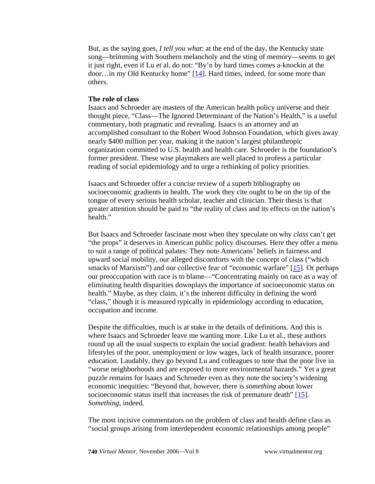But, as the saying goes, *I tell you what*: at the end of the day, the Kentucky state song—brimming with Southern melancholy and the sting of memory—seems to get it just right, even if Lu et al. do not: "By'n by hard times comes a-knockin at the door…in my Old Kentucky home" [14]. Hard times, indeed, for some more than others.

### **The role of class**

Isaacs and Schroeder are masters of the American health policy universe and their thought piece, "Class—The Ignored Determinant of the Nation's Health," is a useful commentary, both pragmatic and revealing. Isaacs is an attorney and an accomplished consultant to the Robert Wood Johnson Foundation, which gives away nearly \$400 million per year, making it the nation's largest philanthropic organization committed to U.S. health and health care. Schroeder is the foundation's former president. These wise playmakers are well placed to profess a particular reading of social epidemiology and to urge a rethinking of policy priorities.

Isaacs and Schroeder offer a concise review of a superb bibliography on socioeconomic gradients in health. The work they cite ought to be on the tip of the tongue of every serious health scholar, teacher and clinician. Their thesis is that greater attention should be paid to "the reality of class and its effects on the nation's health."

But Isaacs and Schroeder fascinate most when they speculate on why *class* can't get "the props" it deserves in American public policy discourses. Here they offer a menu to suit a range of political palates: They note Americans' beliefs in fairness and upward social mobility, our alleged discomforts with the concept of class ("which smacks of Marxism") and our collective fear of "economic warfare" [15]. Or perhaps our preoccupation with race is to blame—"Concentrating mainly on race as a way of eliminating health disparities downplays the importance of socioeconomic status on health." Maybe, as they claim, it's the inherent difficulty in defining the word "class," though it is measured typically in epidemiology according to education, occupation and income.

Despite the difficulties, much is at stake in the details of definitions. And this is where Isaacs and Schroeder leave me wanting more. Like Lu et al., these authors round up all the usual suspects to explain the social gradient: health behaviors and lifestyles of the poor, unemployment or low wages, lack of health insurance, poorer education. Laudably, they go beyond Lu and colleagues to note that the poor live in "worse neighborhoods and are exposed to more environmental hazards." Yet a great puzzle remains for Isaacs and Schroeder even as they note the society's widening economic inequities: "Beyond that, however, there is *something* about lower socioeconomic status itself that increases the risk of premature death" [15]. *Something*, indeed.

The most incisive commentators on the problem of class and health define class as "social groups arising from interdependent economic relationships among people"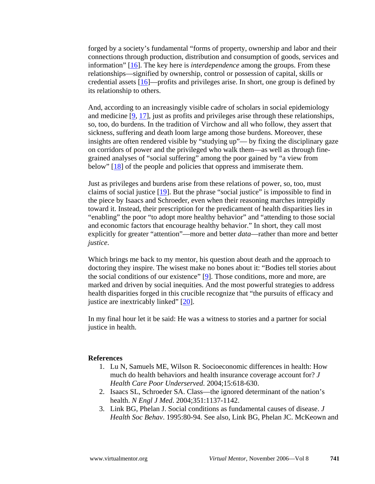forged by a society's fundamental "forms of property, ownership and labor and their connections through production, distribution and consumption of goods, services and information" [16]. The key here is *interdependence* among the groups. From these relationships—signified by ownership, control or possession of capital, skills or credential assets [16]—profits and privileges arise. In short, one group is defined by its relationship to others.

And, according to an increasingly visible cadre of scholars in social epidemiology and medicine [9, 17], just as profits and privileges arise through these relationships, so, too, do burdens. In the tradition of Virchow and all who follow, they assert that sickness, suffering and death loom large among those burdens. Moreover, these insights are often rendered visible by "studying up"— by fixing the disciplinary gaze on corridors of power and the privileged who walk them—as well as through finegrained analyses of "social suffering" among the poor gained by "a view from below" [18] of the people and policies that oppress and immiserate them.

Just as privileges and burdens arise from these relations of power, so, too, must claims of social justice [19]. But the phrase "social justice" is impossible to find in the piece by Isaacs and Schroeder, even when their reasoning marches intrepidly toward it. Instead, their prescription for the predicament of health disparities lies in "enabling" the poor "to adopt more healthy behavior" and "attending to those social and economic factors that encourage healthy behavior." In short, they call most explicitly for greater "attention"—more and better *data*—rather than more and better *justice*.

Which brings me back to my mentor, his question about death and the approach to doctoring they inspire. The wisest make no bones about it: "Bodies tell stories about the social conditions of our existence" [9]. Those conditions, more and more, are marked and driven by social inequities. And the most powerful strategies to address health disparities forged in this crucible recognize that "the pursuits of efficacy and justice are inextricably linked" [20].

In my final hour let it be said: He was a witness to stories and a partner for social justice in health.

#### **References**

- 1. Lu N, Samuels ME, Wilson R. Socioeconomic differences in health: How much do health behaviors and health insurance coverage account for? *J Health Care Poor Underserved*. 2004;15:618-630.
- 2. Isaacs SL, Schroeder SA. Class—the ignored determinant of the nation's health. *N Engl J Med*. 2004;351:1137-1142.
- 3. Link BG, Phelan J. Social conditions as fundamental causes of disease. *J Health Soc Behav*. 1995:80-94. See also, Link BG, Phelan JC. McKeown and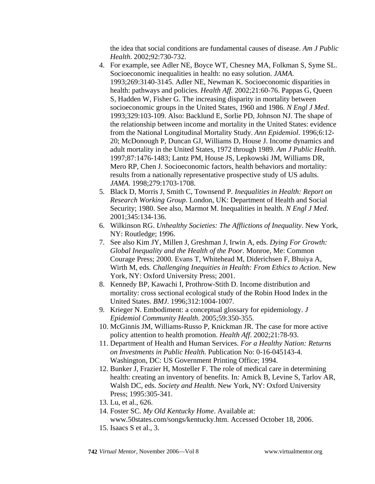the idea that social conditions are fundamental causes of disease. *Am J Public Health*. 2002;92:730-732.

- 4. For example, see Adler NE, Boyce WT, Chesney MA, Folkman S, Syme SL. Socioeconomic inequalities in health: no easy solution. *JAMA*. 1993;269:3140-3145. Adler NE, Newman K. Socioeconomic disparities in health: pathways and policies. *Health Aff*. 2002;21:60-76. Pappas G, Queen S, Hadden W, Fisher G. The increasing disparity in mortality between socioeconomic groups in the United States, 1960 and 1986. *N Engl J Med*. 1993;329:103-109. Also: Backlund E, Sorlie PD, Johnson NJ. The shape of the relationship between income and mortality in the United States: evidence from the National Longitudinal Mortality Study. *Ann Epidemiol*. 1996;6:12- 20; McDonough P, Duncan GJ, Williams D, House J. Income dynamics and adult mortality in the United States, 1972 through 1989. *Am J Public Health*. 1997;87:1476-1483; Lantz PM, House JS, Lepkowski JM, Williams DR, Mero RP, Chen J. Socioeconomic factors, health behaviors and mortality: results from a nationally representative prospective study of US adults. *JAMA*. 1998;279:1703-1708.
- 5. Black D, Morris J, Smith C, Townsend P. *Inequalities in Health: Report on Research Working Group*. London, UK: Department of Health and Social Security; 1980. See also, Marmot M. Inequalities in health*. N Engl J Med*. 2001;345:134-136.
- 6. Wilkinson RG. *Unhealthy Societies: The Afflictions of Inequality*. New York, NY: Routledge; 1996.
- 7. See also Kim JY, Millen J, Greshman J, Irwin A, eds. *Dying For Growth: Global Inequality and the Health of the Poor.* Monroe, Me: Common Courage Press; 2000. Evans T, Whitehead M, Diderichsen F, Bhuiya A, Wirth M, eds*. Challenging Inequities in Health: From Ethics to Action*. New York, NY: Oxford University Press; 2001.
- 8. Kennedy BP, Kawachi I, Prothrow-Stith D. Income distribution and mortality: cross sectional ecological study of the Robin Hood Index in the United States. *BMJ*. 1996;312:1004-1007.
- 9. Krieger N. Embodiment: a conceptual glossary for epidemiology. *J Epidemiol Community Health*. 2005;59:350-355.
- 10. McGinnis JM, Williams-Russo P, Knickman JR. The case for more active policy attention to health promotion. *Health Aff*. 2002;21:78-93.
- 11. Department of Health and Human Services. *For a Healthy Nation: Returns on Investments in Public Health.* Publication No: 0-16-045143-4. Washington, DC: US Government Printing Office; 1994.
- 12. Bunker J, Frazier H, Mosteller F. The role of medical care in determining health: creating an inventory of benefits. In*:* Amick B, Levine S, Tarlov AR, Walsh DC, eds. *Society and Health*. New York, NY: Oxford University Press; 1995:305-341.
- 13. Lu, et al., 626.
- 14. Foster SC. *My Old Kentucky Home*. Available at: www.50states.com/songs/kentucky.htm. Accessed October 18, 2006.
- 15. Isaacs S et al., 3.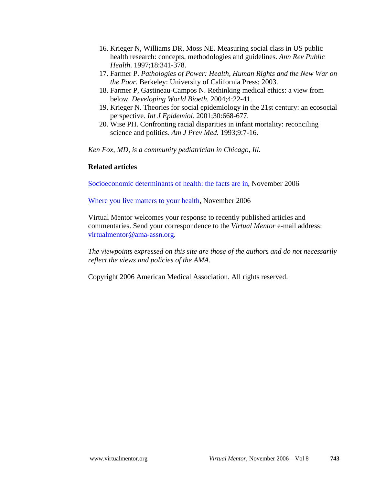- 16. Krieger N, Williams DR, Moss NE. Measuring social class in US public health research: concepts, methodologies and guidelines. *Ann Rev Public Health*. 1997;18:341-378.
- 17. Farmer P. *Pathologies of Power: Health, Human Rights and the New War on the Poor.* Berkeley: University of California Press; 2003.
- 18. Farmer P, Gastineau-Campos N. Rethinking medical ethics: a view from below. *Developing World Bioeth.* 2004;4:22-41.
- 19. Krieger N. Theories for social epidemiology in the 21st century: an ecosocial perspective. *Int J Epidemiol*. 2001;30:668-677.
- 20. Wise PH. Confronting racial disparities in infant mortality: reconciling science and politics. *Am J Prev Med.* 1993;9:7-16.

*Ken Fox, MD, is a community pediatrician in Chicago, Ill.*

## **Related articles**

[Socioeconomic determinants of health: the facts are in,](http://www.ama-assn.org/ama/pub/category/16937.html) November 2006

[Where you live matters to your health,](http://www.ama-assn.org/ama/pub/category/16941.html) November 2006

Virtual Mentor welcomes your response to recently published articles and commentaries. Send your correspondence to the *Virtual Mentor* e-mail address: virtualmentor@ama-assn.org.

*The viewpoints expressed on this site are those of the authors and do not necessarily reflect the views and policies of the AMA.*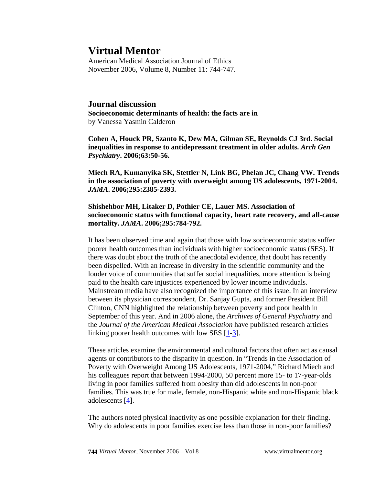**Virtual Mentor**<br>American Medical Association Journal of Ethics November 2006, Volume 8, Number 11: 744-747.

# **Journal discussion**

**Socioeconomic determinants of health: the facts are in** by Vanessa Yasmin Calderon

**Cohen A, Houck PR, Szanto K, Dew MA, Gilman SE, Reynolds CJ 3rd. Social inequalities in response to antidepressant treatment in older adults.** *Arch Gen Psychiatry***. 2006;63:50-56.**

**Miech RA, Kumanyika SK, Stettler N, Link BG, Phelan JC, Chang VW. Trends in the association of poverty with overweight among US adolescents, 1971-2004.**  *JAMA***. 2006;295:2385-2393.**

# **Shishehbor MH, Litaker D, Pothier CE, Lauer MS. Association of socioeconomic status with functional capacity, heart rate recovery, and all-cause mortality.** *JAMA***. 2006;295:784-792.**

It has been observed time and again that those with low socioeconomic status suffer poorer health outcomes than individuals with higher socioeconomic status (SES). If there was doubt about the truth of the anecdotal evidence, that doubt has recently been dispelled. With an increase in diversity in the scientific community and the louder voice of communities that suffer social inequalities, more attention is being paid to the health care injustices experienced by lower income individuals. Mainstream media have also recognized the importance of this issue. In an interview between its physician correspondent, Dr. Sanjay Gupta, and former President Bill Clinton, CNN highlighted the relationship between poverty and poor health in September of this year. And in 2006 alone, the *Archives of General Psychiatry* and the *Journal of the American Medical Association* have published research articles linking poorer health outcomes with low SES [1-3].

These articles examine the environmental and cultural factors that often act as causal agents or contributors to the disparity in question. In "Trends in the Association of Poverty with Overweight Among US Adolescents, 1971-2004," Richard Miech and his colleagues report that between 1994-2000, 50 percent more 15- to 17-year-olds living in poor families suffered from obesity than did adolescents in non-poor families. This was true for male, female, non-Hispanic white and non-Hispanic black adolescents [4].

The authors noted physical inactivity as one possible explanation for their finding. Why do adolescents in poor families exercise less than those in non-poor families?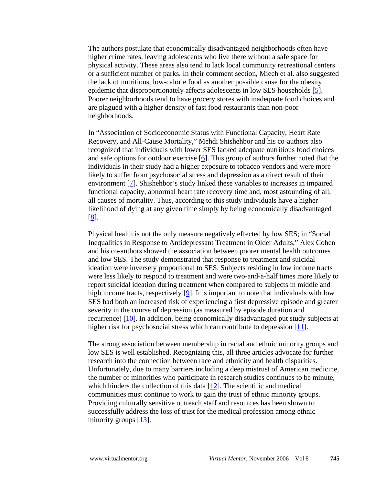The authors postulate that economically disadvantaged neighborhoods often have higher crime rates, leaving adolescents who live there without a safe space for physical activity. These areas also tend to lack local community recreational centers or a sufficient number of parks. In their comment section, Miech et al. also suggested the lack of nutritious, low-calorie food as another possible cause for the obesity epidemic that disproportionately affects adolescents in low SES households [5]. Poorer neighborhoods tend to have grocery stores with inadequate food choices and are plagued with a higher density of fast food restaurants than non-poor neighborhoods.

In "Association of Socioeconomic Status with Functional Capacity, Heart Rate Recovery, and All-Cause Mortality," Mehdi Shishehbor and his co-authors also recognized that individuals with lower SES lacked adequate nutritious food choices and safe options for outdoor exercise [6]. This group of authors further noted that the individuals in their study had a higher exposure to tobacco vendors and were more likely to suffer from psychosocial stress and depression as a direct result of their environment [7]. Shishehbor's study linked these variables to increases in impaired functional capacity, abnormal heart rate recovery time and, most astounding of all, all causes of mortality. Thus, according to this study individuals have a higher likelihood of dying at any given time simply by being economically disadvantaged [8].

Physical health is not the only measure negatively effected by low SES; in "Social Inequalities in Response to Antidepressant Treatment in Older Adults," Alex Cohen and his co-authors showed the association between poorer mental health outcomes and low SES. The study demonstrated that response to treatment and suicidal ideation were inversely proportional to SES. Subjects residing in low income tracts were less likely to respond to treatment and were two-and-a-half times more likely to report suicidal ideation during treatment when compared to subjects in middle and high income tracts, respectively [9]. It is important to note that individuals with low SES had both an increased risk of experiencing a first depressive episode and greater severity in the course of depression (as measured by episode duration and recurrence) [10]. In addition, being economically disadvantaged put study subjects at higher risk for psychosocial stress which can contribute to depression [11].

The strong association between membership in racial and ethnic minority groups and low SES is well established. Recognizing this, all three articles advocate for further research into the connection between race and ethnicity and health disparities. Unfortunately, due to many barriers including a deep mistrust of American medicine, the number of minorities who participate in research studies continues to be minute, which hinders the collection of this data [12]. The scientific and medical communities must continue to work to gain the trust of ethnic minority groups. Providing culturally sensitive outreach staff and resources has been shown to successfully address the loss of trust for the medical profession among ethnic minority groups [13].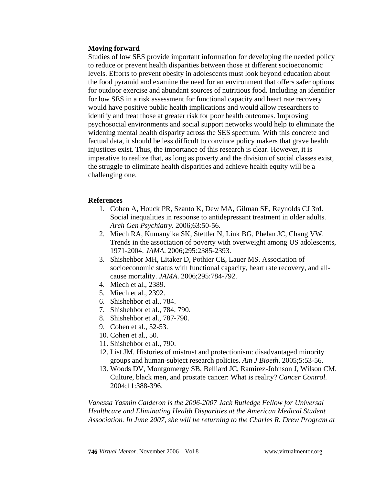## **Moving forward**

Studies of low SES provide important information for developing the needed policy to reduce or prevent health disparities between those at different socioeconomic levels. Efforts to prevent obesity in adolescents must look beyond education about the food pyramid and examine the need for an environment that offers safer options for outdoor exercise and abundant sources of nutritious food. Including an identifier for low SES in a risk assessment for functional capacity and heart rate recovery would have positive public health implications and would allow researchers to identify and treat those at greater risk for poor health outcomes. Improving psychosocial environments and social support networks would help to eliminate the widening mental health disparity across the SES spectrum. With this concrete and factual data, it should be less difficult to convince policy makers that grave health injustices exist. Thus, the importance of this research is clear. However, it is imperative to realize that, as long as poverty and the division of social classes exist, the struggle to eliminate health disparities and achieve health equity will be a challenging one.

# **References**

- 1. Cohen A, Houck PR, Szanto K, Dew MA, Gilman SE, Reynolds CJ 3rd. Social inequalities in response to antidepressant treatment in older adults. *Arch Gen Psychiatry*. 2006;63:50-56.
- 2. Miech RA, Kumanyika SK, Stettler N, Link BG, Phelan JC, Chang VW. Trends in the association of poverty with overweight among US adolescents, 1971-2004. *JAMA*. 2006;295:2385-2393.
- 3. Shishehbor MH, Litaker D, Pothier CE, Lauer MS. Association of socioeconomic status with functional capacity, heart rate recovery, and allcause mortality. *JAMA*. 2006;295:784-792.
- 4. Miech et al., 2389.
- 5. Miech et al., 2392.
- 6. Shishehbor et al., 784.
- 7. Shishehbor et al., 784, 790.
- 8. Shishehbor et al., 787-790.
- 9. Cohen et al., 52-53.
- 10. Cohen et al., 50.
- 11. Shishehbor et al., 790.
- 12. List JM. Histories of mistrust and protectionism: disadvantaged minority groups and human-subject research policies. *Am J Bioeth*. 2005;5:53-56.
- 13. Woods DV, Montgomergy SB, Belliard JC, Ramirez-Johnson J, Wilson CM. Culture, black men, and prostate cancer: What is reality? *Cancer Control.* 2004;11:388-396.

*Vanessa Yasmin Calderon is the 2006-2007 Jack Rutledge Fellow for Universal Healthcare and Eliminating Health Disparities at the American Medical Student Association. In June 2007, she will be returning to the Charles R. Drew Program at*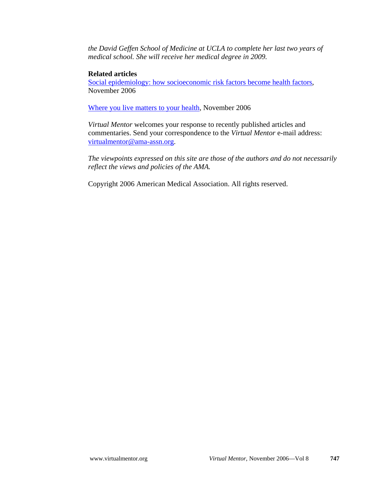*the David Geffen School of Medicine at UCLA to complete her last two years of medical school. She will receive her medical degree in 2009.*

## **Related articles**

Social epidemiology: how socioeconomic risk factors become health factors, November 2006

[Where you live matters to your health,](http://www.ama-assn.org/ama/pub/category/16941.html) November 2006

*Virtual Mentor* welcomes your response to recently published articles and commentaries. Send your correspondence to the *Virtual Mentor* e-mail address: virtualmentor@ama-assn.org.

*The viewpoints expressed on this site are those of the authors and do not necessarily reflect the views and policies of the AMA.*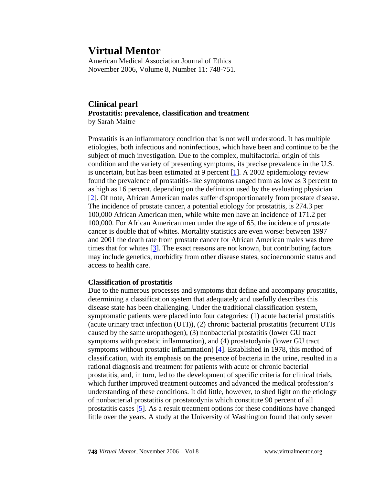**Virtual Mentor**<br>American Medical Association Journal of Ethics November 2006, Volume 8, Number 11: 748-751.

# **Clinical pearl Prostatitis: prevalence, classification and treatment** by Sarah Maitre

Prostatitis is an inflammatory condition that is not well understood. It has multiple etiologies, both infectious and noninfectious, which have been and continue to be the subject of much investigation. Due to the complex, multifactorial origin of this condition and the variety of presenting symptoms, its precise prevalence in the U.S. is uncertain, but has been estimated at 9 percent [1]. A 2002 epidemiology review found the prevalence of prostatitis-like symptoms ranged from as low as 3 percent to as high as 16 percent, depending on the definition used by the evaluating physician [2]. Of note, African American males suffer disproportionately from prostate disease. The incidence of prostate cancer, a potential etiology for prostatitis, is 274.3 per 100,000 African American men, while white men have an incidence of 171.2 per 100,000. For African American men under the age of 65, the incidence of prostate cancer is double that of whites. Mortality statistics are even worse: between 1997 and 2001 the death rate from prostate cancer for African American males was three times that for whites [3]. The exact reasons are not known, but contributing factors may include genetics, morbidity from other disease states, socioeconomic status and access to health care.

# **Classification of prostatitis**

Due to the numerous processes and symptoms that define and accompany prostatitis, determining a classification system that adequately and usefully describes this disease state has been challenging. Under the traditional classification system, symptomatic patients were placed into four categories: (1) acute bacterial prostatitis (acute urinary tract infection (UTI)), (2) chronic bacterial prostatitis (recurrent UTIs caused by the same uropathogen), (3) nonbacterial prostatitis (lower GU tract symptoms with prostatic inflammation), and (4) prostatodynia (lower GU tract symptoms without prostatic inflammation)  $[4]$ . Established in 1978, this method of classification, with its emphasis on the presence of bacteria in the urine, resulted in a rational diagnosis and treatment for patients with acute or chronic bacterial prostatitis, and, in turn, led to the development of specific criteria for clinical trials, which further improved treatment outcomes and advanced the medical profession's understanding of these conditions. It did little, however, to shed light on the etiology of nonbacterial prostatitis or prostatodynia which constitute 90 percent of all prostatitis cases [5]. As a result treatment options for these conditions have changed little over the years. A study at the University of Washington found that only seven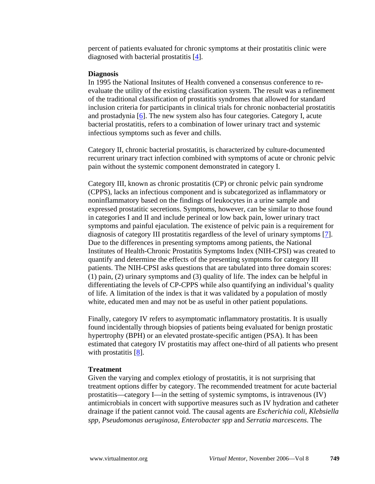percent of patients evaluated for chronic symptoms at their prostatitis clinic were diagnosed with bacterial prostatitis [4].

### **Diagnosis**

In 1995 the National Insitutes of Health convened a consensus conference to reevaluate the utility of the existing classification system. The result was a refinement of the traditional classification of prostatitis syndromes that allowed for standard inclusion criteria for participants in clinical trials for chronic nonbacterial prostatitis and prostadynia [6]. The new system also has four categories. Category I, acute bacterial prostatitis, refers to a combination of lower urinary tract and systemic infectious symptoms such as fever and chills.

Category II, chronic bacterial prostatitis, is characterized by culture-documented recurrent urinary tract infection combined with symptoms of acute or chronic pelvic pain without the systemic component demonstrated in category I.

Category III, known as chronic prostatitis (CP) or chronic pelvic pain syndrome (CPPS), lacks an infectious component and is subcategorized as inflammatory or noninflammatory based on the findings of leukocytes in a urine sample and expressed prostatitic secretions. Symptoms, however, can be similar to those found in categories I and II and include perineal or low back pain, lower urinary tract symptoms and painful ejaculation. The existence of pelvic pain is a requirement for diagnosis of category III prostatitis regardless of the level of urinary symptoms [7]. Due to the differences in presenting symptoms among patients, the National Institutes of Health-Chronic Prostatitis Symptoms Index (NIH-CPSI) was created to quantify and determine the effects of the presenting symptoms for category III patients. The NIH-CPSI asks questions that are tabulated into three domain scores: (1) pain, (2) urinary symptoms and (3) quality of life. The index can be helpful in differentiating the levels of CP-CPPS while also quantifying an individual's quality of life. A limitation of the index is that it was validated by a population of mostly white, educated men and may not be as useful in other patient populations.

Finally, category IV refers to asymptomatic inflammatory prostatitis. It is usually found incidentally through biopsies of patients being evaluated for benign prostatic hypertrophy (BPH) or an elevated prostate-specific antigen (PSA). It has been estimated that category IV prostatitis may affect one-third of all patients who present with prostatitis  $[8]$ .

### **Treatment**

Given the varying and complex etiology of prostatitis, it is not surprising that treatment options differ by category. The recommended treatment for acute bacterial prostatitis—category I—in the setting of systemic symptoms, is intravenous (IV) antimicrobials in concert with supportive measures such as IV hydration and catheter drainage if the patient cannot void. The causal agents are *Escherichia coli, Klebsiella spp, Pseudomonas aeruginosa, Enterobacter spp* and *Serratia marcescens*. The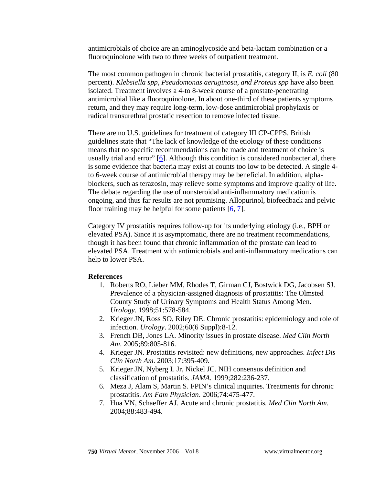antimicrobials of choice are an aminoglycoside and beta-lactam combination or a fluoroquinolone with two to three weeks of outpatient treatment.

The most common pathogen in chronic bacterial prostatitis, category II, is *E. coli* (80 percent). *Klebsiella spp, Pseudomonas aeruginosa, and Proteus spp* have also been isolated. Treatment involves a 4-to 8-week course of a prostate-penetrating antimicrobial like a fluoroquinolone. In about one-third of these patients symptoms return, and they may require long-term, low-dose antimicrobial prophylaxis or radical transurethral prostatic resection to remove infected tissue.

There are no U.S. guidelines for treatment of category III CP-CPPS. British guidelines state that "The lack of knowledge of the etiology of these conditions means that no specific recommendations can be made and treatment of choice is usually trial and error"  $[6]$ . Although this condition is considered nonbacterial, there is some evidence that bacteria may exist at counts too low to be detected. A single 4 to 6-week course of antimicrobial therapy may be beneficial. In addition, alphablockers, such as terazosin, may relieve some symptoms and improve quality of life. The debate regarding the use of nonsteroidal anti-inflammatory medication is ongoing, and thus far results are not promising. Allopurinol, biofeedback and pelvic floor training may be helpful for some patients [6, 7].

Category IV prostatitis requires follow-up for its underlying etiology (i.e., BPH or elevated PSA). Since it is asymptomatic, there are no treatment recommendations, though it has been found that chronic inflammation of the prostate can lead to elevated PSA. Treatment with antimicrobials and anti-inflammatory medications can help to lower PSA.

## **References**

- 1. Roberts RO, Lieber MM, Rhodes T, Girman CJ, Bostwick DG, Jacobsen SJ. Prevalence of a physician-assigned diagnosis of prostatitis: The Olmsted County Study of Urinary Symptoms and Health Status Among Men. *Urology*. 1998;51:578-584.
- 2. Krieger JN, Ross SO, Riley DE. Chronic prostatitis: epidemiology and role of infection. *Urology*. 2002;60(6 Suppl):8-12.
- 3. French DB, Jones LA. Minority issues in prostate disease. *Med Clin North Am*. 2005;89:805-816.
- 4. Krieger JN. Prostatitis revisited: new definitions, new approaches. *Infect Dis Clin North Am*. 2003;17:395-409.
- 5. Krieger JN, Nyberg L Jr, Nickel JC. NIH consensus definition and classification of prostatitis. *JAMA*. 1999;282:236-237.
- 6. Meza J, Alam S, Martin S. FPIN's clinical inquiries. Treatments for chronic prostatitis. *Am Fam Physician*. 2006;74:475-477.
- 7. Hua VN, Schaeffer AJ. Acute and chronic prostatitis*. Med Clin North Am.* 2004;88:483-494.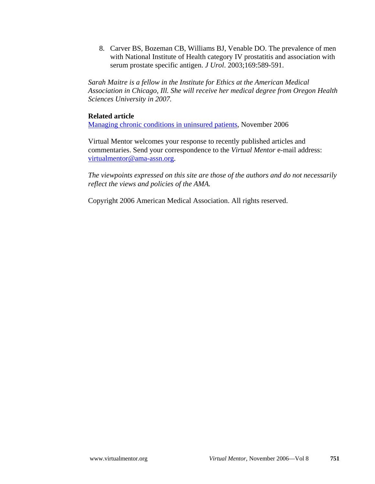8. Carver BS, Bozeman CB, Williams BJ, Venable DO. The prevalence of men with National Institute of Health category IV prostatitis and association with serum prostate specific antigen. *J Urol*. 2003;169:589-591.

*Sarah Maitre is a fellow in the Institute for Ethics at the American Medical Association in Chicago, Ill. She will receive her medical degree from Oregon Health Sciences University in 2007.*

# **Related article**

[Managing chronic conditions in uninsured patients,](http://www.ama-assn.org/ama/pub/category/16930.html) November 2006

Virtual Mentor welcomes your response to recently published articles and commentaries. Send your correspondence to the *Virtual Mentor* e-mail address: virtualmentor@ama-assn.org.

*The viewpoints expressed on this site are those of the authors and do not necessarily reflect the views and policies of the AMA.*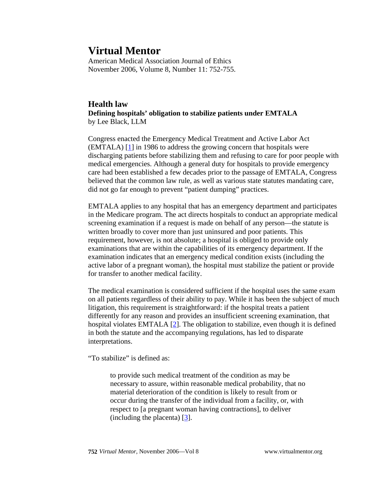**Virtual Mentor**<br>American Medical Association Journal of Ethics November 2006, Volume 8, Number 11: 752-755.

# **Health law Defining hospitals' obligation to stabilize patients under EMTALA** by Lee Black, LLM

Congress enacted the Emergency Medical Treatment and Active Labor Act (EMTALA) [1] in 1986 to address the growing concern that hospitals were discharging patients before stabilizing them and refusing to care for poor people with medical emergencies. Although a general duty for hospitals to provide emergency care had been established a few decades prior to the passage of EMTALA, Congress believed that the common law rule, as well as various state statutes mandating care, did not go far enough to prevent "patient dumping" practices.

EMTALA applies to any hospital that has an emergency department and participates in the Medicare program. The act directs hospitals to conduct an appropriate medical screening examination if a request is made on behalf of any person—the statute is written broadly to cover more than just uninsured and poor patients. This requirement, however, is not absolute; a hospital is obliged to provide only examinations that are within the capabilities of its emergency department. If the examination indicates that an emergency medical condition exists (including the active labor of a pregnant woman), the hospital must stabilize the patient or provide for transfer to another medical facility.

The medical examination is considered sufficient if the hospital uses the same exam on all patients regardless of their ability to pay. While it has been the subject of much litigation, this requirement is straightforward: if the hospital treats a patient differently for any reason and provides an insufficient screening examination, that hospital violates EMTALA [2]. The obligation to stabilize, even though it is defined in both the statute and the accompanying regulations, has led to disparate interpretations.

"To stabilize" is defined as:

to provide such medical treatment of the condition as may be necessary to assure, within reasonable medical probability, that no material deterioration of the condition is likely to result from or occur during the transfer of the individual from a facility, or, with respect to [a pregnant woman having contractions], to deliver (including the placenta) [3].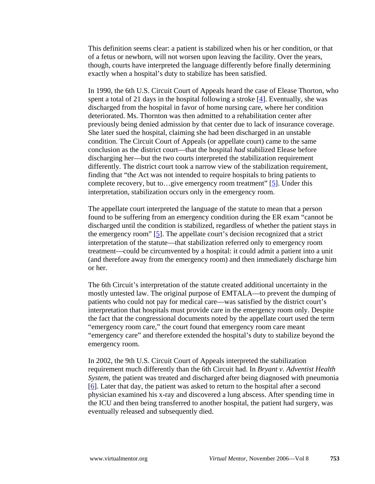This definition seems clear: a patient is stabilized when his or her condition, or that of a fetus or newborn, will not worsen upon leaving the facility. Over the years, though, courts have interpreted the language differently before finally determining exactly when a hospital's duty to stabilize has been satisfied.

In 1990, the 6th U.S. Circuit Court of Appeals heard the case of Elease Thorton, who spent a total of 21 days in the hospital following a stroke [4]. Eventually, she was discharged from the hospital in favor of home nursing care, where her condition deteriorated. Ms. Thornton was then admitted to a rehabilitation center after previously being denied admission by that center due to lack of insurance coverage. She later sued the hospital, claiming she had been discharged in an unstable condition. The Circuit Court of Appeals (or appellate court) came to the same conclusion as the district court—that the hospital *had* stabilized Elease before discharging her—but the two courts interpreted the stabilization requirement differently. The district court took a narrow view of the stabilization requirement, finding that "the Act was not intended to require hospitals to bring patients to complete recovery, but to…give emergency room treatment" [5]. Under this interpretation, stabilization occurs only in the emergency room.

The appellate court interpreted the language of the statute to mean that a person found to be suffering from an emergency condition during the ER exam "cannot be discharged until the condition is stabilized, regardless of whether the patient stays in the emergency room"  $[5]$ . The appellate court's decision recognized that a strict interpretation of the statute—that stabilization referred only to emergency room treatment—could be circumvented by a hospital: it could admit a patient into a unit (and therefore away from the emergency room) and then immediately discharge him or her.

The 6th Circuit's interpretation of the statute created additional uncertainty in the mostly untested law. The original purpose of EMTALA—to prevent the dumping of patients who could not pay for medical care—was satisfied by the district court's interpretation that hospitals must provide care in the emergency room only. Despite the fact that the congressional documents noted by the appellate court used the term "emergency room care," the court found that emergency room care meant "emergency care" and therefore extended the hospital's duty to stabilize beyond the emergency room.

In 2002, the 9th U.S. Circuit Court of Appeals interpreted the stabilization requirement much differently than the 6th Circuit had. In *Bryant v. Adventist Health System*, the patient was treated and discharged after being diagnosed with pneumonia [6]. Later that day, the patient was asked to return to the hospital after a second physician examined his x-ray and discovered a lung abscess. After spending time in the ICU and then being transferred to another hospital, the patient had surgery, was eventually released and subsequently died.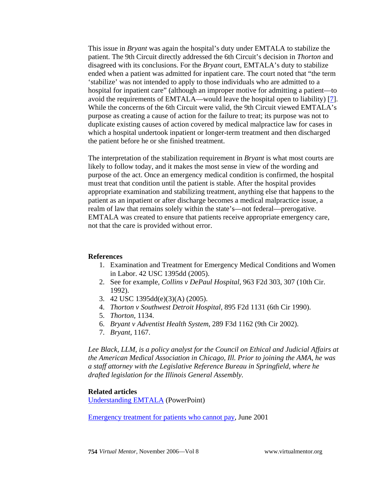This issue in *Bryant* was again the hospital's duty under EMTALA to stabilize the patient. The 9th Circuit directly addressed the 6th Circuit's decision in *Thorton* and disagreed with its conclusions. For the *Bryant* court, EMTALA's duty to stabilize ended when a patient was admitted for inpatient care. The court noted that "the term 'stabilize' was not intended to apply to those individuals who are admitted to a hospital for inpatient care" (although an improper motive for admitting a patient—to avoid the requirements of EMTALA—would leave the hospital open to liability) [7]. While the concerns of the 6th Circuit were valid, the 9th Circuit viewed EMTALA's purpose as creating a cause of action for the failure to treat; its purpose was not to duplicate existing causes of action covered by medical malpractice law for cases in which a hospital undertook inpatient or longer-term treatment and then discharged the patient before he or she finished treatment.

The interpretation of the stabilization requirement in *Bryant* is what most courts are likely to follow today, and it makes the most sense in view of the wording and purpose of the act. Once an emergency medical condition is confirmed, the hospital must treat that condition until the patient is stable. After the hospital provides appropriate examination and stabilizing treatment, anything else that happens to the patient as an inpatient or after discharge becomes a medical malpractice issue, a realm of law that remains solely within the state's—not federal—prerogative. EMTALA was created to ensure that patients receive appropriate emergency care, not that the care is provided without error.

### **References**

- 1. Examination and Treatment for Emergency Medical Conditions and Women in Labor. 42 USC 1395dd (2005).
- 2. See for example, *Collins v DePaul Hospital*, 963 F2d 303, 307 (10th Cir. 1992).
- 3. 42 USC 1395dd(e)(3)(A) (2005).
- 4. *Thorton v Southwest Detroit Hospital*, 895 F2d 1131 (6th Cir 1990).
- 5. *Thorton,* 1134.
- 6. *Bryant v Adventist Health System*, 289 F3d 1162 (9th Cir 2002).
- 7. *Bryant,* 1167.

*Lee Black, LLM, is a policy analyst for the Council on Ethical and Judicial Affairs at the American Medical Association in Chicago, Ill. Prior to joining the AMA, he was a staff attorney with the Legislative Reference Bureau in Springfield, where he drafted legislation for the Illinois General Assembly.*

#### **Related articles**

[Understanding EMTALA](http://www.ama-assn.org/ama/pub/category/14885.html) (PowerPoint)

[Emergency treatment for patients who cannot pay,](http://www.ama-assn.org/ama/pub/category/5143.html) June 2001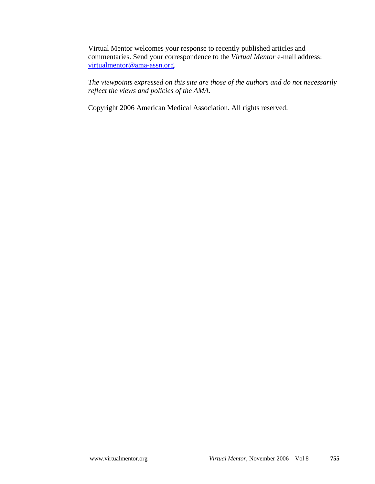Virtual Mentor welcomes your response to recently published articles and commentaries. Send your correspondence to the *Virtual Mentor* e-mail address: virtualmentor@ama-assn.org.

*The viewpoints expressed on this site are those of the authors and do not necessarily reflect the views and policies of the AMA.*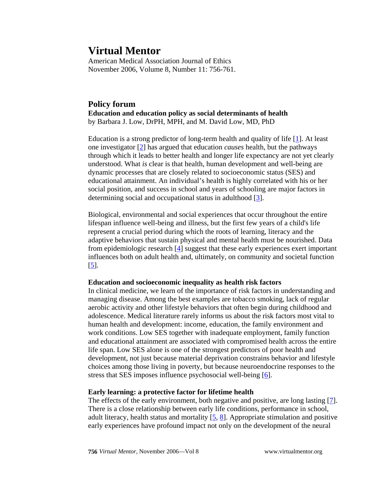**Virtual Mentor**<br>American Medical Association Journal of Ethics November 2006, Volume 8, Number 11: 756-761.

# **Policy forum Education and education policy as social determinants of health** by Barbara J. Low, DrPH, MPH, and M. David Low, MD, PhD

Education is a strong predictor of long-term health and quality of life [1]. At least one investigator [2] has argued that education *causes* health, but the pathways through which it leads to better health and longer life expectancy are not yet clearly understood. What *is* clear is that health, human development and well-being are dynamic processes that are closely related to socioeconomic status (SES) and educational attainment. An individual's health is highly correlated with his or her social position, and success in school and years of schooling are major factors in determining social and occupational status in adulthood [3].

Biological, environmental and social experiences that occur throughout the entire lifespan influence well-being and illness, but the first few years of a child's life represent a crucial period during which the roots of learning, literacy and the adaptive behaviors that sustain physical and mental health must be nourished. Data from epidemiologic research [4] suggest that these early experiences exert important influences both on adult health and, ultimately, on community and societal function [5].

# **Education and socioeconomic inequality as health risk factors**

In clinical medicine, we learn of the importance of risk factors in understanding and managing disease. Among the best examples are tobacco smoking, lack of regular aerobic activity and other lifestyle behaviors that often begin during childhood and adolescence. Medical literature rarely informs us about the risk factors most vital to human health and development: income, education, the family environment and work conditions. Low SES together with inadequate employment, family function and educational attainment are associated with compromised health across the entire life span. Low SES alone is one of the strongest predictors of poor health and development, not just because material deprivation constrains behavior and lifestyle choices among those living in poverty, but because neuroendocrine responses to the stress that SES imposes influence psychosocial well-being [6].

# **Early learning: a protective factor for lifetime health**

The effects of the early environment, both negative and positive, are long lasting [7]. There is a close relationship between early life conditions, performance in school, adult literacy, health status and mortality [5, 8]. Appropriate stimulation and positive early experiences have profound impact not only on the development of the neural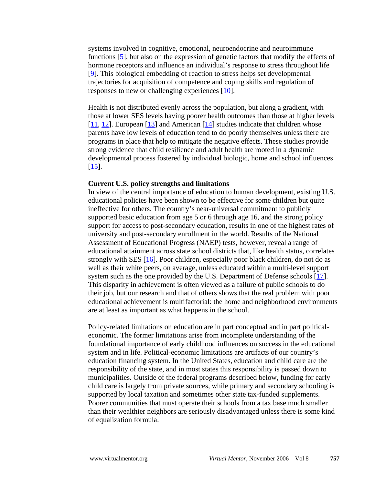systems involved in cognitive, emotional, neuroendocrine and neuroimmune functions [5], but also on the expression of genetic factors that modify the effects of hormone receptors and influence an individual's response to stress throughout life [9]. This biological embedding of reaction to stress helps set developmental trajectories for acquisition of competence and coping skills and regulation of responses to new or challenging experiences [10].

Health is not distributed evenly across the population, but along a gradient, with those at lower SES levels having poorer health outcomes than those at higher levels [11, 12]. European [13] and American [14] studies indicate that children whose parents have low levels of education tend to do poorly themselves unless there are programs in place that help to mitigate the negative effects. These studies provide strong evidence that child resilience and adult health are rooted in a dynamic developmental process fostered by individual biologic, home and school influences  $[15]$ .

#### **Current U.S. policy strengths and limitations**

In view of the central importance of education to human development, existing U.S. educational policies have been shown to be effective for some children but quite ineffective for others. The country's near-universal commitment to publicly supported basic education from age 5 or 6 through age 16, and the strong policy support for access to post-secondary education, results in one of the highest rates of university and post-secondary enrollment in the world. Results of the National Assessment of Educational Progress (NAEP) tests, however, reveal a range of educational attainment across state school districts that, like health status, correlates strongly with SES [16]. Poor children, especially poor black children, do not do as well as their white peers, on average, unless educated within a multi-level support system such as the one provided by the U.S. Department of Defense schools [17]. This disparity in achievement is often viewed as a failure of public schools to do their job, but our research and that of others shows that the real problem with poor educational achievement is multifactorial: the home and neighborhood environments are at least as important as what happens in the school.

Policy-related limitations on education are in part conceptual and in part politicaleconomic. The former limitations arise from incomplete understanding of the foundational importance of early childhood influences on success in the educational system and in life. Political-economic limitations are artifacts of our country's education financing system. In the United States, education and child care are the responsibility of the state, and in most states this responsibility is passed down to municipalities. Outside of the federal programs described below, funding for early child care is largely from private sources, while primary and secondary schooling is supported by local taxation and sometimes other state tax-funded supplements. Poorer communities that must operate their schools from a tax base much smaller than their wealthier neighbors are seriously disadvantaged unless there is some kind of equalization formula.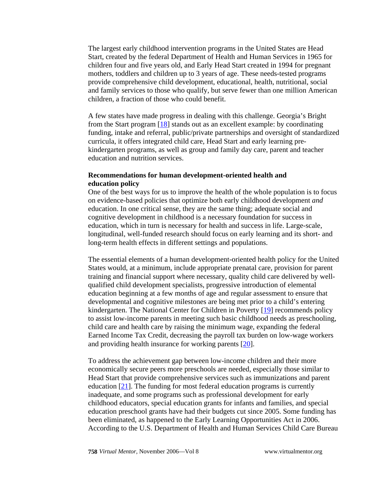The largest early childhood intervention programs in the United States are Head Start, created by the federal Department of Health and Human Services in 1965 for children four and five years old, and Early Head Start created in 1994 for pregnant mothers, toddlers and children up to 3 years of age. These needs-tested programs provide comprehensive child development, educational, health, nutritional, social and family services to those who qualify, but serve fewer than one million American children, a fraction of those who could benefit.

A few states have made progress in dealing with this challenge. Georgia's Bright from the Start program [18] stands out as an excellent example: by coordinating funding, intake and referral, public/private partnerships and oversight of standardized curricula, it offers integrated child care, Head Start and early learning prekindergarten programs, as well as group and family day care, parent and teacher education and nutrition services.

# **Recommendations for human development-oriented health and education policy**

One of the best ways for us to improve the health of the whole population is to focus on evidence-based policies that optimize both early childhood development *and* education. In one critical sense, they are the same thing; adequate social and cognitive development in childhood is a necessary foundation for success in education, which in turn is necessary for health and success in life. Large-scale, longitudinal, well-funded research should focus on early learning and its short- and long-term health effects in different settings and populations.

The essential elements of a human development-oriented health policy for the United States would, at a minimum, include appropriate prenatal care, provision for parent training and financial support where necessary, quality child care delivered by wellqualified child development specialists, progressive introduction of elemental education beginning at a few months of age and regular assessment to ensure that developmental and cognitive milestones are being met prior to a child's entering kindergarten. The National Center for Children in Poverty [19] recommends policy to assist low-income parents in meeting such basic childhood needs as preschooling, child care and health care by raising the minimum wage, expanding the federal Earned Income Tax Credit, decreasing the payroll tax burden on low-wage workers and providing health insurance for working parents [20].

To address the achievement gap between low-income children and their more economically secure peers more preschools are needed, especially those similar to Head Start that provide comprehensive services such as immunizations and parent education  $[21]$ . The funding for most federal education programs is currently inadequate, and some programs such as professional development for early childhood educators, special education grants for infants and families, and special education preschool grants have had their budgets cut since 2005. Some funding has been eliminated, as happened to the Early Learning Opportunities Act in 2006. According to the U.S. Department of Health and Human Services Child Care Bureau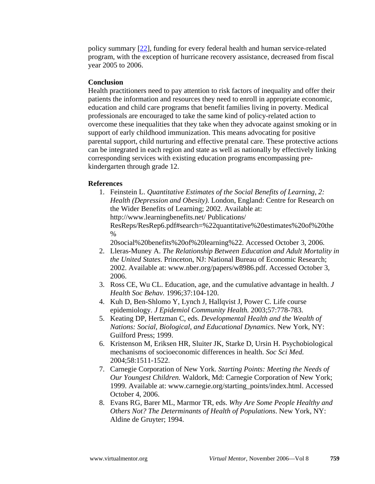policy summary [22], funding for every federal health and human service-related program, with the exception of hurricane recovery assistance, decreased from fiscal year 2005 to 2006.

#### **Conclusion**

Health practitioners need to pay attention to risk factors of inequality and offer their patients the information and resources they need to enroll in appropriate economic, education and child care programs that benefit families living in poverty. Medical professionals are encouraged to take the same kind of policy-related action to overcome these inequalities that they take when they advocate against smoking or in support of early childhood immunization. This means advocating for positive parental support, child nurturing and effective prenatal care. These protective actions can be integrated in each region and state as well as nationally by effectively linking corresponding services with existing education programs encompassing prekindergarten through grade 12.

#### **References**

1. Feinstein L. *Quantitative Estimates of the Social Benefits of Learning, 2: Health (Depression and Obesity)*. London, England: Centre for Research on the Wider Benefits of Learning; 2002. Available at: http://www.learningbenefits.net/ Publications/ ResReps/ResRep6.pdf#search=%22quantitative%20estimates%20of%20the  $\%$ 

20social%20benefits%20of%20learning%22. Accessed October 3, 2006.

- 2. Lleras-Muney A. *The Relationship Between Education and Adult Mortality in the United States*. Princeton, NJ: National Bureau of Economic Research; 2002. Available at: www.nber.org/papers/w8986.pdf. Accessed October 3, 2006.
- 3. Ross CE, Wu CL. Education, age, and the cumulative advantage in health. *J Health Soc Behav.* 1996;37:104-120.
- 4. Kuh D, Ben-Shlomo Y, Lynch J, Hallqvist J, Power C. Life course epidemiology. *J Epidemiol Community Health.* 2003;57:778-783.
- 5. Keating DP, Hertzman C, eds. *Developmental Health and the Wealth of Nations: Social, Biological, and Educational Dynamics*. New York, NY: Guilford Press; 1999.
- 6. Kristenson M, Eriksen HR, Sluiter JK, Starke D, Ursin H. Psychobiological mechanisms of socioeconomic differences in health. *Soc Sci Med.* 2004;58:1511-1522.
- 7. Carnegie Corporation of New York. *Starting Points: Meeting the Needs of Our Youngest Children.* Waldork, Md: Carnegie Corporation of New York; 1999. Available at: www.carnegie.org/starting\_points/index.html. Accessed October 4, 2006.
- 8. Evans RG, Barer ML, Marmor TR, eds. *Why Are Some People Healthy and Others Not? The Determinants of Health of Populations*. New York, NY: Aldine de Gruyter; 1994.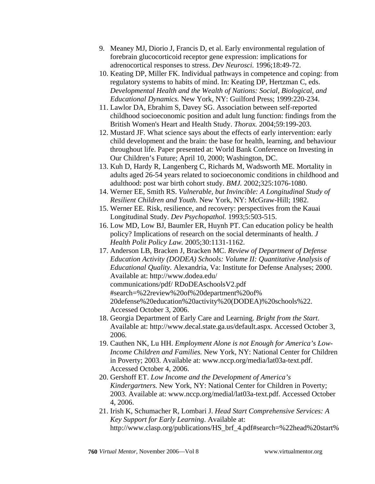- 9. Meaney MJ, Diorio J, Francis D, et al. Early environmental regulation of forebrain glucocorticoid receptor gene expression: implications for adrenocortical responses to stress. *Dev Neurosci.* 1996;18:49-72.
- 10. Keating DP, Miller FK. Individual pathways in competence and coping: from regulatory systems to habits of mind. In: Keating DP, Hertzman C, eds. *Developmental Health and the Wealth of Nations: Social, Biological, and Educational Dynamics.* New York, NY: Guilford Press; 1999:220-234.
- 11. Lawlor DA, Ebrahim S, Davey SG. Association between self-reported childhood socioeconomic position and adult lung function: findings from the British Women's Heart and Health Study. *Thorax.* 2004;59:199-203.
- 12. Mustard JF. What science says about the effects of early intervention: early child development and the brain: the base for health, learning, and behaviour throughout life. Paper presented at: World Bank Conference on Investing in Our Children's Future; April 10, 2000; Washington, DC.
- 13. Kuh D, Hardy R, Langenberg C, Richards M, Wadsworth ME. Mortality in adults aged 26-54 years related to socioeconomic conditions in childhood and adulthood: post war birth cohort study. *BMJ.* 2002;325:1076-1080.
- 14. Werner EE, Smith RS. *Vulnerable, but Invincible: A Longitudinal Study of Resilient Children and Youth*. New York, NY: McGraw-Hill; 1982.
- 15. Werner EE. Risk, resilience, and recovery: perspectives from the Kauai Longitudinal Study. *Dev Psychopathol.* 1993;5:503-515.
- 16. Low MD, Low BJ, Baumler ER, Huynh PT. Can education policy be health policy? Implications of research on the social determinants of health. *J Health Polit Policy Law.* 2005;30:1131-1162.
- 17. Anderson LB, Bracken J, Bracken MC. *Review of Department of Defense Education Activity (DODEA) Schools: Volume II: Quantitative Analysis of Educational Quality.* Alexandria, Va: Institute for Defense Analyses; 2000. Available at: http://www.dodea.edu/ communications/pdf/ RDoDEAschoolsV2.pdf #search=%22review%20of%20department%20of% 20defense%20education%20activity%20(DODEA)%20schools%22. Accessed October 3, 2006.
- 18. Georgia Department of Early Care and Learning. *Bright from the Start*. Available at: http://www.decal.state.ga.us/default.aspx. Accessed October 3, 2006.
- 19. Cauthen NK, Lu HH. *Employment Alone is not Enough for America's Low-Income Children and Families.* New York, NY: National Center for Children in Poverty; 2003. Available at: www.nccp.org/media/lat03a-text.pdf. Accessed October 4, 2006.
- 20. Gershoff ET. *Low Income and the Development of America's Kindergartners.* New York, NY: National Center for Children in Poverty; 2003. Available at: www.nccp.org/medial/lat03a-text.pdf. Accessed October 4, 2006.
- 21. Irish K, Schumacher R, Lombari J. *Head Start Comprehensive Services: A Key Support for Early Learning*. Available at: http://www.clasp.org/publications/HS\_brf\_4.pdf#search=%22head%20start%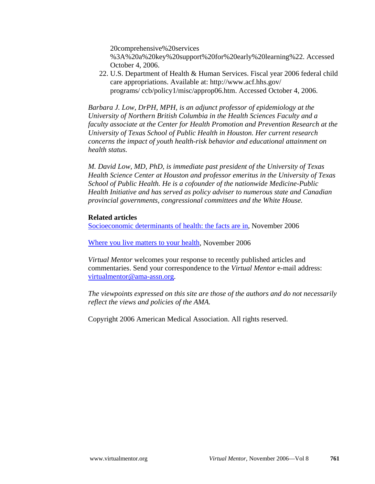20comprehensive%20services

%3A%20a%20key%20support%20for%20early%20learning%22. Accessed October 4, 2006.

22. U.S. Department of Health & Human Services. Fiscal year 2006 federal child care appropriations. Available at: http://www.acf.hhs.gov/ programs/ ccb/policy1/misc/approp06.htm. Accessed October 4, 2006.

*Barbara J. Low, DrPH, MPH, is an adjunct professor of epidemiology at the University of Northern British Columbia in the Health Sciences Faculty and a faculty associate at the Center for Health Promotion and Prevention Research at the University of Texas School of Public Health in Houston. Her current research concerns the impact of youth health-risk behavior and educational attainment on health status.*

*M. David Low, MD, PhD, is immediate past president of the University of Texas Health Science Center at Houston and professor emeritus in the University of Texas School of Public Health. He is a cofounder of the nationwide Medicine-Public Health Initiative and has served as policy adviser to numerous state and Canadian provincial governments, congressional committees and the White House.*

## **Related articles**

[Socioeconomic determinants of health: the facts are in,](http://www.ama-assn.org/ama/pub/category/16937.html) November 2006

[Where you live matters to your health,](http://www.ama-assn.org/ama/pub/category/16941.html) November 2006

*Virtual Mentor* welcomes your response to recently published articles and commentaries. Send your correspondence to the *Virtual Mentor* e-mail address: virtualmentor@ama-assn.org.

*The viewpoints expressed on this site are those of the authors and do not necessarily reflect the views and policies of the AMA.*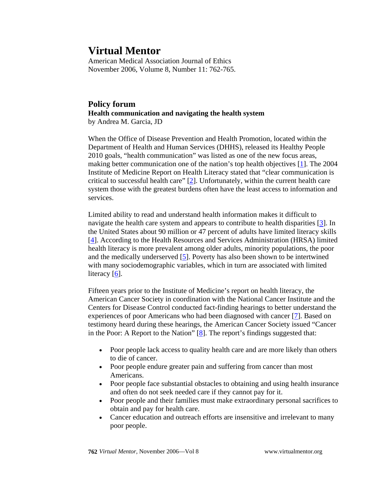**Virtual Mentor**<br>American Medical Association Journal of Ethics November 2006, Volume 8, Number 11: 762-765.

# **Policy forum Health communication and navigating the health system** by Andrea M. Garcia, JD

When the Office of Disease Prevention and Health Promotion, located within the Department of Health and Human Services (DHHS), released its Healthy People 2010 goals, "health communication" was listed as one of the new focus areas, making better communication one of the nation's top health objectives [1]. The 2004 Institute of Medicine Report on Health Literacy stated that "clear communication is critical to successful health care"  $[2]$ . Unfortunately, within the current health care system those with the greatest burdens often have the least access to information and services.

Limited ability to read and understand health information makes it difficult to navigate the health care system and appears to contribute to health disparities [3]. In the United States about 90 million or 47 percent of adults have limited literacy skills [4]. According to the Health Resources and Services Administration (HRSA) limited health literacy is more prevalent among older adults, minority populations, the poor and the medically underserved [5]. Poverty has also been shown to be intertwined with many sociodemographic variables, which in turn are associated with limited literacy [6].

Fifteen years prior to the Institute of Medicine's report on health literacy, the American Cancer Society in coordination with the National Cancer Institute and the Centers for Disease Control conducted fact-finding hearings to better understand the experiences of poor Americans who had been diagnosed with cancer [7]. Based on testimony heard during these hearings, the American Cancer Society issued "Cancer in the Poor: A Report to the Nation" [8]. The report's findings suggested that:

- Poor people lack access to quality health care and are more likely than others to die of cancer.
- Poor people endure greater pain and suffering from cancer than most Americans.
- Poor people face substantial obstacles to obtaining and using health insurance and often do not seek needed care if they cannot pay for it.
- Poor people and their families must make extraordinary personal sacrifices to obtain and pay for health care.
- Cancer education and outreach efforts are insensitive and irrelevant to many poor people.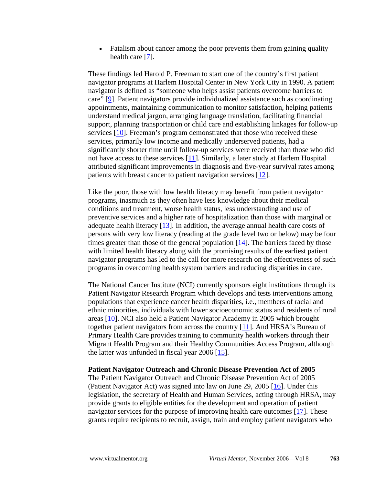• Fatalism about cancer among the poor prevents them from gaining quality health care [7].

These findings led Harold P. Freeman to start one of the country's first patient navigator programs at Harlem Hospital Center in New York City in 1990. A patient navigator is defined as "someone who helps assist patients overcome barriers to care" [9]. Patient navigators provide individualized assistance such as coordinating appointments, maintaining communication to monitor satisfaction, helping patients understand medical jargon, arranging language translation, facilitating financial support, planning transportation or child care and establishing linkages for follow-up services [10]. Freeman's program demonstrated that those who received these services, primarily low income and medically underserved patients, had a significantly shorter time until follow-up services were received than those who did not have access to these services [11]. Similarly, a later study at Harlem Hospital attributed significant improvements in diagnosis and five-year survival rates among patients with breast cancer to patient navigation services [12].

Like the poor, those with low health literacy may benefit from patient navigator programs, inasmuch as they often have less knowledge about their medical conditions and treatment, worse health status, less understanding and use of preventive services and a higher rate of hospitalization than those with marginal or adequate health literacy [13]. In addition, the average annual health care costs of persons with very low literacy (reading at the grade level two or below) may be four times greater than those of the general population [14]. The barriers faced by those with limited health literacy along with the promising results of the earliest patient navigator programs has led to the call for more research on the effectiveness of such programs in overcoming health system barriers and reducing disparities in care.

The National Cancer Institute (NCI) currently sponsors eight institutions through its Patient Navigator Research Program which develops and tests interventions among populations that experience cancer health disparities, i.e., members of racial and ethnic minorities, individuals with lower socioeconomic status and residents of rural areas [10]. NCI also held a Patient Navigator Academy in 2005 which brought together patient navigators from across the country [11]. And HRSA's Bureau of Primary Health Care provides training to community health workers through their Migrant Health Program and their Healthy Communities Access Program, although the latter was unfunded in fiscal year  $2006$  [ $15$ ].

### **Patient Navigator Outreach and Chronic Disease Prevention Act of 2005**

The Patient Navigator Outreach and Chronic Disease Prevention Act of 2005 (Patient Navigator Act) was signed into law on June 29, 2005  $[16]$ . Under this legislation, the secretary of Health and Human Services, acting through HRSA, may provide grants to eligible entities for the development and operation of patient navigator services for the purpose of improving health care outcomes [17]. These grants require recipients to recruit, assign, train and employ patient navigators who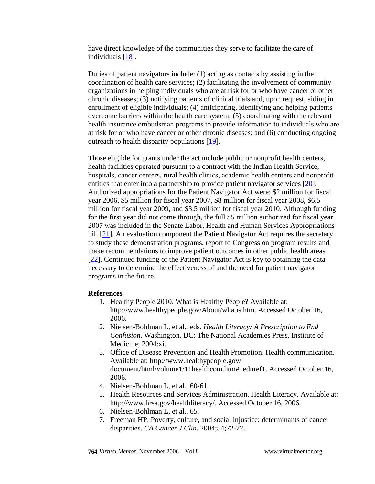have direct knowledge of the communities they serve to facilitate the care of individuals [18].

Duties of patient navigators include: (1) acting as contacts by assisting in the coordination of health care services; (2) facilitating the involvement of community organizations in helping individuals who are at risk for or who have cancer or other chronic diseases; (3) notifying patients of clinical trials and, upon request, aiding in enrollment of eligible individuals; (4) anticipating, identifying and helping patients overcome barriers within the health care system; (5) coordinating with the relevant health insurance ombudsman programs to provide information to individuals who are at risk for or who have cancer or other chronic diseases; and (6) conducting ongoing outreach to health disparity populations [19].

Those eligible for grants under the act include public or nonprofit health centers, health facilities operated pursuant to a contract with the Indian Health Service, hospitals, cancer centers, rural health clinics, academic health centers and nonprofit entities that enter into a partnership to provide patient navigator services [20]. Authorized appropriations for the Patient Navigator Act were: \$2 million for fiscal year 2006, \$5 million for fiscal year 2007, \$8 million for fiscal year 2008, \$6.5 million for fiscal year 2009, and \$3.5 million for fiscal year 2010. Although funding for the first year did not come through, the full \$5 million authorized for fiscal year 2007 was included in the Senate Labor, Health and Human Services Appropriations bill [21]. An evaluation component the Patient Navigator Act requires the secretary to study these demonstration programs, report to Congress on program results and make recommendations to improve patient outcomes in other public health areas [22]. Continued funding of the Patient Navigator Act is key to obtaining the data necessary to determine the effectiveness of and the need for patient navigator programs in the future.

# **References**

- 1. Healthy People 2010. What is Healthy People? Available at: http://www.healthypeople.gov/About/whatis.htm. Accessed October 16, 2006.
- 2. Nielsen-Bohlman L, et al., eds. *Health Literacy: A Prescription to End Confusion*. Washington, DC: The National Academies Press, Institute of Medicine; 2004:xi.
- 3. Office of Disease Prevention and Health Promotion. Health communication. Available at: http://www.healthypeople.gov/ document/html/volume1/11healthcom.htm#\_ednref1. Accessed October 16, 2006.
- 4. Nielsen-Bohlman L, et al., 60-61.
- 5. Health Resources and Services Administration. Health Literacy. Available at: http://www.hrsa.gov/healthliteracy/. Accessed October 16, 2006.
- 6. Nielsen-Bohlman L, et al., 65.
- 7. Freeman HP. Poverty, culture, and social injustice: determinants of cancer disparities. *CA Cancer J Clin*. 2004;54;72-77.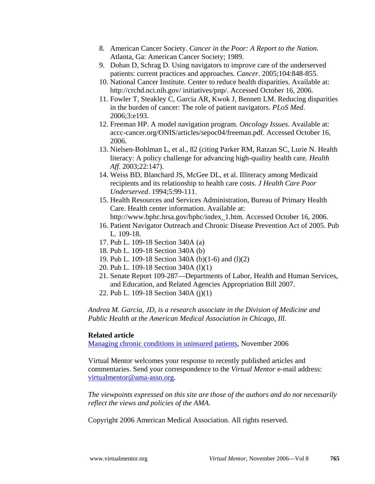- 8. American Cancer Society. *Cancer in the Poor: A Report to the Nation.* Atlanta, Ga: American Cancer Society; 1989.
- 9. Dohan D, Schrag D. Using navigators to improve care of the underserved patients: current practices and approaches. *Cancer*. 2005;104:848-855.
- 10. National Cancer Institute. Center to reduce health disparities. Available at: http://crchd.nci.nih.gov/ initiatives/pnp/. Accessed October 16, 2006.
- 11. Fowler T, Steakley C, Garcia AR, Kwok J, Bennett LM. Reducing disparities in the burden of cancer: The role of patient navigators. *PLoS Med*. 2006;3:e193.
- 12. Freeman HP. A model navigation program. *Oncology Issues*. Available at: accc-cancer.org/ONIS/articles/sepoc04/freeman.pdf. Accessed October 16, 2006.
- 13. Nielsen-Bohlman L, et al., 82 (citing Parker RM, Ratzan SC, Lurie N. Health literacy: A policy challenge for advancing high-quality health care. *Health Aff*. 2003;22:147).
- 14. Weiss BD, Blanchard JS, McGee DL, et al. Illiteracy among Medicaid recipients and its relationship to health care costs. *J Health Care Poor Underserved*. 1994;5:99-111.
- 15. Health Resources and Services Administration, Bureau of Primary Health Care. Health center information. Available at: http://www.bphc.hrsa.gov/bphc/index\_1.htm. Accessed October 16, 2006.
- 16. Patient Navigator Outreach and Chronic Disease Prevention Act of 2005. Pub L. 109-18.
- 17. Pub L. 109-18 Section 340A (a)
- 18. Pub L. 109-18 Section 340A (b)
- 19. Pub L. 109-18 Section 340A (b)(1-6) and (l)(2)
- 20. Pub L. 109-18 Section 340A (l)(1)
- 21. Senate Report 109-287—Departments of Labor, Health and Human Services, and Education, and Related Agencies Appropriation Bill 2007.
- 22. Pub L. 109-18 Section 340A (j)(1)

*Andrea M. Garcia, JD, is a research associate in the Division of Medicine and Public Health at the American Medical Association in Chicago, Ill.*

# **Related article**

[Managing chronic conditions in uninsured patients, N](http://www.ama-assn.org/ama/pub/category/16930.html)ovember 2006

Virtual Mentor welcomes your response to recently published articles and commentaries. Send your correspondence to the *Virtual Mentor* e-mail address: virtualmentor@ama-assn.org.

*The viewpoints expressed on this site are those of the authors and do not necessarily reflect the views and policies of the AMA.*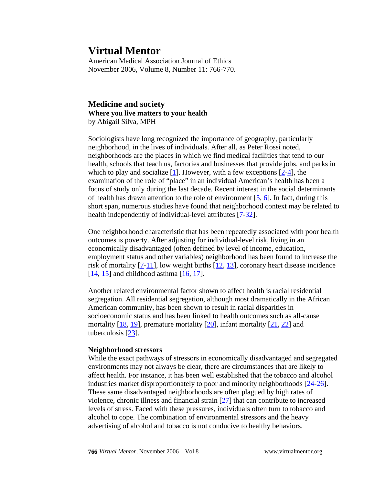**Virtual Mentor**<br>American Medical Association Journal of Ethics November 2006, Volume 8, Number 11: 766-770.

# **Medicine and society Where you live matters to your health** by Abigail Silva, MPH

Sociologists have long recognized the importance of geography, particularly neighborhood, in the lives of individuals. After all, as Peter Rossi noted, neighborhoods are the places in which we find medical facilities that tend to our health, schools that teach us, factories and businesses that provide jobs, and parks in which to play and socialize  $[1]$ . However, with a few exceptions  $[2-4]$ , the examination of the role of "place" in an individual American's health has been a focus of study only during the last decade. Recent interest in the social determinants of health has drawn attention to the role of environment  $[5, 6]$ . In fact, during this short span, numerous studies have found that neighborhood context may be related to health independently of individual-level attributes [7-32].

One neighborhood characteristic that has been repeatedly associated with poor health outcomes is poverty. After adjusting for individual-level risk, living in an economically disadvantaged (often defined by level of income, education, employment status and other variables) neighborhood has been found to increase the risk of mortality  $[7-11]$ , low weight births  $[12, 13]$ , coronary heart disease incidence [14, 15] and childhood asthma [16, 17].

Another related environmental factor shown to affect health is racial residential segregation. All residential segregation, although most dramatically in the African American community, has been shown to result in racial disparities in socioeconomic status and has been linked to health outcomes such as all-cause mortality  $[18, 19]$ , premature mortality  $[20]$ , infant mortality  $[21, 22]$  and tuberculosis [23].

### **Neighborhood stressors**

While the exact pathways of stressors in economically disadvantaged and segregated environments may not always be clear, there are circumstances that are likely to affect health. For instance, it has been well established that the tobacco and alcohol industries market disproportionately to poor and minority neighborhoods [24-26]. These same disadvantaged neighborhoods are often plagued by high rates of violence, chronic illness and financial strain [27] that can contribute to increased levels of stress. Faced with these pressures, individuals often turn to tobacco and alcohol to cope. The combination of environmental stressors and the heavy advertising of alcohol and tobacco is not conducive to healthy behaviors.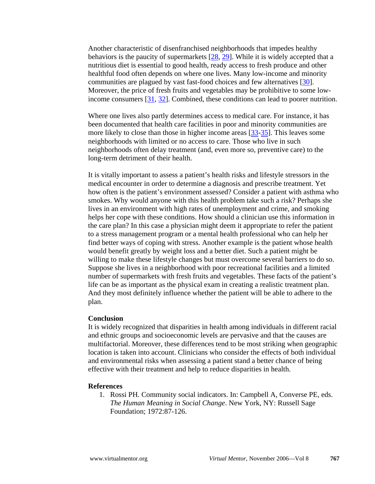Another characteristic of disenfranchised neighborhoods that impedes healthy behaviors is the paucity of supermarkets  $[28, 29]$ . While it is widely accepted that a nutritious diet is essential to good health, ready access to fresh produce and other healthful food often depends on where one lives. Many low-income and minority communities are plagued by vast fast-food choices and few alternatives [30]. Moreover, the price of fresh fruits and vegetables may be prohibitive to some lowincome consumers [31, 32]. Combined, these conditions can lead to poorer nutrition.

Where one lives also partly determines access to medical care. For instance, it has been documented that health care facilities in poor and minority communities are more likely to close than those in higher income areas [33-35]. This leaves some neighborhoods with limited or no access to care. Those who live in such neighborhoods often delay treatment (and, even more so, preventive care) to the long-term detriment of their health.

It is vitally important to assess a patient's health risks and lifestyle stressors in the medical encounter in order to determine a diagnosis and prescribe treatment. Yet how often is the patient's environment assessed? Consider a patient with asthma who smokes. Why would anyone with this health problem take such a risk? Perhaps she lives in an environment with high rates of unemployment and crime, and smoking helps her cope with these conditions. How should a clinician use this information in the care plan? In this case a physician might deem it appropriate to refer the patient to a stress management program or a mental health professional who can help her find better ways of coping with stress. Another example is the patient whose health would benefit greatly by weight loss and a better diet. Such a patient might be willing to make these lifestyle changes but must overcome several barriers to do so. Suppose she lives in a neighborhood with poor recreational facilities and a limited number of supermarkets with fresh fruits and vegetables. These facts of the patient's life can be as important as the physical exam in creating a realistic treatment plan. And they most definitely influence whether the patient will be able to adhere to the plan.

#### **Conclusion**

It is widely recognized that disparities in health among individuals in different racial and ethnic groups and socioeconomic levels are pervasive and that the causes are multifactorial. Moreover, these differences tend to be most striking when geographic location is taken into account. Clinicians who consider the effects of both individual and environmental risks when assessing a patient stand a better chance of being effective with their treatment and help to reduce disparities in health.

#### **References**

1. Rossi PH. Community social indicators. In: Campbell A, Converse PE, eds. *The Human Meaning in Social Change*. New York, NY: Russell Sage Foundation; 1972:87-126.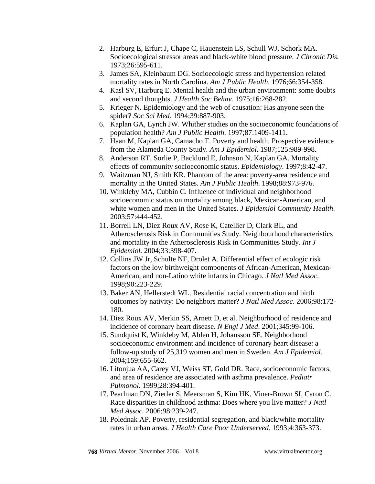- 2. Harburg E, Erfurt J, Chape C, Hauenstein LS, Schull WJ, Schork MA. Socioecological stressor areas and black-white blood pressure*. J Chronic Dis.* 1973;26:595-611.
- 3. James SA, Kleinbaum DG. Socioecologic stress and hypertension related mortality rates in North Carolina. *Am J Public Health*. 1976;66:354-358.
- 4. Kasl SV, Harburg E. Mental health and the urban environment: some doubts and second thoughts. *J Health Soc Behav.* 1975;16:268-282.
- 5. Krieger N. Epidemiology and the web of causation: Has anyone seen the spider? *Soc Sci Med.* 1994;39:887-903.
- 6. Kaplan GA, Lynch JW. Whither studies on the socioeconomic foundations of population health? *Am J Public Health*. 1997;87:1409-1411.
- 7. Haan M, Kaplan GA, Camacho T. Poverty and health. Prospective evidence from the Alameda County Study*. Am J Epidemiol.* 1987;125:989-998.
- 8. Anderson RT, Sorlie P, Backlund E, Johnson N, Kaplan GA. Mortality effects of community socioeconomic status. *Epidemiology*. 1997;8:42-47.
- 9. Waitzman NJ, Smith KR. Phantom of the area: poverty-area residence and mortality in the United States. *Am J Public Health*. 1998;88:973-976.
- 10. Winkleby MA, Cubbin C. Influence of individual and neighborhood socioeconomic status on mortality among black, Mexican-American, and white women and men in the United States. *J Epidemiol Community Health*. 2003;57:444-452.
- 11. Borrell LN, Diez Roux AV, Rose K, Catellier D, Clark BL, and Atherosclerosis Risk in Communities Study. Neighbourhood characteristics and mortality in the Atherosclerosis Risk in Communities Study. *Int J Epidemiol.* 2004;33:398-407.
- 12. Collins JW Jr, Schulte NF, Drolet A. Differential effect of ecologic risk factors on the low birthweight components of African-American, Mexican-American, and non-Latino white infants in Chicago*. J Natl Med Assoc*. 1998;90:223-229.
- 13. Baker AN, Hellerstedt WL. Residential racial concentration and birth outcomes by nativity: Do neighbors matter? *J Natl Med Assoc*. 2006;98:172- 180.
- 14. Diez Roux AV, Merkin SS, Arnett D, et al. Neighborhood of residence and incidence of coronary heart disease. *N Engl J Med*. 2001;345:99-106.
- 15. Sundquist K, Winkleby M, Ahlen H, Johansson SE. Neighborhood socioeconomic environment and incidence of coronary heart disease: a follow-up study of 25,319 women and men in Sweden. *Am J Epidemiol.* 2004;159:655-662.
- 16. Litonjua AA, Carey VJ, Weiss ST, Gold DR. Race, socioeconomic factors, and area of residence are associated with asthma prevalence. *Pediatr Pulmonol.* 1999;28:394-401.
- 17. Pearlman DN, Zierler S, Meersman S, Kim HK, Viner-Brown SI, Caron C. Race disparities in childhood asthma: Does where you live matter? *J Natl Med Assoc.* 2006;98:239-247.
- 18. Polednak AP. Poverty, residential segregation, and black/white mortality rates in urban areas. *J Health Care Poor Underserved*. 1993;4:363-373.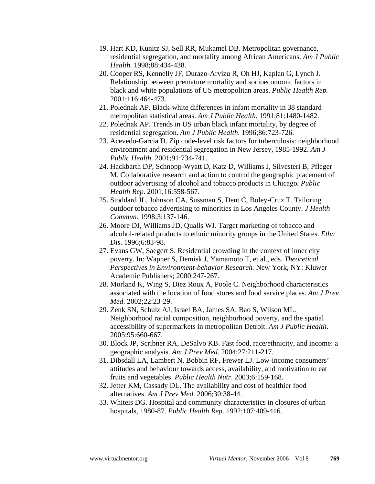- 19. Hart KD, Kunitz SJ, Sell RR, Mukamel DB. Metropolitan governance, residential segregation, and mortality among African Americans. *Am J Public Health*. 1998;88:434-438.
- 20. Cooper RS, Kennelly JF, Durazo-Arvizu R, Oh HJ, Kaplan G, Lynch J. Relationship between premature mortality and socioeconomic factors in black and white populations of US metropolitan areas. *Public Health Rep.* 2001;116:464-473.
- 21. Polednak AP. Black-white differences in infant mortality in 38 standard metropolitan statistical areas. *Am J Public Health*. 1991;81:1480-1482.
- 22. Polednak AP. Trends in US urban black infant mortality, by degree of residential segregation. *Am J Public Health*. 1996;86:723-726.
- 23. Acevedo-Garcia D. Zip code-level risk factors for tuberculosis: neighborhood environment and residential segregation in New Jersey, 1985-1992. *Am J Public Health*. 2001;91:734-741.
- 24. Hackbarth DP, Schnopp-Wyatt D, Katz D, Williams J, Silvesteri B, Pfleger M. Collaborative research and action to control the geographic placement of outdoor advertising of alcohol and tobacco products in Chicago*. Public Health Rep*. 2001;16:558-567.
- 25. Stoddard JL, Johnson CA, Sussman S, Dent C, Boley-Cruz T. Tailoring outdoor tobacco advertising to minorities in Los Angeles County. *J Health Commun*. 1998;3:137-146.
- 26. Moore DJ, Williams JD, Qualls WJ. Target marketing of tobacco and alcohol-related products to ethnic minority groups in the United States. *Ethn Dis*. 1996;6:83-98.
- 27. Evans GW, Saegert S. Residential crowding in the context of inner city poverty. In: Wapner S, Demisk J, Yamamoto T, et al., eds. *Theoretical Perspectives in Environment-behavior Research.* New York, NY: Kluwer Academic Publishers; 2000:247-267.
- 28. Morland K, Wing S, Diez Roux A, Poole C. Neighborhood characteristics associated with the location of food stores and food service places. *Am J Prev Med*. 2002;22:23-29.
- 29. Zenk SN, Schulz AJ, Israel BA, James SA, Bao S, Wilson ML. Neighborhood racial composition, neighborhood poverty, and the spatial accessibility of supermarkets in metropolitan Detroit. *Am J Public Health*. 2005;95:660-667.
- 30. Block JP, Scribner RA, DeSalvo KB. Fast food, race/ethnicity, and income: a geographic analysis. *Am J Prev Med*. 2004;27:211-217.
- 31. Dibsdall LA, Lambert N, Bobbin RF, Frewer LJ. Low-income consumers' attitudes and behaviour towards access, availability, and motivation to eat fruits and vegetables. *Public Health Nutr*. 2003;6:159-168.
- 32. Jetter KM, Cassady DL. The availability and cost of healthier food alternatives. *Am J Prev Med*. 2006;30:38-44.
- 33. Whiteis DG. Hospital and community characteristics in closures of urban hospitals, 1980-87. *Public Health Rep*. 1992;107:409-416.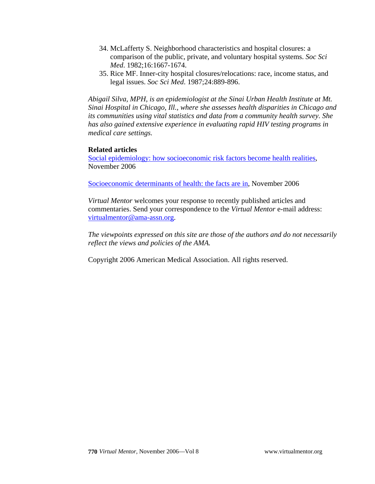- 34. McLafferty S. Neighborhood characteristics and hospital closures: a comparison of the public, private, and voluntary hospital systems. *Soc Sci Med*. 1982;16:1667-1674.
- 35. Rice MF. Inner-city hospital closures/relocations: race, income status, and legal issues. *Soc Sci Med*. 1987;24:889-896.

*Abigail Silva, MPH, is an epidemiologist at the Sinai Urban Health Institute at Mt. Sinai Hospital in Chicago, Ill., where she assesses health disparities in Chicago and its communities using vital statistics and data from a community health survey. She has also gained extensive experience in evaluating rapid HIV testing programs in medical care settings.*

# **Related articles**

[Social epidemiology: how socioeconomic risk factors become health realities,](http://www.ama-assn.org/ama/pub/category/16935.html)  November 2006

[Socioeconomic determinants of health: the facts are in,](http://www.ama-assn.org/ama/pub/category/16937.html) November 2006

*Virtual Mentor* welcomes your response to recently published articles and commentaries. Send your correspondence to the *Virtual Mentor* e-mail address: virtualmentor@ama-assn.org.

*The viewpoints expressed on this site are those of the authors and do not necessarily reflect the views and policies of the AMA.*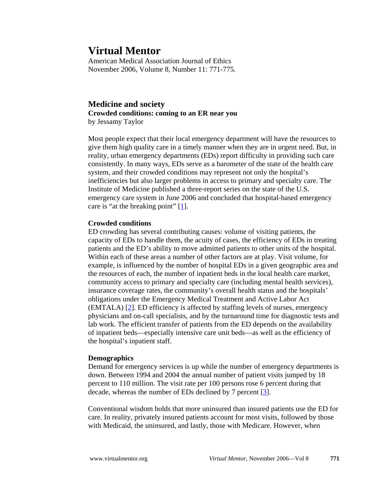**Virtual Mentor**<br>American Medical Association Journal of Ethics November 2006, Volume 8, Number 11: 771-775.

# **Medicine and society Crowded conditions: coming to an ER near you** by Jessamy Taylor

Most people expect that their local emergency department will have the resources to give them high quality care in a timely manner when they are in urgent need. But, in reality, urban emergency departments (EDs) report difficulty in providing such care consistently. In many ways, EDs serve as a barometer of the state of the health care system, and their crowded conditions may represent not only the hospital's inefficiencies but also larger problems in access to primary and specialty care. The Institute of Medicine published a three-report series on the state of the U.S. emergency care system in June 2006 and concluded that hospital-based emergency care is "at the breaking point" [1].

## **Crowded conditions**

ED crowding has several contributing causes: volume of visiting patients, the capacity of EDs to handle them, the acuity of cases, the efficiency of EDs in treating patients and the ED's ability to move admitted patients to other units of the hospital. Within each of these areas a number of other factors are at play. Visit volume, for example, is influenced by the number of hospital EDs in a given geographic area and the resources of each, the number of inpatient beds in the local health care market, community access to primary and specialty care (including mental health services), insurance coverage rates, the community's overall health status and the hospitals' obligations under the Emergency Medical Treatment and Active Labor Act (EMTALA) [2]. ED efficiency is affected by staffing levels of nurses, emergency physicians and on-call specialists, and by the turnaround time for diagnostic tests and lab work. The efficient transfer of patients from the ED depends on the availability of inpatient beds—especially intensive care unit beds—as well as the efficiency of the hospital's inpatient staff.

# **Demographics**

Demand for emergency services is up while the number of emergency departments is down. Between 1994 and 2004 the annual number of patient visits jumped by 18 percent to 110 million. The visit rate per 100 persons rose 6 percent during that decade, whereas the number of EDs declined by 7 percent [3].

Conventional wisdom holds that more uninsured than insured patients use the ED for care. In reality, privately insured patients account for most visits, followed by those with Medicaid, the uninsured, and lastly, those with Medicare. However, when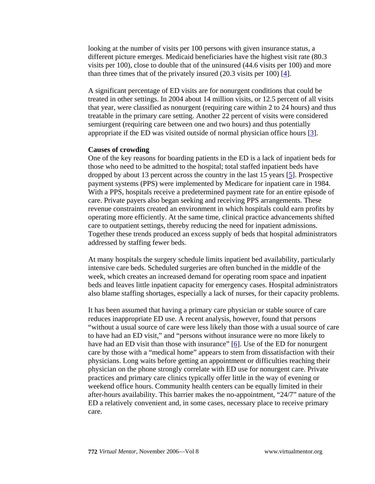looking at the number of visits per 100 persons with given insurance status, a different picture emerges. Medicaid beneficiaries have the highest visit rate (80.3 visits per 100), close to double that of the uninsured (44.6 visits per 100) and more than three times that of the privately insured  $(20.3 \text{ visits per } 100)$  [4].

A significant percentage of ED visits are for nonurgent conditions that could be treated in other settings. In 2004 about 14 million visits, or 12.5 percent of all visits that year, were classified as nonurgent (requiring care within 2 to 24 hours) and thus treatable in the primary care setting. Another 22 percent of visits were considered semiurgent (requiring care between one and two hours) and thus potentially appropriate if the ED was visited outside of normal physician office hours [3].

### **Causes of crowding**

One of the key reasons for boarding patients in the ED is a lack of inpatient beds for those who need to be admitted to the hospital; total staffed inpatient beds have dropped by about 13 percent across the country in the last 15 years [5]. Prospective payment systems (PPS) were implemented by Medicare for inpatient care in 1984. With a PPS, hospitals receive a predetermined payment rate for an entire episode of care. Private payers also began seeking and receiving PPS arrangements. These revenue constraints created an environment in which hospitals could earn profits by operating more efficiently. At the same time, clinical practice advancements shifted care to outpatient settings, thereby reducing the need for inpatient admissions. Together these trends produced an excess supply of beds that hospital administrators addressed by staffing fewer beds.

At many hospitals the surgery schedule limits inpatient bed availability, particularly intensive care beds. Scheduled surgeries are often bunched in the middle of the week, which creates an increased demand for operating room space and inpatient beds and leaves little inpatient capacity for emergency cases. Hospital administrators also blame staffing shortages, especially a lack of nurses, for their capacity problems.

It has been assumed that having a primary care physician or stable source of care reduces inappropriate ED use. A recent analysis, however, found that persons "without a usual source of care were less likely than those with a usual source of care to have had an ED visit," and "persons without insurance were no more likely to have had an ED visit than those with insurance" [6]. Use of the ED for nonurgent care by those with a "medical home" appears to stem from dissatisfaction with their physicians. Long waits before getting an appointment or difficulties reaching their physician on the phone strongly correlate with ED use for nonurgent care. Private practices and primary care clinics typically offer little in the way of evening or weekend office hours. Community health centers can be equally limited in their after-hours availability. This barrier makes the no-appointment, "24/7" nature of the ED a relatively convenient and, in some cases, necessary place to receive primary care.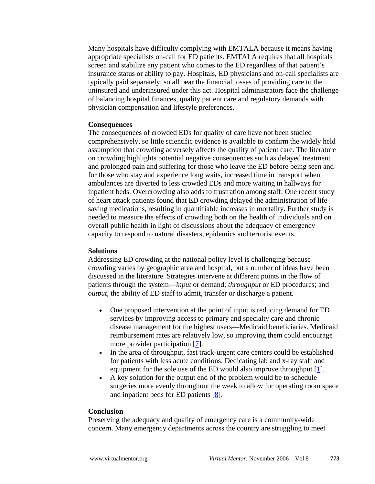Many hospitals have difficulty complying with EMTALA because it means having appropriate specialists on-call for ED patients. EMTALA requires that all hospitals screen and stabilize any patient who comes to the ED regardless of that patient's insurance status or ability to pay. Hospitals, ED physicians and on-call specialists are typically paid separately, so all bear the financial losses of providing care to the uninsured and underinsured under this act. Hospital administrators face the challenge of balancing hospital finances, quality patient care and regulatory demands with physician compensation and lifestyle preferences.

### **Consequences**

The consequences of crowded EDs for quality of care have not been studied comprehensively, so little scientific evidence is available to confirm the widely held assumption that crowding adversely affects the quality of patient care. The literature on crowding highlights potential negative consequences such as delayed treatment and prolonged pain and suffering for those who leave the ED before being seen and for those who stay and experience long waits, increased time in transport when ambulances are diverted to less crowded EDs and more waiting in hallways for inpatient beds. Overcrowding also adds to frustration among staff. One recent study of heart attack patients found that ED crowding delayed the administration of lifesaving medications, resulting in quantifiable increases in mortality. Further study is needed to measure the effects of crowding both on the health of individuals and on overall public health in light of discussions about the adequacy of emergency capacity to respond to natural disasters, epidemics and terrorist events.

### **Solutions**

Addressing ED crowding at the national policy level is challenging because crowding varies by geographic area and hospital, but a number of ideas have been discussed in the literature. Strategies intervene at different points in the flow of patients through the system—*input* or demand; *throughput* or ED procedures; and *output*, the ability of ED staff to admit, transfer or discharge a patient.

- One proposed intervention at the point of input is reducing demand for ED services by improving access to primary and specialty care and chronic disease management for the highest users—Medicaid beneficiaries. Medicaid reimbursement rates are relatively low, so improving them could encourage more provider participation [7].
- In the area of throughput, fast track-urgent care centers could be established for patients with less acute conditions. Dedicating lab and x-ray staff and equipment for the sole use of the ED would also improve throughput [1].
- A key solution for the output end of the problem would be to schedule surgeries more evenly throughout the week to allow for operating room space and inpatient beds for ED patients [8].

### **Conclusion**

Preserving the adequacy and quality of emergency care is a community-wide concern. Many emergency departments across the country are struggling to meet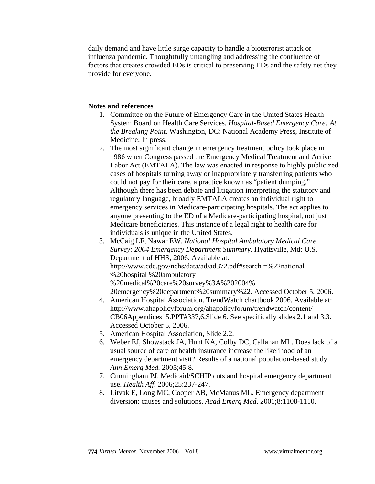daily demand and have little surge capacity to handle a bioterrorist attack or influenza pandemic. Thoughtfully untangling and addressing the confluence of factors that creates crowded EDs is critical to preserving EDs and the safety net they provide for everyone.

## **Notes and references**

- 1. Committee on the Future of Emergency Care in the United States Health System Board on Health Care Services*. Hospital-Based Emergency Care: At the Breaking Point*. Washington, DC: National Academy Press, Institute of Medicine; In press.
- 2. The most significant change in emergency treatment policy took place in 1986 when Congress passed the Emergency Medical Treatment and Active Labor Act (EMTALA). The law was enacted in response to highly publicized cases of hospitals turning away or inappropriately transferring patients who could not pay for their care, a practice known as "patient dumping." Although there has been debate and litigation interpreting the statutory and regulatory language, broadly EMTALA creates an individual right to emergency services in Medicare-participating hospitals. The act applies to anyone presenting to the ED of a Medicare-participating hospital, not just Medicare beneficiaries. This instance of a legal right to health care for individuals is unique in the United States.
- 3. McCaig LF, Nawar EW. *National Hospital Ambulatory Medical Care Survey: 2004 Emergency Department Summary*. Hyattsville, Md: U.S. Department of HHS; 2006. Available at: http://www.cdc.gov/nchs/data/ad/ad372.pdf#search =%22national %20hospital %20ambulatory %20medical%20care%20survey%3A%202004% 20emergency%20department%20summary%22. Accessed October 5, 2006.
- 4. American Hospital Association. TrendWatch chartbook 2006. Available at: http://www.ahapolicyforum.org/ahapolicyforum/trendwatch/content/ CB06Appendices15.PPT#337,6,Slide 6. See specifically slides 2.1 and 3.3. Accessed October 5, 2006.
- 5. American Hospital Association, Slide 2.2.
- 6. Weber EJ, Showstack JA, Hunt KA, Colby DC, Callahan ML. Does lack of a usual source of care or health insurance increase the likelihood of an emergency department visit? Results of a national population-based study. *Ann Emerg Med.* 2005;45:8.
- 7. Cunningham PJ. Medicaid/SCHIP cuts and hospital emergency department use. *Health Aff.* 2006;25:237-247.
- 8. Litvak E, Long MC, Cooper AB, McManus ML. Emergency department diversion: causes and solutions. *Acad Emerg Med*. 2001;8:1108-1110.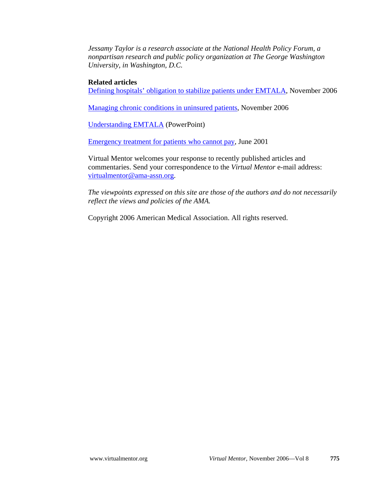*Jessamy Taylor is a research associate at the National Health Policy Forum, a nonpartisan research and public policy organization at The George Washington University, in Washington, D.C.*

## **Related articles**

[Defining hospitals' obligation to stabilize patients under EMTALA, N](http://www.ama-assn.org/ama/pub/category/16939.html)ovember 2006

[Managing chronic conditions in uninsured patients,](http://www.ama-assn.org/ama/pub/category/16930.html) November 2006

[Understanding EMTALA \(](http://www.ama-assn.org/ama/pub/category/14885.html)PowerPoint)

[Emergency treatment for patients who cannot pay,](http://www.ama-assn.org/ama/pub/category/5143.html) June 2001

Virtual Mentor welcomes your response to recently published articles and commentaries. Send your correspondence to the *Virtual Mentor* e-mail address: virtualmentor@ama-assn.org.

*The viewpoints expressed on this site are those of the authors and do not necessarily reflect the views and policies of the AMA.*

Copyright 2006 American Medical Association. All rights reserved.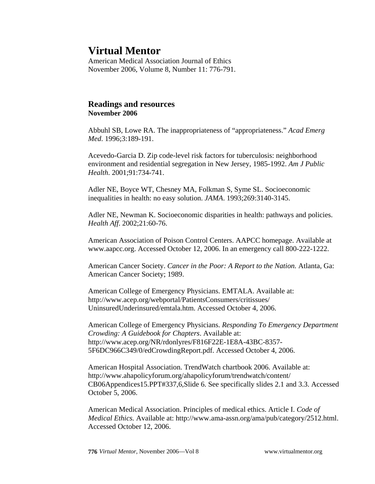**Virtual Mentor**<br>American Medical Association Journal of Ethics November 2006, Volume 8, Number 11: 776-791.

## **Readings and resources November 2006**

Abbuhl SB, Lowe RA. The inappropriateness of "appropriateness." *Acad Emerg Med*. 1996;3:189-191.

Acevedo-Garcia D. Zip code-level risk factors for tuberculosis: neighborhood environment and residential segregation in New Jersey, 1985-1992. *Am J Public Health*. 2001;91:734-741.

Adler NE, Boyce WT, Chesney MA, Folkman S, Syme SL. Socioeconomic inequalities in health: no easy solution. *JAMA*. 1993;269:3140-3145.

Adler NE, Newman K. Socioeconomic disparities in health: pathways and policies. *Health Aff*. 2002;21:60-76.

American Association of Poison Control Centers. AAPCC homepage. Available at www.aapcc.org. Accessed October 12, 2006. In an emergency call 800-222-1222.

American Cancer Society. *Cancer in the Poor: A Report to the Nation.* Atlanta, Ga: American Cancer Society; 1989.

American College of Emergency Physicians. EMTALA. Available at: http://www.acep.org/webportal/PatientsConsumers/critissues/ UninsuredUnderinsured/emtala.htm. Accessed October 4, 2006.

American College of Emergency Physicians. *Responding To Emergency Department Crowding: A Guidebook for Chapters*. Available at: http://www.acep.org/NR/rdonlyres/F816F22E-1E8A-43BC-8357- 5F6DC966C349/0/edCrowdingReport.pdf. Accessed October 4, 2006.

American Hospital Association. TrendWatch chartbook 2006. Available at: http://www.ahapolicyforum.org/ahapolicyforum/trendwatch/content/ CB06Appendices15.PPT#337,6,Slide 6. See specifically slides 2.1 and 3.3. Accessed October 5, 2006.

American Medical Association. Principles of medical ethics. Article I. *Code of Medical Ethics.* Available at: http://www.ama-assn.org/ama/pub/category/2512.html. Accessed October 12, 2006.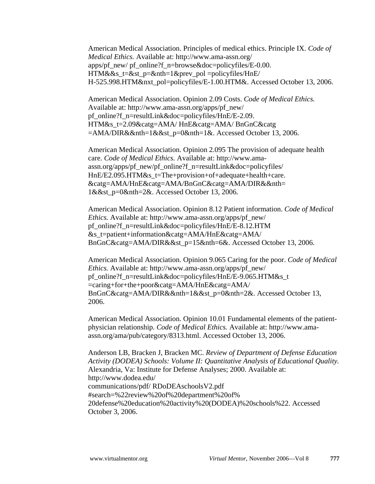American Medical Association. Principles of medical ethics. Principle IX. *Code of Medical Ethics.* Available at: http://www.ama-assn.org/ apps/pf\_new/ pf\_online?f\_n=browse&doc=policyfiles/E-0.00. HTM&&s\_t=&st\_p=&nth=1&prev\_pol =policyfiles/HnE/ H-525.998.HTM&nxt\_pol=policyfiles/E-1.00.HTM&. Accessed October 13, 2006.

American Medical Association. Opinion 2.09 Costs. *Code of Medical Ethics.* Available at: http://www.ama-assn.org/apps/pf\_new/ pf\_online?f\_n=resultLink&doc=policyfiles/HnE/E-2.09. HTM&s\_t=2.09&catg=AMA/ HnE&catg=AMA/ BnGnC&catg =AMA/DIR&&nth=1&&st\_p=0&nth=1&. Accessed October 13, 2006.

American Medical Association. Opinion 2.095 The provision of adequate health care. *Code of Medical Ethics.* Available at: http://www.amaassn.org/apps/pf\_new/pf\_online?f\_n=resultLink&doc=policyfiles/ HnE/E2.095.HTM&s\_t=The+provision+of+adequate+health+care. &catg=AMA/HnE&catg=AMA/BnGnC&catg=AMA/DIR&&nth= 1&&st\_p=0&nth=2&. Accessed October 13, 2006.

American Medical Association. Opinion 8.12 Patient information. *Code of Medical Ethics.* Available at: http://www.ama-assn.org/apps/pf\_new/ pf\_online?f\_n=resultLink&doc=policyfiles/HnE/E-8.12.HTM &s\_t=patient+information&catg=AMA/HnE&catg=AMA/ BnGnC&catg=AMA/DIR&&st\_p=15&nth=6&. Accessed October 13, 2006.

American Medical Association. Opinion 9.065 Caring for the poor. *Code of Medical Ethics.* Available at: http://www.ama-assn.org/apps/pf\_new/ pf\_online?f\_n=resultLink&doc=policyfiles/HnE/E-9.065.HTM&s\_t =caring+for+the+poor&catg=AMA/HnE&catg=AMA/ BnGnC&catg=AMA/DIR&&nth=1&&st\_p=0&nth=2&. Accessed October 13, 2006.

American Medical Association. Opinion 10.01 Fundamental elements of the patientphysician relationship. *Code of Medical Ethics.* Available at: http://www.amaassn.org/ama/pub/category/8313.html. Accessed October 13, 2006.

Anderson LB, Bracken J, Bracken MC. *Review of Department of Defense Education Activity (DODEA) Schools: Volume II: Quantitative Analysis of Educational Quality.* Alexandria, Va: Institute for Defense Analyses; 2000. Available at: http://www.dodea.edu/ communications/pdf/ RDoDEAschoolsV2.pdf #search=%22review%20of%20department%20of% 20defense%20education%20activity%20(DODEA)%20schools%22. Accessed October 3, 2006.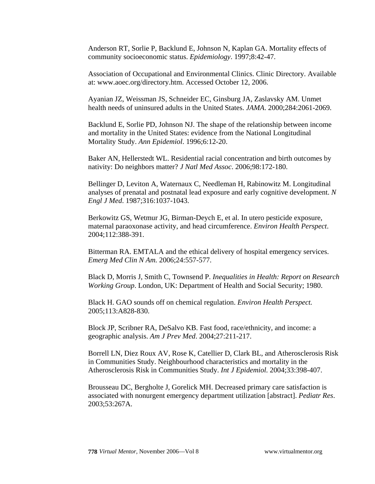Anderson RT, Sorlie P, Backlund E, Johnson N, Kaplan GA. Mortality effects of community socioeconomic status. *Epidemiology*. 1997;8:42-47.

Association of Occupational and Environmental Clinics. Clinic Directory. Available at: www.aoec.org/directory.htm. Accessed October 12, 2006.

Ayanian JZ, Weissman JS, Schneider EC, Ginsburg JA, Zaslavsky AM. Unmet health needs of uninsured adults in the United States. *JAMA*. 2000;284:2061-2069.

Backlund E, Sorlie PD, Johnson NJ. The shape of the relationship between income and mortality in the United States: evidence from the National Longitudinal Mortality Study. *Ann Epidemiol*. 1996;6:12-20.

Baker AN, Hellerstedt WL. Residential racial concentration and birth outcomes by nativity: Do neighbors matter? *J Natl Med Assoc*. 2006;98:172-180.

Bellinger D, Leviton A, Waternaux C, Needleman H, Rabinowitz M. Longitudinal analyses of prenatal and postnatal lead exposure and early cognitive development. *N Engl J Med*. 1987;316:1037-1043.

Berkowitz GS, Wetmur JG, Birman-Deych E, et al. In utero pesticide exposure, maternal paraoxonase activity, and head circumference. *Environ Health Perspect*. 2004;112:388-391.

Bitterman RA. EMTALA and the ethical delivery of hospital emergency services. *Emerg Med Clin N Am.* 2006;24:557-577.

Black D, Morris J, Smith C, Townsend P. *Inequalities in Health: Report on Research Working Group*. London, UK: Department of Health and Social Security; 1980.

Black H. GAO sounds off on chemical regulation. *Environ Health Perspect.* 2005;113:A828-830.

Block JP, Scribner RA, DeSalvo KB. Fast food, race/ethnicity, and income: a geographic analysis. *Am J Prev Med*. 2004;27:211-217.

Borrell LN, Diez Roux AV, Rose K, Catellier D, Clark BL, and Atherosclerosis Risk in Communities Study. Neighbourhood characteristics and mortality in the Atherosclerosis Risk in Communities Study. *Int J Epidemiol.* 2004;33:398-407.

Brousseau DC, Bergholte J, Gorelick MH. Decreased primary care satisfaction is associated with nonurgent emergency department utilization [abstract]. *Pediatr Res*. 2003;53:267A.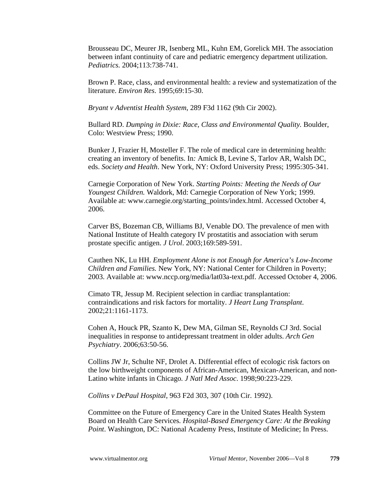Brousseau DC, Meurer JR, Isenberg ML, Kuhn EM, Gorelick MH. The association between infant continuity of care and pediatric emergency department utilization. *Pediatrics.* 2004;113:738-741.

Brown P. Race, class, and environmental health: a review and systematization of the literature. *Environ Res*. 1995;69:15-30.

*Bryant v Adventist Health System*, 289 F3d 1162 (9th Cir 2002).

Bullard RD. *Dumping in Dixie: Race, Class and Environmental Quality.* Boulder, Colo: Westview Press; 1990.

Bunker J, Frazier H, Mosteller F. The role of medical care in determining health: creating an inventory of benefits. In*:* Amick B, Levine S, Tarlov AR, Walsh DC, eds. *Society and Health*. New York, NY: Oxford University Press; 1995:305-341.

Carnegie Corporation of New York. *Starting Points: Meeting the Needs of Our Youngest Children.* Waldork, Md: Carnegie Corporation of New York; 1999. Available at: www.carnegie.org/starting\_points/index.html. Accessed October 4, 2006.

Carver BS, Bozeman CB, Williams BJ, Venable DO. The prevalence of men with National Institute of Health category IV prostatitis and association with serum prostate specific antigen. *J Urol*. 2003;169:589-591.

Cauthen NK, Lu HH. *Employment Alone is not Enough for America's Low-Income Children and Families.* New York, NY: National Center for Children in Poverty; 2003. Available at: www.nccp.org/media/lat03a-text.pdf. Accessed October 4, 2006.

Cimato TR, Jessup M. Recipient selection in cardiac transplantation: contraindications and risk factors for mortality. *J Heart Lung Transplant*. 2002;21:1161-1173.

Cohen A, Houck PR, Szanto K, Dew MA, Gilman SE, Reynolds CJ 3rd. Social inequalities in response to antidepressant treatment in older adults. *Arch Gen Psychiatry*. 2006;63:50-56.

Collins JW Jr, Schulte NF, Drolet A. Differential effect of ecologic risk factors on the low birthweight components of African-American, Mexican-American, and non-Latino white infants in Chicago*. J Natl Med Assoc*. 1998;90:223-229.

*Collins v DePaul Hospital*, 963 F2d 303, 307 (10th Cir. 1992).

Committee on the Future of Emergency Care in the United States Health System Board on Health Care Services*. Hospital-Based Emergency Care: At the Breaking Point*. Washington, DC: National Academy Press, Institute of Medicine; In Press.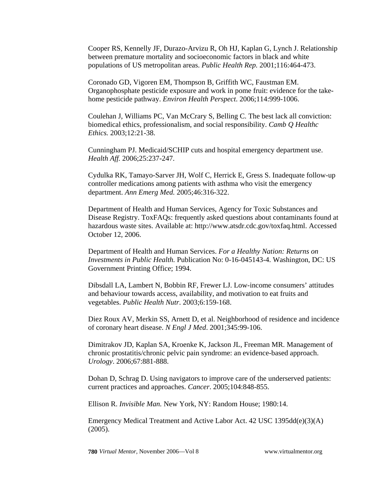Cooper RS, Kennelly JF, Durazo-Arvizu R, Oh HJ, Kaplan G, Lynch J. Relationship between premature mortality and socioeconomic factors in black and white populations of US metropolitan areas. *Public Health Rep.* 2001;116:464-473.

Coronado GD, Vigoren EM, Thompson B, Griffith WC, Faustman EM. Organophosphate pesticide exposure and work in pome fruit: evidence for the takehome pesticide pathway. *Environ Health Perspect*. 2006;114:999-1006.

Coulehan J, Williams PC, Van McCrary S, Belling C. The best lack all conviction: biomedical ethics, professionalism, and social responsibility. *Camb Q Healthc Ethics.* 2003;12:21-38.

Cunningham PJ. Medicaid/SCHIP cuts and hospital emergency department use. *Health Aff.* 2006;25:237-247.

Cydulka RK, Tamayo-Sarver JH, Wolf C, Herrick E, Gress S. Inadequate follow-up controller medications among patients with asthma who visit the emergency department. *Ann Emerg Med.* 2005;46:316-322.

Department of Health and Human Services, Agency for Toxic Substances and Disease Registry. ToxFAQs: frequently asked questions about contaminants found at hazardous waste sites. Available at: http://www.atsdr.cdc.gov/toxfaq.html. Accessed October 12, 2006.

Department of Health and Human Services. *For a Healthy Nation: Returns on Investments in Public Health.* Publication No: 0-16-045143-4. Washington, DC: US Government Printing Office; 1994.

Dibsdall LA, Lambert N, Bobbin RF, Frewer LJ. Low-income consumers' attitudes and behaviour towards access, availability, and motivation to eat fruits and vegetables. *Public Health Nutr*. 2003;6:159-168.

Diez Roux AV, Merkin SS, Arnett D, et al. Neighborhood of residence and incidence of coronary heart disease. *N Engl J Med*. 2001;345:99-106.

Dimitrakov JD, Kaplan SA, Kroenke K, Jackson JL, Freeman MR. Management of chronic prostatitis/chronic pelvic pain syndrome: an evidence-based approach. *Urology*. 2006;67:881-888.

Dohan D, Schrag D. Using navigators to improve care of the underserved patients: current practices and approaches. *Cancer*. 2005;104:848-855.

Ellison R. *Invisible Man.* New York, NY: Random House; 1980:14.

Emergency Medical Treatment and Active Labor Act. 42 USC 1395dd(e)(3)(A) (2005).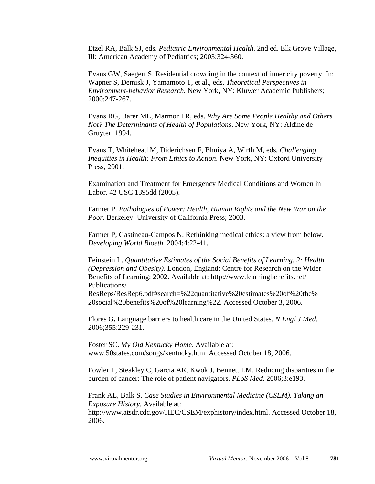Etzel RA, Balk SJ, eds. *Pediatric Environmental Health*. 2nd ed. Elk Grove Village, Ill: American Academy of Pediatrics; 2003:324-360.

Evans GW, Saegert S. Residential crowding in the context of inner city poverty. In: Wapner S, Demisk J, Yamamoto T, et al., eds. *Theoretical Perspectives in Environment-behavior Research.* New York, NY: Kluwer Academic Publishers; 2000:247-267.

Evans RG, Barer ML, Marmor TR, eds. *Why Are Some People Healthy and Others Not? The Determinants of Health of Populations*. New York, NY: Aldine de Gruyter; 1994.

Evans T, Whitehead M, Diderichsen F, Bhuiya A, Wirth M, eds*. Challenging Inequities in Health: From Ethics to Action*. New York, NY: Oxford University Press; 2001.

Examination and Treatment for Emergency Medical Conditions and Women in Labor. 42 USC 1395dd (2005).

Farmer P. *Pathologies of Power: Health, Human Rights and the New War on the Poor.* Berkeley: University of California Press; 2003.

Farmer P, Gastineau-Campos N. Rethinking medical ethics: a view from below. *Developing World Bioeth.* 2004;4:22-41.

Feinstein L. *Quantitative Estimates of the Social Benefits of Learning, 2: Health (Depression and Obesity)*. London, England: Centre for Research on the Wider Benefits of Learning; 2002. Available at: http://www.learningbenefits.net/ Publications/

ResReps/ResRep6.pdf#search=%22quantitative%20estimates%20of%20the% 20social%20benefits%20of%20learning%22. Accessed October 3, 2006.

Flores G**.** Language barriers to health care in the United States. *N Engl J Med.* 2006;355:229-231.

Foster SC. *My Old Kentucky Home*. Available at: www.50states.com/songs/kentucky.htm. Accessed October 18, 2006.

Fowler T, Steakley C, Garcia AR, Kwok J, Bennett LM. Reducing disparities in the burden of cancer: The role of patient navigators. *PLoS Med*. 2006;3:e193.

Frank AL, Balk S. *Case Studies in Environmental Medicine (CSEM). Taking an Exposure History.* Available at:

http://www.atsdr.cdc.gov/HEC/CSEM/exphistory/index.html. Accessed October 18, 2006.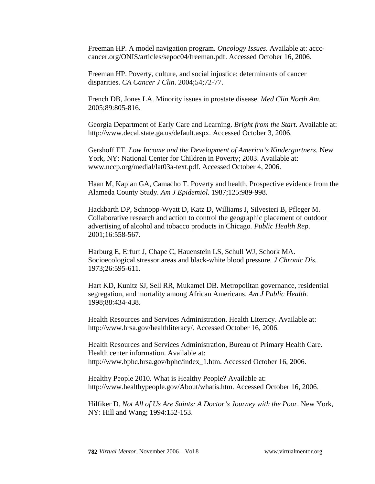Freeman HP. A model navigation program. *Oncology Issues*. Available at: accccancer.org/ONIS/articles/sepoc04/freeman.pdf. Accessed October 16, 2006.

Freeman HP. Poverty, culture, and social injustice: determinants of cancer disparities. *CA Cancer J Clin*. 2004;54;72-77.

French DB, Jones LA. Minority issues in prostate disease. *Med Clin North Am*. 2005;89:805-816.

Georgia Department of Early Care and Learning. *Bright from the Start*. Available at: http://www.decal.state.ga.us/default.aspx. Accessed October 3, 2006.

Gershoff ET. *Low Income and the Development of America's Kindergartners.* New York, NY: National Center for Children in Poverty; 2003. Available at: www.nccp.org/medial/lat03a-text.pdf. Accessed October 4, 2006.

Haan M, Kaplan GA, Camacho T. Poverty and health. Prospective evidence from the Alameda County Study*. Am J Epidemiol.* 1987;125:989-998.

Hackbarth DP, Schnopp-Wyatt D, Katz D, Williams J, Silvesteri B, Pfleger M. Collaborative research and action to control the geographic placement of outdoor advertising of alcohol and tobacco products in Chicago*. Public Health Rep*. 2001;16:558-567.

Harburg E, Erfurt J, Chape C, Hauenstein LS, Schull WJ, Schork MA. Socioecological stressor areas and black-white blood pressure*. J Chronic Dis.* 1973;26:595-611.

Hart KD, Kunitz SJ, Sell RR, Mukamel DB. Metropolitan governance, residential segregation, and mortality among African Americans. *Am J Public Health*. 1998;88:434-438.

Health Resources and Services Administration. Health Literacy. Available at: http://www.hrsa.gov/healthliteracy/. Accessed October 16, 2006.

Health Resources and Services Administration, Bureau of Primary Health Care. Health center information. Available at: http://www.bphc.hrsa.gov/bphc/index\_1.htm. Accessed October 16, 2006.

Healthy People 2010. What is Healthy People? Available at: http://www.healthypeople.gov/About/whatis.htm. Accessed October 16, 2006.

Hilfiker D. *Not All of Us Are Saints: A Doctor's Journey with the Poor*. New York, NY: Hill and Wang; 1994:152-153.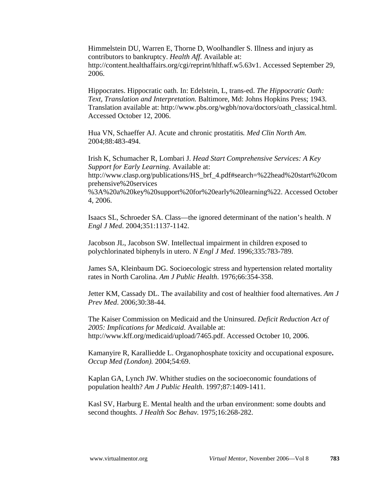Himmelstein DU, Warren E, Thorne D, Woolhandler S. Illness and injury as contributors to bankruptcy. *Health Aff*. Available at: http://content.healthaffairs.org/cgi/reprint/hlthaff.w5.63v1. Accessed September 29, 2006.

Hippocrates. Hippocratic oath. In: Edelstein, L, trans-ed. *The Hippocratic Oath: Text, Translation and Interpretation.* Baltimore, Md: Johns Hopkins Press; 1943. Translation available at: http://www.pbs.org/wgbh/nova/doctors/oath\_classical.html. Accessed October 12, 2006.

Hua VN, Schaeffer AJ. Acute and chronic prostatitis*. Med Clin North Am.* 2004;88:483-494.

Irish K, Schumacher R, Lombari J. *Head Start Comprehensive Services: A Key Support for Early Learning*. Available at: http://www.clasp.org/publications/HS\_brf\_4.pdf#search=%22head%20start%20com prehensive%20services %3A%20a%20key%20support%20for%20early%20learning%22. Accessed October 4, 2006.

Isaacs SL, Schroeder SA. Class—the ignored determinant of the nation's health. *N Engl J Med*. 2004;351:1137-1142.

Jacobson JL, Jacobson SW. Intellectual impairment in children exposed to polychlorinated biphenyls in utero. *N Engl J Med*. 1996;335:783-789.

James SA, Kleinbaum DG. Socioecologic stress and hypertension related mortality rates in North Carolina. *Am J Public Health*. 1976;66:354-358.

Jetter KM, Cassady DL. The availability and cost of healthier food alternatives. *Am J Prev Med*. 2006;30:38-44.

The Kaiser Commission on Medicaid and the Uninsured. *Deficit Reduction Act of 2005: Implications for Medicaid*. Available at: http://www.kff.org/medicaid/upload/7465.pdf. Accessed October 10, 2006.

Kamanyire R, Karalliedde L. Organophosphate toxicity and occupational exposure**.** *Occup Med (London).* 2004;54:69.

Kaplan GA, Lynch JW. Whither studies on the socioeconomic foundations of population health? *Am J Public Health*. 1997;87:1409-1411.

Kasl SV, Harburg E. Mental health and the urban environment: some doubts and second thoughts. *J Health Soc Behav.* 1975;16:268-282.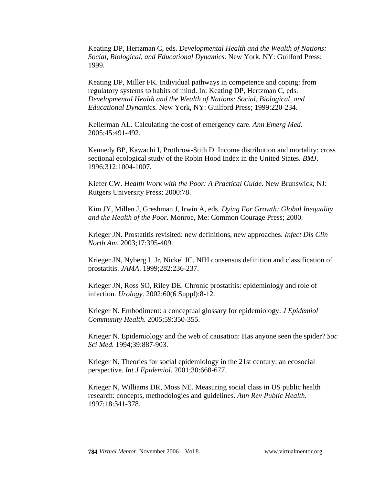Keating DP, Hertzman C, eds. *Developmental Health and the Wealth of Nations: Social, Biological, and Educational Dynamics*. New York, NY: Guilford Press; 1999.

Keating DP, Miller FK. Individual pathways in competence and coping: from regulatory systems to habits of mind. In: Keating DP, Hertzman C, eds. *Developmental Health and the Wealth of Nations: Social, Biological, and Educational Dynamics.* New York, NY: Guilford Press; 1999:220-234.

Kellerman AL. Calculating the cost of emergency care. *Ann Emerg Med.* 2005;45:491-492.

Kennedy BP, Kawachi I, Prothrow-Stith D. Income distribution and mortality: cross sectional ecological study of the Robin Hood Index in the United States. *BMJ*. 1996;312:1004-1007.

Kiefer CW. *Health Work with the Poor: A Practical Guide*. New Brunswick, NJ: Rutgers University Press; 2000:78.

Kim JY, Millen J, Greshman J, Irwin A, eds. *Dying For Growth: Global Inequality and the Health of the Poor.* Monroe, Me: Common Courage Press; 2000.

Krieger JN. Prostatitis revisited: new definitions, new approaches. *Infect Dis Clin North Am*. 2003;17:395-409.

Krieger JN, Nyberg L Jr, Nickel JC. NIH consensus definition and classification of prostatitis. *JAMA*. 1999;282:236-237.

Krieger JN, Ross SO, Riley DE. Chronic prostatitis: epidemiology and role of infection. *Urology*. 2002;60(6 Suppl):8-12.

Krieger N. Embodiment: a conceptual glossary for epidemiology. *J Epidemiol Community Health*. 2005;59:350-355.

Krieger N. Epidemiology and the web of causation: Has anyone seen the spider? *Soc Sci Med.* 1994;39:887-903.

Krieger N. Theories for social epidemiology in the 21st century: an ecosocial perspective. *Int J Epidemiol*. 2001;30:668-677.

Krieger N, Williams DR, Moss NE. Measuring social class in US public health research: concepts, methodologies and guidelines. *Ann Rev Public Health*. 1997;18:341-378.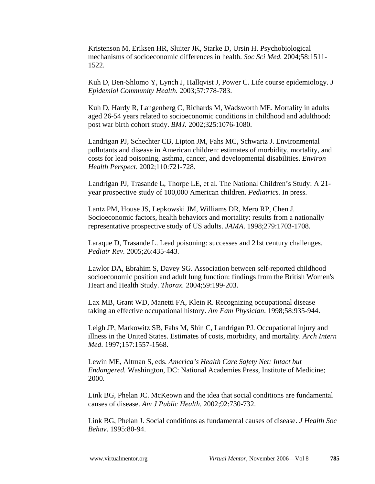Kristenson M, Eriksen HR, Sluiter JK, Starke D, Ursin H. Psychobiological mechanisms of socioeconomic differences in health. *Soc Sci Med.* 2004;58:1511- 1522.

Kuh D, Ben-Shlomo Y, Lynch J, Hallqvist J, Power C. Life course epidemiology. *J Epidemiol Community Health.* 2003;57:778-783.

Kuh D, Hardy R, Langenberg C, Richards M, Wadsworth ME. Mortality in adults aged 26-54 years related to socioeconomic conditions in childhood and adulthood: post war birth cohort study. *BMJ.* 2002;325:1076-1080.

Landrigan PJ, Schechter CB, Lipton JM, Fahs MC, Schwartz J. Environmental pollutants and disease in American children: estimates of morbidity, mortality, and costs for lead poisoning, asthma, cancer, and developmental disabilities. *Environ Health Perspect*. 2002;110:721-728.

Landrigan PJ, Trasande L, Thorpe LE, et al. The National Children's Study: A 21 year prospective study of 100,000 American children. *Pediatrics.* In press.

Lantz PM, House JS, Lepkowski JM, Williams DR, Mero RP, Chen J. Socioeconomic factors, health behaviors and mortality: results from a nationally representative prospective study of US adults. *JAMA*. 1998;279:1703-1708.

Laraque D, Trasande L. Lead poisoning: successes and 21st century challenges. *Pediatr Rev.* 2005;26:435-443.

Lawlor DA, Ebrahim S, Davey SG. Association between self-reported childhood socioeconomic position and adult lung function: findings from the British Women's Heart and Health Study. *Thorax.* 2004;59:199-203.

Lax MB, Grant WD, Manetti FA, Klein R. Recognizing occupational disease taking an effective occupational history. *Am Fam Physician*. 1998;58:935-944.

Leigh JP, Markowitz SB, Fahs M, Shin C, Landrigan PJ. Occupational injury and illness in the United States. Estimates of costs, morbidity, and mortality. *Arch Intern Med*. 1997;157:1557-1568.

Lewin ME, Altman S, eds. *America's Health Care Safety Net: Intact but Endangered.* Washington, DC: National Academies Press, Institute of Medicine; 2000.

Link BG, Phelan JC. McKeown and the idea that social conditions are fundamental causes of disease. *Am J Public Health*. 2002;92:730-732.

Link BG, Phelan J. Social conditions as fundamental causes of disease. *J Health Soc Behav*. 1995:80-94.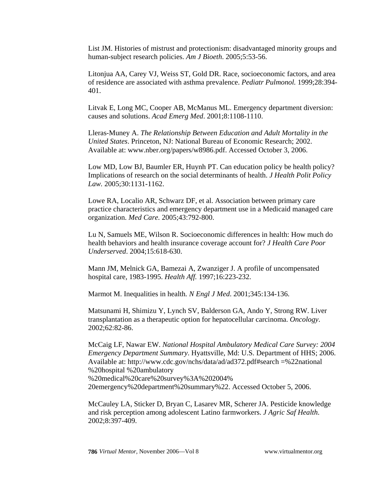List JM. Histories of mistrust and protectionism: disadvantaged minority groups and human-subject research policies. *Am J Bioeth*. 2005;5:53-56.

Litonjua AA, Carey VJ, Weiss ST, Gold DR. Race, socioeconomic factors, and area of residence are associated with asthma prevalence. *Pediatr Pulmonol.* 1999;28:394- 401.

Litvak E, Long MC, Cooper AB, McManus ML. Emergency department diversion: causes and solutions. *Acad Emerg Med*. 2001;8:1108-1110.

Lleras-Muney A. *The Relationship Between Education and Adult Mortality in the United States*. Princeton, NJ: National Bureau of Economic Research; 2002. Available at: www.nber.org/papers/w8986.pdf. Accessed October 3, 2006.

Low MD, Low BJ, Baumler ER, Huynh PT. Can education policy be health policy? Implications of research on the social determinants of health. *J Health Polit Policy Law.* 2005;30:1131-1162.

Lowe RA, Localio AR, Schwarz DF, et al. Association between primary care practice characteristics and emergency department use in a Medicaid managed care organization. *Med Care.* 2005;43:792-800.

Lu N, Samuels ME, Wilson R. Socioeconomic differences in health: How much do health behaviors and health insurance coverage account for? *J Health Care Poor Underserved*. 2004;15:618-630.

Mann JM, Melnick GA, Bamezai A, Zwanziger J. A profile of uncompensated hospital care, 1983-1995. *Health Aff.* 1997;16:223-232.

Marmot M. Inequalities in health*. N Engl J Med*. 2001;345:134-136.

Matsunami H, Shimizu Y, Lynch SV, Balderson GA, Ando Y, Strong RW. Liver transplantation as a therapeutic option for hepatocellular carcinoma. *Oncology*. 2002;62:82-86.

McCaig LF, Nawar EW. *National Hospital Ambulatory Medical Care Survey: 2004 Emergency Department Summary*. Hyattsville, Md: U.S. Department of HHS; 2006. Available at: http://www.cdc.gov/nchs/data/ad/ad372.pdf#search =%22national %20hospital %20ambulatory %20medical%20care%20survey%3A%202004% 20emergency%20department%20summary%22. Accessed October 5, 2006.

McCauley LA, Sticker D, Bryan C, Lasarev MR, Scherer JA. Pesticide knowledge and risk perception among adolescent Latino farmworkers. *J Agric Saf Health*. 2002;8:397-409.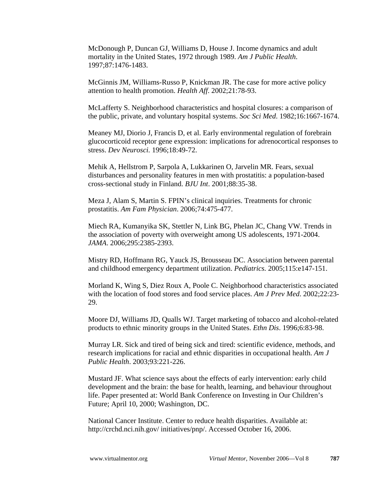McDonough P, Duncan GJ, Williams D, House J. Income dynamics and adult mortality in the United States, 1972 through 1989. *Am J Public Health*. 1997;87:1476-1483.

McGinnis JM, Williams-Russo P, Knickman JR. The case for more active policy attention to health promotion. *Health Aff*. 2002;21:78-93.

McLafferty S. Neighborhood characteristics and hospital closures: a comparison of the public, private, and voluntary hospital systems. *Soc Sci Med*. 1982;16:1667-1674.

Meaney MJ, Diorio J, Francis D, et al. Early environmental regulation of forebrain glucocorticoid receptor gene expression: implications for adrenocortical responses to stress. *Dev Neurosci.* 1996;18:49-72.

Mehik A, Hellstrom P, Sarpola A, Lukkarinen O, Jarvelin MR. Fears, sexual disturbances and personality features in men with prostatitis: a population-based cross-sectional study in Finland. *BJU Int*. 2001;88:35-38.

Meza J, Alam S, Martin S. FPIN's clinical inquiries. Treatments for chronic prostatitis. *Am Fam Physician*. 2006;74:475-477.

Miech RA, Kumanyika SK, Stettler N, Link BG, Phelan JC, Chang VW. Trends in the association of poverty with overweight among US adolescents, 1971-2004. *JAMA*. 2006;295:2385-2393.

Mistry RD, Hoffmann RG, Yauck JS, Brousseau DC. Association between parental and childhood emergency department utilization. *Pediatrics.* 2005;115:e147-151.

Morland K, Wing S, Diez Roux A, Poole C. Neighborhood characteristics associated with the location of food stores and food service places. *Am J Prev Med*. 2002;22:23- 29.

Moore DJ, Williams JD, Qualls WJ. Target marketing of tobacco and alcohol-related products to ethnic minority groups in the United States. *Ethn Dis*. 1996;6:83-98.

Murray LR. Sick and tired of being sick and tired: scientific evidence, methods, and research implications for racial and ethnic disparities in occupational health. *Am J Public Health*. 2003;93:221-226.

Mustard JF. What science says about the effects of early intervention: early child development and the brain: the base for health, learning, and behaviour throughout life. Paper presented at: World Bank Conference on Investing in Our Children's Future; April 10, 2000; Washington, DC.

National Cancer Institute. Center to reduce health disparities. Available at: http://crchd.nci.nih.gov/ initiatives/pnp/. Accessed October 16, 2006.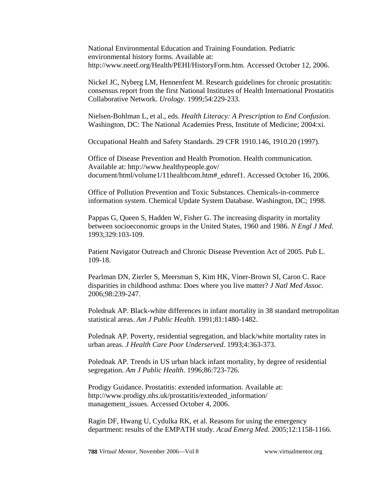National Environmental Education and Training Foundation. Pediatric environmental history forms. Available at: http://www.neetf.org/Health/PEHI/HistoryForm.htm. Accessed October 12, 2006.

Nickel JC, Nyberg LM, Hennenfent M. Research guidelines for chronic prostatitis: consensus report from the first National Institutes of Health International Prostatitis Collaborative Network. *Urology*. 1999;54:229-233.

Nielsen-Bohlman L, et al., eds. *Health Literacy: A Prescription to End Confusion*. Washington, DC: The National Academies Press, Institute of Medicine; 2004:xi.

Occupational Health and Safety Standards. 29 CFR 1910.146, 1910.20 (1997).

Office of Disease Prevention and Health Promotion. Health communication. Available at: http://www.healthypeople.gov/ document/html/volume1/11healthcom.htm#\_ednref1. Accessed October 16, 2006.

Office of Pollution Prevention and Toxic Substances. Chemicals-in-commerce information system. Chemical Update System Database. Washington, DC; 1998.

Pappas G, Queen S, Hadden W, Fisher G. The increasing disparity in mortality between socioeconomic groups in the United States, 1960 and 1986. *N Engl J Med*. 1993;329:103-109.

Patient Navigator Outreach and Chronic Disease Prevention Act of 2005. Pub L. 109-18.

Pearlman DN, Zierler S, Meersman S, Kim HK, Viner-Brown SI, Caron C. Race disparities in childhood asthma: Does where you live matter? *J Natl Med Assoc.* 2006;98:239-247.

Polednak AP. Black-white differences in infant mortality in 38 standard metropolitan statistical areas. *Am J Public Health*. 1991;81:1480-1482.

Polednak AP. Poverty, residential segregation, and black/white mortality rates in urban areas. *J Health Care Poor Underserved*. 1993;4:363-373.

Polednak AP. Trends in US urban black infant mortality, by degree of residential segregation. *Am J Public Health*. 1996;86:723-726.

Prodigy Guidance. Prostatitis: extended information. Available at: http://www.prodigy.nhs.uk/prostatitis/extended\_information/ management\_issues. Accessed October 4, 2006.

Ragin DF, Hwang U, Cydulka RK, et al. Reasons for using the emergency department: results of the EMPATH study. *Acad Emerg Med*. 2005;12:1158-1166.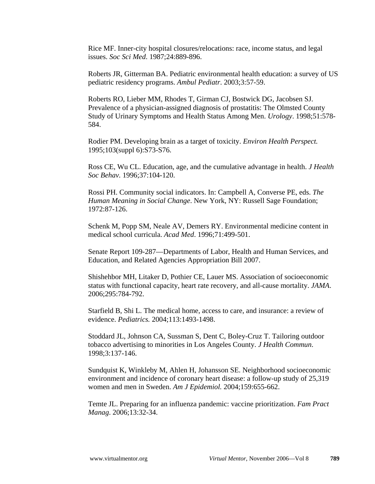Rice MF. Inner-city hospital closures/relocations: race, income status, and legal issues. *Soc Sci Med*. 1987;24:889-896.

Roberts JR, Gitterman BA. Pediatric environmental health education: a survey of US pediatric residency programs. *Ambul Pediatr*. 2003;3:57-59.

Roberts RO, Lieber MM, Rhodes T, Girman CJ, Bostwick DG, Jacobsen SJ. Prevalence of a physician-assigned diagnosis of prostatitis: The Olmsted County Study of Urinary Symptoms and Health Status Among Men. *Urology*. 1998;51:578- 584.

Rodier PM. Developing brain as a target of toxicity. *Environ Health Perspect.* 1995;103(suppl 6):S73-S76.

Ross CE, Wu CL. Education, age, and the cumulative advantage in health. *J Health Soc Behav.* 1996;37:104-120.

Rossi PH. Community social indicators. In: Campbell A, Converse PE, eds. *The Human Meaning in Social Change*. New York, NY: Russell Sage Foundation; 1972:87-126.

Schenk M, Popp SM, Neale AV, Demers RY. Environmental medicine content in medical school curricula. *Acad Med*. 1996;71:499-501.

Senate Report 109-287—Departments of Labor, Health and Human Services, and Education, and Related Agencies Appropriation Bill 2007.

Shishehbor MH, Litaker D, Pothier CE, Lauer MS. Association of socioeconomic status with functional capacity, heart rate recovery, and all-cause mortality. *JAMA*. 2006;295:784-792.

Starfield B, Shi L. The medical home, access to care, and insurance: a review of evidence. *Pediatrics.* 2004;113:1493-1498.

Stoddard JL, Johnson CA, Sussman S, Dent C, Boley-Cruz T. Tailoring outdoor tobacco advertising to minorities in Los Angeles County. *J Health Commun*. 1998;3:137-146.

Sundquist K, Winkleby M, Ahlen H, Johansson SE. Neighborhood socioeconomic environment and incidence of coronary heart disease: a follow-up study of 25,319 women and men in Sweden. *Am J Epidemiol.* 2004;159:655-662.

Temte JL. Preparing for an influenza pandemic: vaccine prioritization. *Fam Pract Manag*. 2006;13:32-34.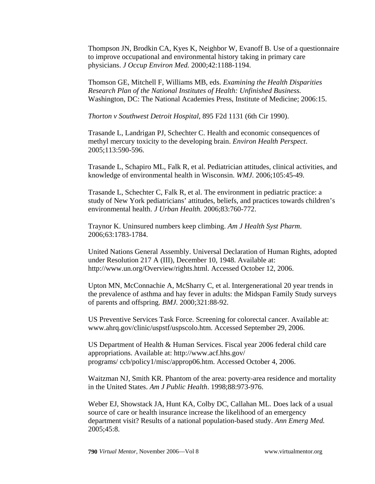Thompson JN, Brodkin CA, Kyes K, Neighbor W, Evanoff B. Use of a questionnaire to improve occupational and environmental history taking in primary care physicians. *J Occup Environ Med.* 2000;42:1188-1194.

Thomson GE, Mitchell F, Williams MB, eds. *Examining the Health Disparities Research Plan of the National Institutes of Health: Unfinished Business.* Washington, DC: The National Academies Press, Institute of Medicine; 2006:15.

*Thorton v Southwest Detroit Hospital*, 895 F2d 1131 (6th Cir 1990).

Trasande L, Landrigan PJ, Schechter C. Health and economic consequences of methyl mercury toxicity to the developing brain. *Environ Health Perspect*. 2005;113:590-596.

Trasande L, Schapiro ML, Falk R, et al. Pediatrician attitudes, clinical activities, and knowledge of environmental health in Wisconsin. *WMJ*. 2006;105:45-49.

Trasande L, Schechter C, Falk R, et al. The environment in pediatric practice: a study of New York pediatricians' attitudes, beliefs, and practices towards children's environmental health. *J Urban Health.* 2006;83:760-772.

Traynor K. Uninsured numbers keep climbing. *Am J Health Syst Pharm*. 2006;63:1783-1784.

United Nations General Assembly. Universal Declaration of Human Rights, adopted under Resolution 217 A (III), December 10, 1948. Available at: http://www.un.org/Overview/rights.html. Accessed October 12, 2006.

Upton MN, McConnachie A, McSharry C, et al. Intergenerational 20 year trends in the prevalence of asthma and hay fever in adults: the Midspan Family Study surveys of parents and offspring. *BMJ.* 2000;321:88-92.

US Preventive Services Task Force. Screening for colorectal cancer. Available at: www.ahrq.gov/clinic/uspstf/uspscolo.htm. Accessed September 29, 2006.

US Department of Health & Human Services. Fiscal year 2006 federal child care appropriations. Available at: http://www.acf.hhs.gov/ programs/ ccb/policy1/misc/approp06.htm. Accessed October 4, 2006.

Waitzman NJ, Smith KR. Phantom of the area: poverty-area residence and mortality in the United States. *Am J Public Health*. 1998;88:973-976.

Weber EJ, Showstack JA, Hunt KA, Colby DC, Callahan ML. Does lack of a usual source of care or health insurance increase the likelihood of an emergency department visit? Results of a national population-based study. *Ann Emerg Med.* 2005;45:8.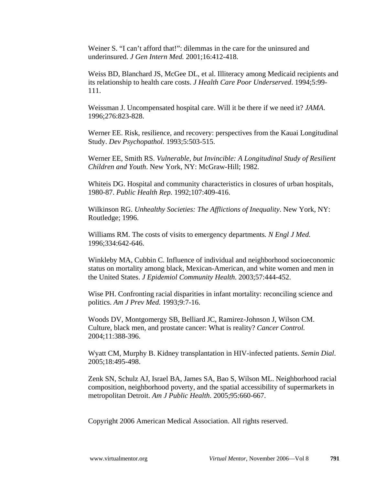Weiner S. "I can't afford that!": dilemmas in the care for the uninsured and underinsured. *J Gen Intern Med.* 2001;16:412-418.

Weiss BD, Blanchard JS, McGee DL, et al. Illiteracy among Medicaid recipients and its relationship to health care costs. *J Health Care Poor Underserved*. 1994;5:99- 111.

Weissman J. Uncompensated hospital care. Will it be there if we need it? *JAMA*. 1996;276:823-828.

Werner EE. Risk, resilience, and recovery: perspectives from the Kauai Longitudinal Study. *Dev Psychopathol.* 1993;5:503-515.

Werner EE, Smith RS. *Vulnerable, but Invincible: A Longitudinal Study of Resilient Children and Youth*. New York, NY: McGraw-Hill; 1982.

Whiteis DG. Hospital and community characteristics in closures of urban hospitals, 1980-87. *Public Health Rep*. 1992;107:409-416.

Wilkinson RG. *Unhealthy Societies: The Afflictions of Inequality*. New York, NY: Routledge; 1996.

Williams RM. The costs of visits to emergency departments*. N Engl J Med.* 1996;334:642-646.

Winkleby MA, Cubbin C. Influence of individual and neighborhood socioeconomic status on mortality among black, Mexican-American, and white women and men in the United States. *J Epidemiol Community Health*. 2003;57:444-452.

Wise PH. Confronting racial disparities in infant mortality: reconciling science and politics. *Am J Prev Med.* 1993;9:7-16.

Woods DV, Montgomergy SB, Belliard JC, Ramirez-Johnson J, Wilson CM. Culture, black men, and prostate cancer: What is reality? *Cancer Control.* 2004;11:388-396.

Wyatt CM, Murphy B. Kidney transplantation in HIV-infected patients. *Semin Dial*. 2005;18:495-498.

Zenk SN, Schulz AJ, Israel BA, James SA, Bao S, Wilson ML. Neighborhood racial composition, neighborhood poverty, and the spatial accessibility of supermarkets in metropolitan Detroit. *Am J Public Health*. 2005;95:660-667.

Copyright 2006 American Medical Association. All rights reserved.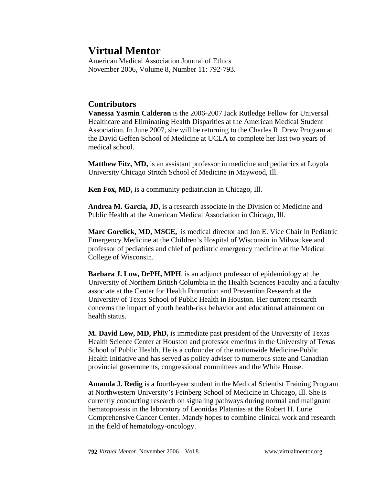**Virtual Mentor**<br>American Medical Association Journal of Ethics November 2006, Volume 8, Number 11: 792-793.

# **Contributors**

**Vanessa Yasmin Calderon** is the 2006-2007 Jack Rutledge Fellow for Universal Healthcare and Eliminating Health Disparities at the American Medical Student Association. In June 2007, she will be returning to the Charles R. Drew Program at the David Geffen School of Medicine at UCLA to complete her last two years of medical school.

**Matthew Fitz, MD,** is an assistant professor in medicine and pediatrics at Loyola University Chicago Stritch School of Medicine in Maywood, Ill.

**Ken Fox, MD,** is a community pediatrician in Chicago, Ill.

**Andrea M. Garcia, JD,** is a research associate in the Division of Medicine and Public Health at the American Medical Association in Chicago, Ill.

**Marc Gorelick, MD, MSCE,** is medical director and Jon E. Vice Chair in Pediatric Emergency Medicine at the Children's Hospital of Wisconsin in Milwaukee and professor of pediatrics and chief of pediatric emergency medicine at the Medical College of Wisconsin.

**Barbara J. Low, DrPH, MPH**, is an adjunct professor of epidemiology at the University of Northern British Columbia in the Health Sciences Faculty and a faculty associate at the Center for Health Promotion and Prevention Research at the University of Texas School of Public Health in Houston. Her current research concerns the impact of youth health-risk behavior and educational attainment on health status.

**M. David Low, MD, PhD,** is immediate past president of the University of Texas Health Science Center at Houston and professor emeritus in the University of Texas School of Public Health. He is a cofounder of the nationwide Medicine-Public Health Initiative and has served as policy adviser to numerous state and Canadian provincial governments, congressional committees and the White House.

**Amanda J. Redig** is a fourth-year student in the Medical Scientist Training Program at Northwestern University's Feinberg School of Medicine in Chicago, Ill. She is currently conducting research on signaling pathways during normal and malignant hematopoiesis in the laboratory of Leonidas Platanias at the Robert H. Lurie Comprehensive Cancer Center. Mandy hopes to combine clinical work and research in the field of hematology-oncology.